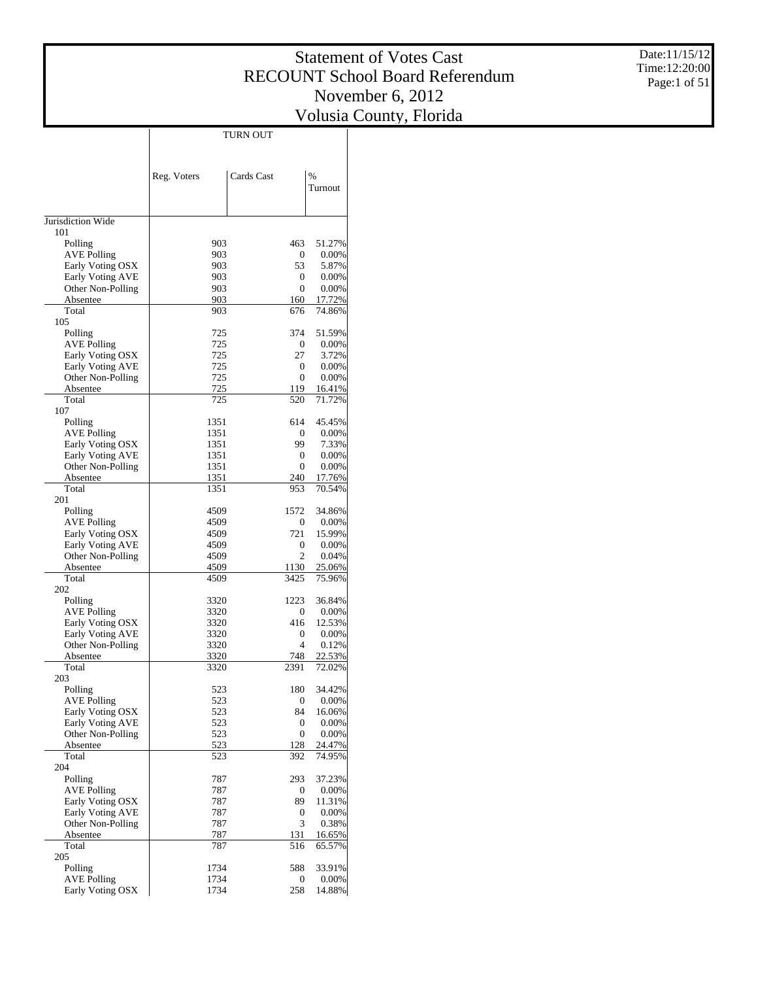Date:11/15/12 Time:12:20:00 Page:1 of 51

|                                       | TURN OUT     |                              |                  |
|---------------------------------------|--------------|------------------------------|------------------|
|                                       |              |                              |                  |
|                                       |              |                              |                  |
|                                       | Reg. Voters  | Cards Cast                   | %<br>Turnout     |
|                                       |              |                              |                  |
| Jurisdiction Wide                     |              |                              |                  |
| 101                                   |              |                              |                  |
| Polling                               | 903          | 463                          | 51.27%           |
| <b>AVE Polling</b>                    | 903          | 0                            | 0.00%            |
| Early Voting OSX                      | 903          | 53                           | 5.87%            |
| Early Voting AVE<br>Other Non-Polling | 903<br>903   | $\mathbf{0}$<br>$\mathbf{0}$ | 0.00%<br>0.00%   |
| Absentee                              | 903          | 160                          | 17.72%           |
| Total                                 | 903          | 676                          | 74.86%           |
| 105                                   |              |                              |                  |
| Polling                               | 725          | 374                          | 51.59%           |
| <b>AVE Polling</b>                    | 725          | 0                            | 0.00%            |
| Early Voting OSX                      | 725<br>725   | 27                           | 3.72%<br>0.00%   |
| Early Voting AVE<br>Other Non-Polling | 725          | $\mathbf{0}$<br>$\mathbf{0}$ | 0.00%            |
| Absentee                              | 725          | 119                          | 16.41%           |
| Total                                 | 725          | 520                          | 71.72%           |
| 107                                   |              |                              |                  |
| Polling                               | 1351         | 614                          | 45.45%           |
| <b>AVE Polling</b>                    | 1351         | $\mathbf{0}$                 | 0.00%            |
| Early Voting OSX                      | 1351         | 99                           | 7.33%            |
| Early Voting AVE                      | 1351         | $\mathbf{0}$                 | 0.00%            |
| Other Non-Polling<br>Absentee         | 1351<br>1351 | $\mathbf{0}$<br>240          | 0.00%<br>17.76%  |
| Total                                 | 1351         | 953                          | 70.54%           |
| 201                                   |              |                              |                  |
| Polling                               | 4509         | 1572                         | 34.86%           |
| <b>AVE Polling</b>                    | 4509         | $\mathbf{0}$                 | 0.00%            |
| Early Voting OSX                      | 4509         | 721                          | 15.99%           |
| Early Voting AVE                      | 4509         | 0                            | 0.00%            |
| Other Non-Polling<br>Absentee         | 4509<br>4509 | $\overline{c}$<br>1130       | 0.04%<br>25.06%  |
| Total                                 | 4509         | 3425                         | 75.96%           |
| 202                                   |              |                              |                  |
| Polling                               | 3320         | 1223                         | 36.84%           |
| <b>AVE Polling</b>                    | 3320         | 0                            | 0.00%            |
| Early Voting OSX                      | 3320         | 416                          | 12.53%           |
| Early Voting AVE                      | 3320         | 0                            | 0.00%            |
| Other Non-Polling                     | 3320         | $\overline{4}$               | 0.12%            |
| Absentee<br>Total                     | 3320<br>3320 | 748<br>2391                  | 22.53%<br>72.02% |
| 203                                   |              |                              |                  |
| Polling                               | 523          | 180                          | 34.42%           |
| <b>AVE Polling</b>                    | 523          | 0                            | 0.00%            |
| Early Voting OSX                      | 523          | 84                           | 16.06%           |
| Early Voting AVE                      | 523          | 0                            | 0.00%            |
| Other Non-Polling                     | 523          | $\mathbf{0}$                 | 0.00%            |
| Absentee<br>Total                     | 523<br>523   | 128<br>392                   | 24.47%<br>74.95% |
| 204                                   |              |                              |                  |
| Polling                               | 787          | 293                          | 37.23%           |
| <b>AVE Polling</b>                    | 787          | 0                            | 0.00%            |
| Early Voting OSX                      | 787          | 89                           | 11.31%           |
| Early Voting AVE                      | 787          | 0                            | 0.00%            |
| Other Non-Polling                     | 787          | 3                            | 0.38%            |
| Absentee                              | 787          | 131                          | 16.65%           |
| Total<br>205                          | 787          | 516                          | 65.57%           |
| Polling                               | 1734         | 588                          | 33.91%           |
| <b>AVE Polling</b>                    | 1734         | 0                            | 0.00%            |
| Early Voting OSX                      | 1734         | 258                          | 14.88%           |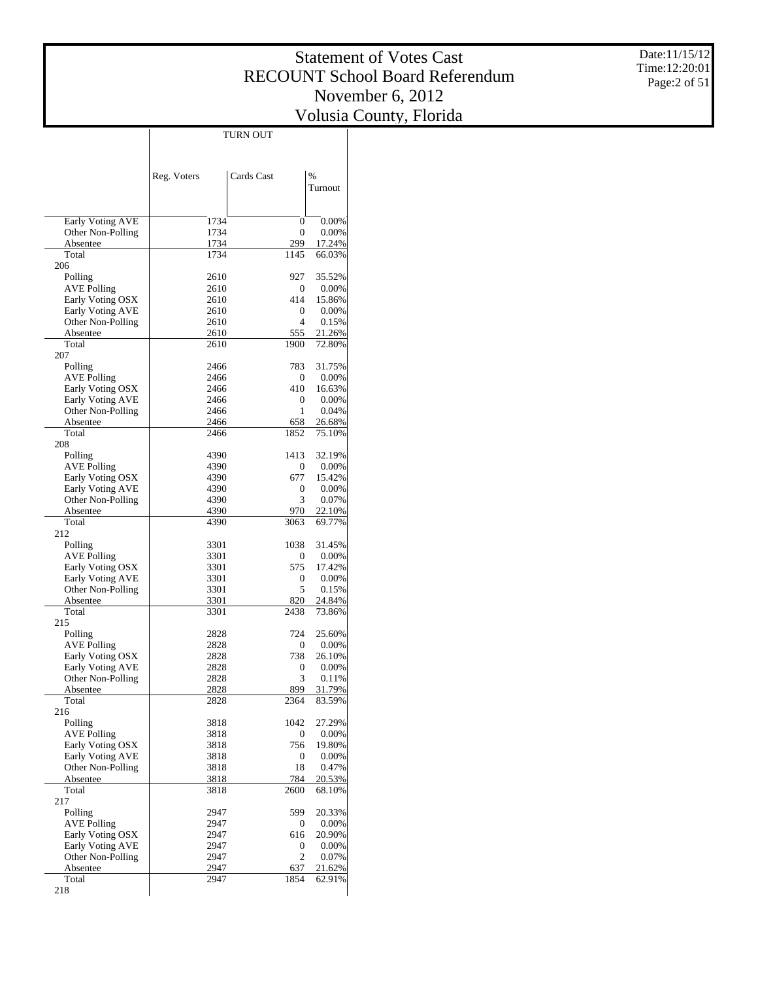Date:11/15/12 Time:12:20:01 Page:2 of 51

|                                             |              | TURN OUT    |                  |
|---------------------------------------------|--------------|-------------|------------------|
|                                             |              |             |                  |
|                                             |              |             |                  |
|                                             | Reg. Voters  | Cards Cast  | $\frac{0}{0}$    |
|                                             |              |             | Turnout          |
|                                             |              |             |                  |
| Early Voting AVE                            | 1734         | 0           | 0.00%            |
| Other Non-Polling<br>Absentee               | 1734<br>1734 | 0<br>299    | 0.00%<br>17.24%  |
| Total                                       | 1734         | 1145        | 66.03%           |
| 206                                         |              |             |                  |
| Polling                                     | 2610         | 927         | 35.52%           |
| <b>AVE Polling</b>                          | 2610         | 0           | 0.00%            |
| Early Voting OSX                            | 2610         | 414         | 15.86%           |
| Early Voting AVE<br>Other Non-Polling       | 2610<br>2610 | 0<br>4      | 0.00%<br>0.15%   |
| Absentee                                    | 2610         | 555         | 21.26%           |
| Total                                       | 2610         | 1900        | 72.80%           |
| 207                                         |              |             |                  |
| Polling                                     | 2466         | 783         | 31.75%           |
| <b>AVE Polling</b>                          | 2466         | 0           | 0.00%            |
| Early Voting OSX                            | 2466         | 410         | 16.63%           |
| Early Voting AVE                            | 2466         | 0           | 0.00%            |
| Other Non-Polling                           | 2466         | 1           | 0.04%            |
| Absentee<br>Total                           | 2466<br>2466 | 658<br>1852 | 26.68%<br>75.10% |
| 208                                         |              |             |                  |
| Polling                                     | 4390         | 1413        | 32.19%           |
| <b>AVE Polling</b>                          | 4390         | 0           | 0.00%            |
| Early Voting OSX                            | 4390         | 677         | 15.42%           |
| Early Voting AVE                            | 4390         | 0           | 0.00%            |
| Other Non-Polling                           | 4390         | 3           | 0.07%            |
| Absentee                                    | 4390         | 970         | 22.10%           |
| Total                                       | 4390         | 3063        | 69.77%           |
| 212<br>Polling                              | 3301         | 1038        | 31.45%           |
| <b>AVE Polling</b>                          | 3301         | 0           | 0.00%            |
| Early Voting OSX                            | 3301         | 575         | 17.42%           |
| Early Voting AVE                            | 3301         | 0           | 0.00%            |
| Other Non-Polling                           | 3301         | 5           | 0.15%            |
| Absentee                                    | 3301         | 820         | 24.84%           |
| Total                                       | 3301         | 2438        | 73.86%           |
| 215<br>Polling                              | 2828         | 724         | 25.60%           |
| <b>AVE Polling</b>                          | 2828         | 0           | 0.00%            |
| Early Voting OSX                            | 2828         | 738         | 26.10%           |
| Early Voting AVE                            | 2828         | 0           | 0.00%            |
| Other Non-Polling                           | 2828         | 3           | 0.11%            |
| Absentee                                    | 2828         | 899         | 31.79%           |
| Total                                       | 2828         | 2364        | 83.59%           |
| 216                                         |              |             |                  |
| Polling<br><b>AVE Polling</b>               | 3818<br>3818 | 1042<br>0   | 27.29%<br>0.00%  |
| Early Voting OSX                            | 3818         | 756         | 19.80%           |
| Early Voting AVE                            | 3818         | 0           | 0.00%            |
| Other Non-Polling                           | 3818         | 18          | 0.47%            |
| Absentee                                    | 3818         | 784         | 20.53%           |
| Total                                       | 3818         | 2600        | 68.10%           |
| 217                                         |              |             |                  |
| Polling                                     | 2947         | 599         | 20.33%           |
| <b>AVE Polling</b>                          | 2947         | 0           | 0.00%            |
| Early Voting OSX<br><b>Early Voting AVE</b> | 2947<br>2947 | 616<br>0    | 20.90%<br>0.00%  |
| Other Non-Polling                           | 2947         | 2           | 0.07%            |
| Absentee                                    | 2947         | 637         | 21.62%           |
| Total                                       | 2947         | 1854        | 62.91%           |
| 218                                         |              |             |                  |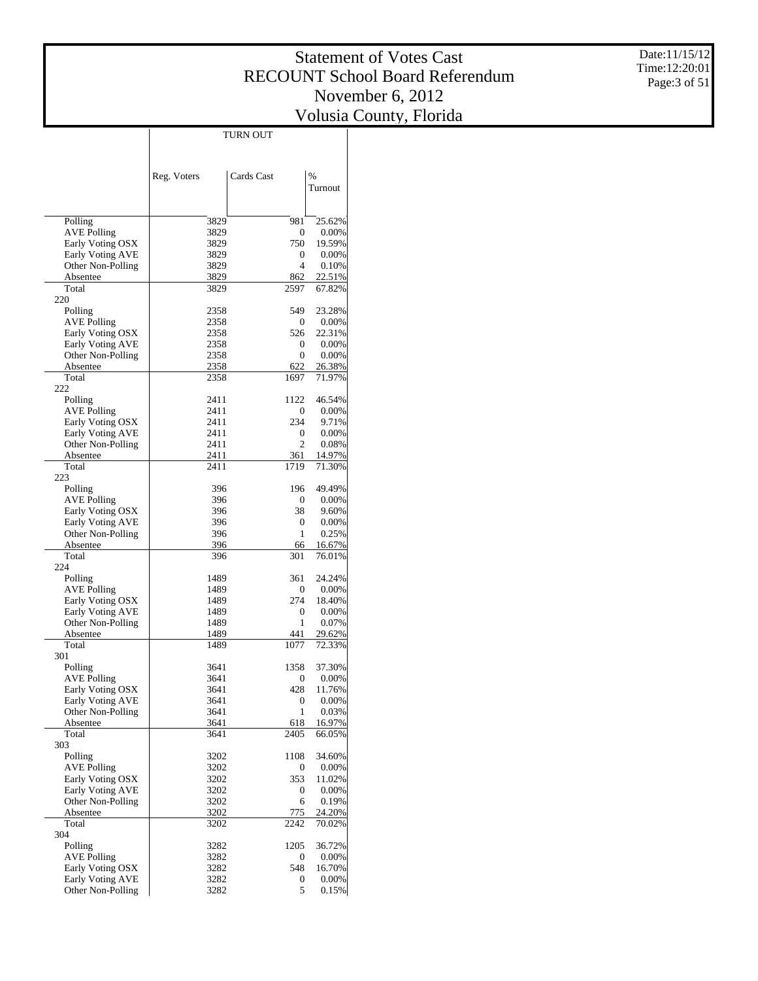Date:11/15/12 Time:12:20:01 Page:3 of 51

|                                        |              | TURN OUT                     |                  |
|----------------------------------------|--------------|------------------------------|------------------|
|                                        |              |                              |                  |
|                                        |              |                              |                  |
|                                        | Reg. Voters  | Cards Cast                   | $\frac{0}{0}$    |
|                                        |              |                              | Turnout          |
|                                        |              |                              |                  |
| Polling                                | 3829         | 981                          | 25.62%           |
| <b>AVE Polling</b>                     | 3829         | $\mathbf{0}$                 | 0.00%            |
| Early Voting OSX<br>Early Voting AVE   | 3829<br>3829 | 750<br>$\mathbf{0}$          | 19.59%<br>0.00%  |
| Other Non-Polling                      | 3829         | 4                            | 0.10%            |
| Absentee                               | 3829         | 862                          | 22.51%           |
| Total                                  | 3829         | 2597                         | 67.82%           |
| 220                                    |              |                              |                  |
| Polling                                | 2358         | 549                          | 23.28%           |
| AVE Polling                            | 2358         | $\mathbf{0}$                 | 0.00%            |
| Early Voting OSX                       | 2358         | 526                          | 22.31%           |
| Early Voting AVE<br>Other Non-Polling  | 2358<br>2358 | $\mathbf{0}$<br>$\mathbf{0}$ | 0.00%<br>0.00%   |
| Absentee                               | 2358         | 622                          | 26.38%           |
| Total                                  | 2358         | 1697                         | 71.97%           |
| 222                                    |              |                              |                  |
| Polling                                | 2411         | 1122                         | 46.54%           |
| AVE Polling                            | 2411         | $\mathbf{0}$                 | 0.00%            |
| Early Voting OSX                       | 2411         | 234                          | 9.71%            |
| Early Voting AVE                       | 2411         | 0                            | 0.00%            |
| Other Non-Polling                      | 2411         | $\overline{c}$               | 0.08%            |
| Absentee<br>Total                      | 2411<br>2411 | 361<br>1719                  | 14.97%<br>71.30% |
| 223                                    |              |                              |                  |
| Polling                                | 396          | 196                          | 49.49%           |
| <b>AVE Polling</b>                     | 396          | 0                            | 0.00%            |
| Early Voting OSX                       | 396          | 38                           | 9.60%            |
| Early Voting AVE                       | 396          | 0                            | 0.00%            |
| Other Non-Polling                      | 396          | 1                            | 0.25%            |
| Absentee                               | 396          | 66                           | 16.67%           |
| Total<br>224                           | 396          | 301                          | 76.01%           |
| Polling                                | 1489         | 361                          | 24.24%           |
| AVE Polling                            | 1489         | 0                            | 0.00%            |
| Early Voting OSX                       | 1489         | 274                          | 18.40%           |
| Early Voting AVE                       | 1489         | 0                            | 0.00%            |
| Other Non-Polling                      | 1489         | 1                            | 0.07%            |
| Absentee                               | 1489         | 441                          | 29.62%           |
| Total<br>301                           | 1489         | 1077                         | 72.33%           |
| Polling                                | 3641         | 1358                         | 37.30%           |
| <b>AVE Polling</b>                     | 3641         | 0                            | 0.00%            |
| Early Voting OSX                       | 3641         | 428                          | 11.76%           |
| Early Voting AVE                       | 3641         | $\boldsymbol{0}$             | 0.00%            |
| Other Non-Polling                      | 3641         | 1                            | 0.03%            |
| Absentee                               | 3641         | 618                          | 16.97%           |
| Total                                  | 3641         | 2405                         | 66.05%           |
| 303<br>Polling                         | 3202         | 1108                         | 34.60%           |
| <b>AVE Polling</b>                     | 3202         | 0                            | 0.00%            |
| Early Voting OSX                       | 3202         | 353                          | 11.02%           |
| Early Voting AVE                       | 3202         | 0                            | 0.00%            |
| Other Non-Polling                      | 3202         | 6                            | 0.19%            |
| Absentee                               | 3202         | 775                          | 24.20%           |
| Total                                  | 3202         | 2242                         | 70.02%           |
| 304                                    |              |                              |                  |
| Polling                                | 3282         | 1205                         | 36.72%           |
| <b>AVE Polling</b><br>Early Voting OSX | 3282<br>3282 | 0<br>548                     | 0.00%<br>16.70%  |
| Early Voting AVE                       | 3282         | 0                            | 0.00%            |
| Other Non-Polling                      | 3282         | 5                            | 0.15%            |
|                                        |              |                              |                  |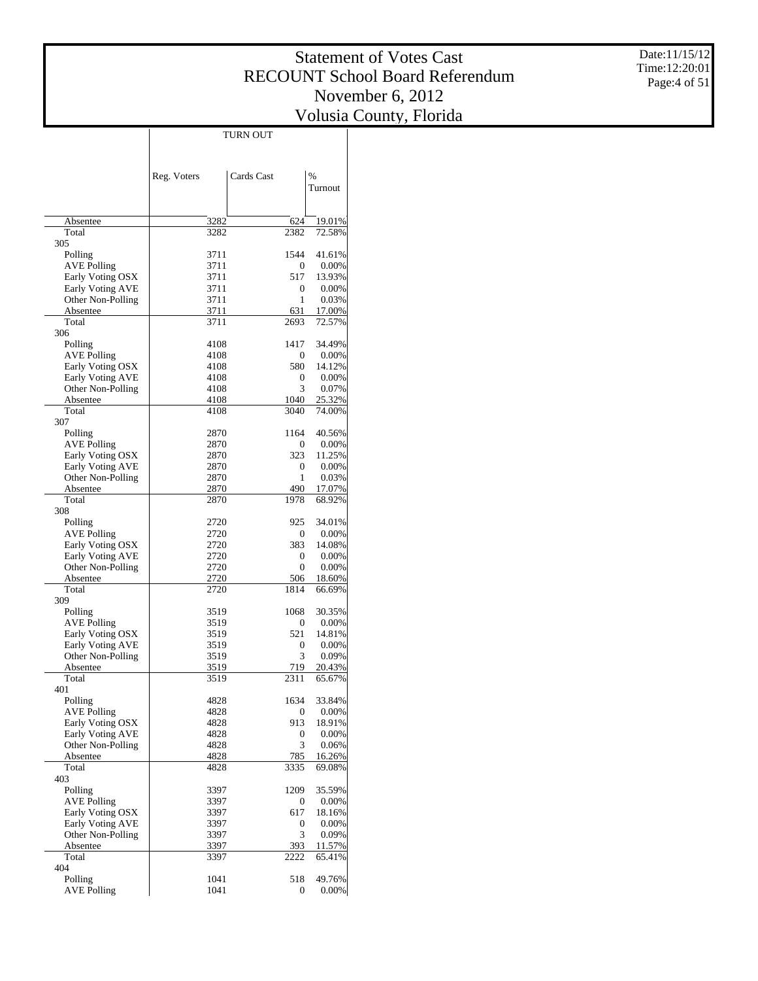Date:11/15/12 Time:12:20:01 Page:4 of 51

|                                        | <b>TURN OUT</b> |             |                  |
|----------------------------------------|-----------------|-------------|------------------|
|                                        |                 |             |                  |
|                                        |                 |             |                  |
|                                        | Reg. Voters     | Cards Cast  | $\frac{0}{0}$    |
|                                        |                 |             | Turnout          |
|                                        |                 |             |                  |
|                                        |                 |             |                  |
| Absentee<br>Total                      | 3282            | 624<br>2382 | 19.01%<br>72.58% |
| 305                                    | 3282            |             |                  |
| Polling                                | 3711            | 1544        | 41.61%           |
| <b>AVE Polling</b>                     | 3711            | 0           | 0.00%            |
| Early Voting OSX                       | 3711            | 517         | 13.93%           |
| Early Voting AVE                       | 3711            | 0           | 0.00%            |
| Other Non-Polling                      | 3711            | 1           | 0.03%            |
| Absentee                               | 3711            | 631         | 17.00%           |
| Total<br>306                           | 3711            | 2693        | 72.57%           |
| Polling                                | 4108            | 1417        | 34.49%           |
| <b>AVE Polling</b>                     | 4108            | 0           | 0.00%            |
| Early Voting OSX                       | 4108            | 580         | 14.12%           |
| Early Voting AVE                       | 4108            | 0           | 0.00%            |
| Other Non-Polling                      | 4108            | 3           | 0.07%            |
| Absentee                               | 4108            | 1040        | 25.32%           |
| Total                                  | 4108            | 3040        | 74.00%           |
| 307                                    |                 |             |                  |
| Polling<br><b>AVE Polling</b>          | 2870<br>2870    | 1164<br>0   | 40.56%<br>0.00%  |
| Early Voting OSX                       | 2870            | 323         | 11.25%           |
| Early Voting AVE                       | 2870            | 0           | 0.00%            |
| Other Non-Polling                      | 2870            | 1           | 0.03%            |
| Absentee                               | 2870            | 490         | 17.07%           |
| Total                                  | 2870            | 1978        | 68.92%           |
| 308                                    |                 |             |                  |
| Polling                                | 2720            | 925         | 34.01%           |
| <b>AVE Polling</b><br>Early Voting OSX | 2720            | 0           | 0.00%            |
| Early Voting AVE                       | 2720<br>2720    | 383<br>0    | 14.08%<br>0.00%  |
| Other Non-Polling                      | 2720            | 0           | 0.00%            |
| Absentee                               | 2720            | 506         | 18.60%           |
| Total                                  | 2720            | 1814        | 66.69%           |
| 309                                    |                 |             |                  |
| Polling                                | 3519            | 1068        | 30.35%           |
| <b>AVE Polling</b>                     | 3519            | 0           | 0.00%            |
| Early Voting OSX                       | 3519<br>3519    | 521         | 14.81%           |
| Early Voting AVE<br>Other Non-Polling  | 3519            | 0<br>3      | 0.00%<br>0.09%   |
| Absentee                               | 3519            | 719         | 20.43%           |
| Total                                  | 3519            | 2311        | 65.67%           |
| 401                                    |                 |             |                  |
| Polling                                | 4828            | 1634        | 33.84%           |
| <b>AVE Polling</b>                     | 4828            | 0           | 0.00%            |
| Early Voting OSX                       | 4828            | 913         | 18.91%           |
| Early Voting AVE                       | 4828            | 0           | 0.00%            |
| Other Non-Polling<br>Absentee          | 4828<br>4828    | 3<br>785    | 0.06%<br>16.26%  |
| Total                                  | 4828            | 3335        | 69.08%           |
| 403                                    |                 |             |                  |
| Polling                                | 3397            | 1209        | 35.59%           |
| <b>AVE Polling</b>                     | 3397            | 0           | 0.00%            |
| Early Voting OSX                       | 3397            | 617         | 18.16%           |
| Early Voting AVE                       | 3397            | 0           | 0.00%            |
| Other Non-Polling                      | 3397            | 3           | 0.09%            |
| Absentee                               | 3397            | 393         | 11.57%           |
| Total<br>404                           | 3397            | 2222        | 65.41%           |
| Polling                                | 1041            | 518         | 49.76%           |
| <b>AVE Polling</b>                     | 1041            | 0           | 0.00%            |
|                                        |                 |             |                  |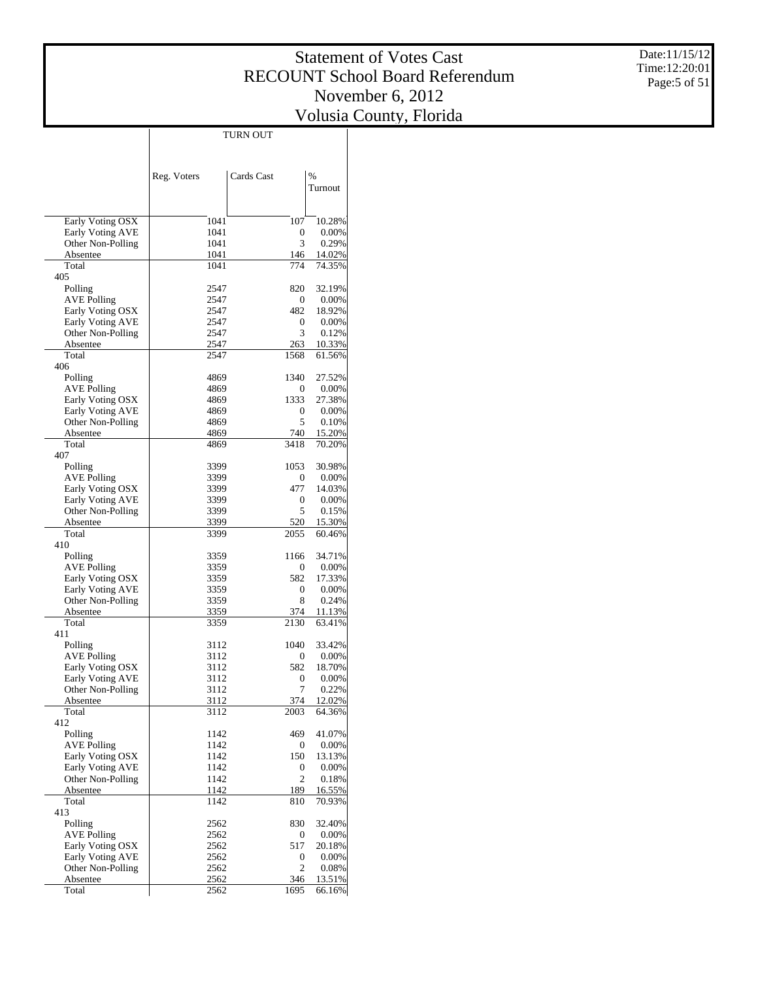Date:11/15/12 Time:12:20:01 Page:5 of 51

|                                       |              | TURN OUT       |                  |
|---------------------------------------|--------------|----------------|------------------|
|                                       |              |                |                  |
|                                       |              |                |                  |
|                                       |              | Cards Cast     | %                |
|                                       | Reg. Voters  |                | Turnout          |
|                                       |              |                |                  |
|                                       |              |                |                  |
| Early Voting OSX                      | 1041         | 107            | 10.28%           |
| Early Voting AVE                      | 1041         | 0              | 0.00%            |
| Other Non-Polling                     | 1041         | 3              | 0.29%            |
| Absentee                              | 1041         | 146            | 14.02%           |
| Total                                 | 1041         | 774            | 74.35%           |
| 405                                   |              |                |                  |
| Polling                               | 2547         | 820            | 32.19%           |
| <b>AVE Polling</b>                    | 2547         | 0              | 0.00%            |
| Early Voting OSX                      | 2547         | 482            | 18.92%           |
| Early Voting AVE                      | 2547         | 0<br>3         | 0.00%            |
| Other Non-Polling<br>Absentee         | 2547<br>2547 | 263            | 0.12%<br>10.33%  |
| Total                                 | 2547         | 1568           | 61.56%           |
| 406                                   |              |                |                  |
| Polling                               | 4869         | 1340           | 27.52%           |
| <b>AVE Polling</b>                    | 4869         | 0              | 0.00%            |
| Early Voting OSX                      | 4869         | 1333           | 27.38%           |
| Early Voting AVE                      | 4869         | 0              | 0.00%            |
| Other Non-Polling                     | 4869         | 5              | 0.10%            |
| Absentee                              | 4869         | 740            | 15.20%           |
| Total                                 | 4869         | 3418           | 70.20%           |
| 407                                   |              |                |                  |
| Polling                               | 3399         | 1053           | 30.98%           |
| <b>AVE Polling</b>                    | 3399         | 0              | 0.00%            |
| Early Voting OSX                      | 3399         | 477            | 14.03%           |
| Early Voting AVE                      | 3399         | 0              | 0.00%            |
| Other Non-Polling                     | 3399         | 5              | 0.15%            |
| Absentee<br>Total                     | 3399<br>3399 | 520<br>2055    | 15.30%<br>60.46% |
| 410                                   |              |                |                  |
| Polling                               | 3359         | 1166           | 34.71%           |
| <b>AVE Polling</b>                    | 3359         | 0              | 0.00%            |
| Early Voting OSX                      | 3359         | 582            | 17.33%           |
| Early Voting AVE                      | 3359         | 0              | 0.00%            |
| Other Non-Polling                     | 3359         | 8              | 0.24%            |
| Absentee                              | 3359         | 374            | 11.13%           |
| Total                                 | 3359         | 2130           | 63.41%           |
| 411                                   |              |                |                  |
| Polling                               | 3112         | 1040           | 33.42%           |
| <b>AVE Polling</b>                    | 3112         | 0              | 0.00%            |
| Early Voting OSX                      | 3112         | 582            | 18.70%           |
| <b>Early Voting AVE</b>               | 3112<br>3112 | 0<br>7         | 0.00%<br>0.22%   |
| Other Non-Polling<br>Absentee         | 3112         | 374            | 12.02%           |
| Total                                 | 3112         | 2003           | 64.36%           |
| 412                                   |              |                |                  |
| Polling                               | 1142         | 469            | 41.07%           |
| <b>AVE Polling</b>                    | 1142         | 0              | 0.00%            |
| Early Voting OSX                      | 1142         | 150            | 13.13%           |
| Early Voting AVE                      | 1142         | 0              | 0.00%            |
| Other Non-Polling                     | 1142         | $\overline{c}$ | 0.18%            |
| Absentee                              | 1142         | 189            | 16.55%           |
| Total                                 | 1142         | 810            | 70.93%           |
| 413                                   |              |                |                  |
| Polling                               | 2562         | 830            | 32.40%           |
| <b>AVE Polling</b>                    | 2562         | 0              | 0.00%            |
| Early Voting OSX                      | 2562         | 517            | 20.18%           |
| Early Voting AVE<br>Other Non-Polling | 2562<br>2562 | 0<br>2         | 0.00%<br>0.08%   |
| Absentee                              | 2562         | 346            | 13.51%           |
| Total                                 | 2562         | 1695           | 66.16%           |
|                                       |              |                |                  |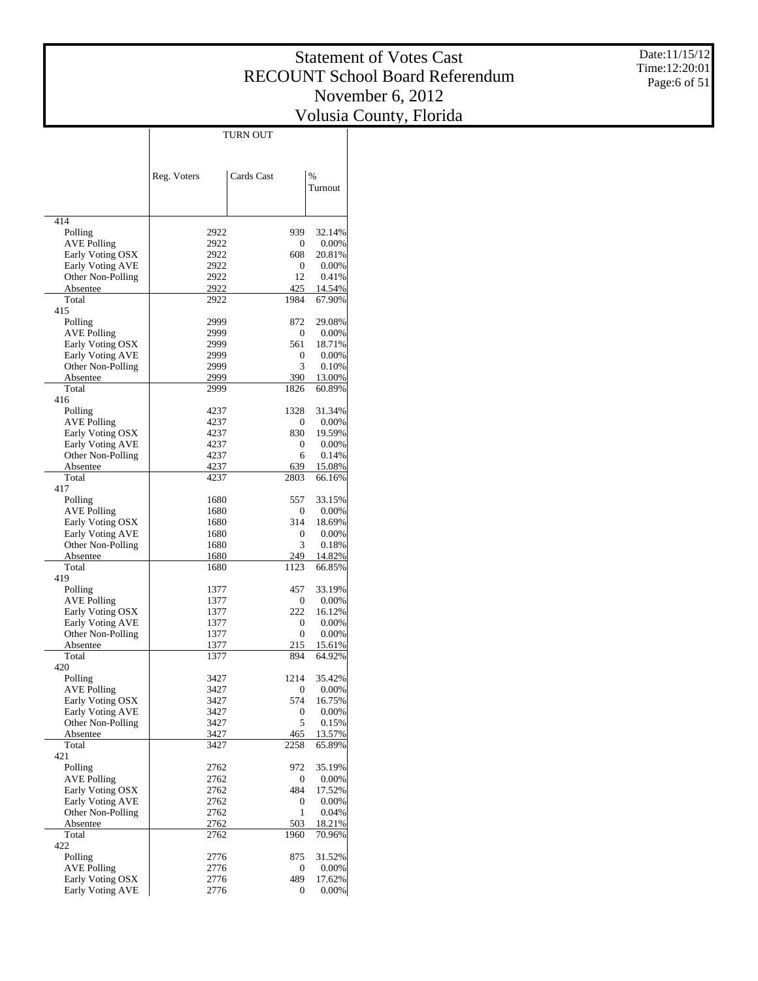Date:11/15/12 Time:12:20:01 Page:6 of 51

|                               |              | TURN OUT         |                  |
|-------------------------------|--------------|------------------|------------------|
|                               |              |                  |                  |
|                               |              |                  |                  |
|                               | Reg. Voters  | Cards Cast       | $\frac{0}{0}$    |
|                               |              |                  | Turnout          |
|                               |              |                  |                  |
| 414                           |              |                  |                  |
| Polling                       | 2922         | 939              | 32.14%           |
| <b>AVE Polling</b>            | 2922         | 0                | 0.00%            |
| Early Voting OSX              | 2922         | 608              | 20.81%           |
| Early Voting AVE              | 2922<br>2922 | 0<br>12          | 0.00%            |
| Other Non-Polling<br>Absentee | 2922         | 425              | 0.41%<br>14.54%  |
| Total                         | 2922         | 1984             | 67.90%           |
| 415                           |              |                  |                  |
| Polling                       | 2999         | 872              | 29.08%           |
| <b>AVE Polling</b>            | 2999         | 0                | 0.00%            |
| Early Voting OSX              | 2999         | 561              | 18.71%           |
| Early Voting AVE              | 2999         | 0<br>3           | 0.00%            |
| Other Non-Polling<br>Absentee | 2999<br>2999 | 390              | 0.10%<br>13.00%  |
| Total                         | 2999         | 1826             | 60.89%           |
| 416                           |              |                  |                  |
| Polling                       | 4237         | 1328             | 31.34%           |
| <b>AVE Polling</b>            | 4237         | 0                | 0.00%            |
| Early Voting OSX              | 4237         | 830              | 19.59%           |
| Early Voting AVE              | 4237         | 0                | 0.00%            |
| Other Non-Polling             | 4237         | 6                | 0.14%            |
| Absentee<br>Total             | 4237<br>4237 | 639<br>2803      | 15.08%<br>66.16% |
| 417                           |              |                  |                  |
| Polling                       | 1680         | 557              | 33.15%           |
| <b>AVE Polling</b>            | 1680         | 0                | 0.00%            |
| Early Voting OSX              | 1680         | 314              | 18.69%           |
| Early Voting AVE              | 1680         | 0                | 0.00%            |
| Other Non-Polling             | 1680         | 3                | 0.18%            |
| Absentee<br>Total             | 1680<br>1680 | 249<br>1123      | 14.82%<br>66.85% |
| 419                           |              |                  |                  |
| Polling                       | 1377         | 457              | 33.19%           |
| <b>AVE Polling</b>            | 1377         | 0                | 0.00%            |
| Early Voting OSX              | 1377         | 222              | 16.12%           |
| Early Voting AVE              | 1377         | 0                | 0.00%            |
| Other Non-Polling             | 1377         | $\boldsymbol{0}$ | 0.00%            |
| Absentee<br>Total             | 1377         | 215              | 15.61%           |
| 420                           | 1377         | 894              | 64.92%           |
| Polling                       | 3427         | 1214             | 35.42%           |
| AVE Polling                   | 3427         | 0                | $0.00\%$         |
| Early Voting OSX              | 3427         | 574              | 16.75%           |
| Early Voting AVE              | 3427         | 0                | $0.00\%$         |
| Other Non-Polling             | 3427         | 5                | 0.15%            |
| Absentee                      | 3427         | 465              | 13.57%           |
| Total<br>421                  | 3427         | 2258             | 65.89%           |
| Polling                       | 2762         | 972              | 35.19%           |
| <b>AVE Polling</b>            | 2762         | 0                | $0.00\%$         |
| Early Voting OSX              | 2762         | 484              | 17.52%           |
| Early Voting AVE              | 2762         | 0                | $0.00\%$         |
| Other Non-Polling             | 2762         | 1                | 0.04%            |
| Absentee                      | 2762         | 503              | 18.21%           |
| Total<br>422                  | 2762         | 1960             | 70.96%           |
| Polling                       | 2776         | 875              | 31.52%           |
| <b>AVE Polling</b>            | 2776         | 0                | $0.00\%$         |
| Early Voting OSX              | 2776         | 489              | 17.62%           |
| Early Voting AVE              | 2776         | 0                | $0.00\%$         |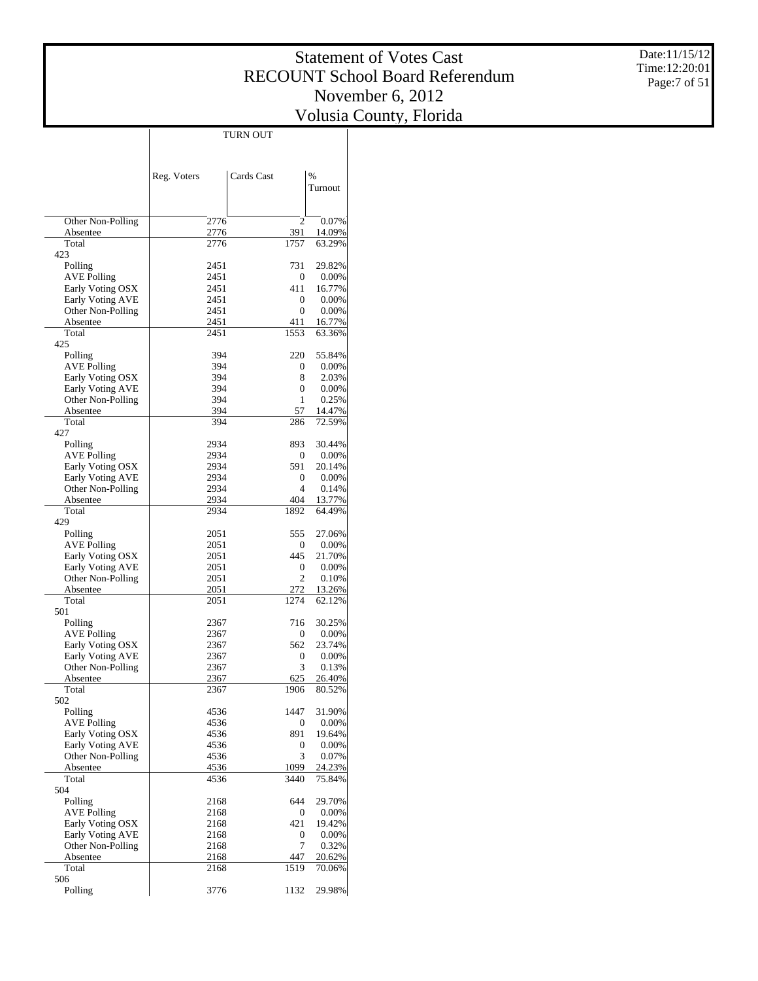Date:11/15/12 Time:12:20:01 Page:7 of 51

|                                        | TURN OUT     |                  |                  |
|----------------------------------------|--------------|------------------|------------------|
|                                        |              |                  |                  |
|                                        | Reg. Voters  | Cards Cast       | $\frac{0}{0}$    |
|                                        |              |                  | Turnout          |
|                                        |              |                  |                  |
| Other Non-Polling                      | 2776         | 2                | 0.07%            |
| Absentee                               | 2776         | 391              | 14.09%           |
| Total<br>423                           | 2776         | 1757             | 63.29%           |
| Polling                                | 2451         | 731              | 29.82%           |
| <b>AVE Polling</b>                     | 2451         | $\mathbf{0}$     | 0.00%            |
| Early Voting OSX                       | 2451         | 411              | 16.77%           |
| Early Voting AVE                       | 2451         | $\mathbf{0}$     | 0.00%            |
| Other Non-Polling                      | 2451         | $\mathbf{0}$     | 0.00%            |
| Absentee                               | 2451         | 411              | 16.77%           |
| Total<br>425                           | 2451         | 1553             | 63.36%           |
| Polling                                | 394          | 220              | 55.84%           |
| AVE Polling                            | 394          | 0                | 0.00%            |
| Early Voting OSX                       | 394          | 8                | 2.03%            |
| Early Voting AVE                       | 394          | 0                | 0.00%            |
| Other Non-Polling                      | 394          | 1                | 0.25%            |
| Absentee                               | 394          | 57               | 14.47%           |
| Total                                  | 394          | 286              | 72.59%           |
| 427                                    | 2934         |                  |                  |
| Polling<br><b>AVE Polling</b>          | 2934         | 893<br>0         | 30.44%<br>0.00%  |
| Early Voting OSX                       | 2934         | 591              | 20.14%           |
| Early Voting AVE                       | 2934         | $\mathbf{0}$     | 0.00%            |
| Other Non-Polling                      | 2934         | $\overline{4}$   | 0.14%            |
| Absentee                               | 2934         | 404              | 13.77%           |
| Total                                  | 2934         | 1892             | 64.49%           |
| 429                                    |              |                  |                  |
| Polling                                | 2051         | 555              | 27.06%           |
| AVE Polling<br>Early Voting OSX        | 2051<br>2051 | 0<br>445         | 0.00%<br>21.70%  |
| Early Voting AVE                       | 2051         | $\boldsymbol{0}$ | 0.00%            |
| Other Non-Polling                      | 2051         | 2                | 0.10%            |
| Absentee                               | 2051         | 272              | 13.26%           |
| Total                                  | 2051         | 1274             | 62.12%           |
| 501                                    |              |                  |                  |
| Polling                                | 2367         | 716              | 30.25%           |
| AVE Polling                            | 2367         | 0                | 0.00%            |
| Early Voting OSX                       | 2367         | 562              | 23.74%           |
| Early Voting AVE                       | 2367         | 0                | 0.00%            |
| Other Non-Polling                      | 2367         | 3                | 0.13%            |
| Absentee<br>Total                      | 2367<br>2367 | 625<br>1906      | 26.40%<br>80.52% |
| 502                                    |              |                  |                  |
| Polling                                | 4536         | 1447             | 31.90%           |
| <b>AVE Polling</b>                     | 4536         | $\boldsymbol{0}$ | 0.00%            |
| Early Voting OSX                       | 4536         | 891              | 19.64%           |
| Early Voting AVE                       | 4536         | 0                | 0.00%            |
| Other Non-Polling                      | 4536         | 3                | 0.07%            |
| Absentee                               | 4536         | 1099             | 24.23%           |
| Total                                  | 4536         | 3440             | 75.84%           |
| 504                                    |              |                  |                  |
| Polling                                | 2168         | 644              | 29.70%           |
| <b>AVE Polling</b><br>Early Voting OSX | 2168         | 0                | 0.00%            |
| Early Voting AVE                       | 2168<br>2168 | 421<br>0         | 19.42%<br>0.00%  |
| Other Non-Polling                      | 2168         | 7                | 0.32%            |
| Absentee                               | 2168         | 447              | 20.62%           |
| Total                                  | 2168         | 1519             | 70.06%           |
| 506                                    |              |                  |                  |
| Polling                                | 3776         | 1132             | 29.98%           |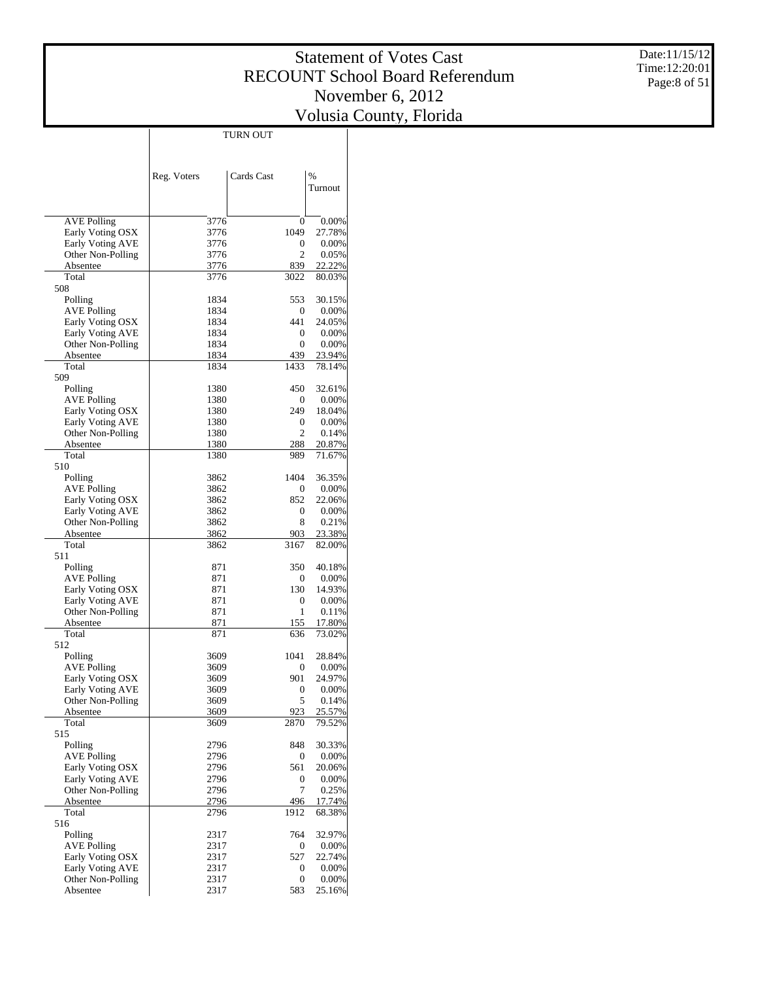Date:11/15/12 Time:12:20:01 Page:8 of 51

|                                              |              | TURN OUT                |                  |
|----------------------------------------------|--------------|-------------------------|------------------|
|                                              |              |                         |                  |
|                                              | Reg. Voters  | Cards Cast              | $\frac{0}{0}$    |
|                                              |              |                         | Turnout          |
|                                              |              |                         |                  |
| <b>AVE Polling</b>                           | 3776         | 0                       | 0.00%            |
| Early Voting OSX                             | 3776         | 1049                    | 27.78%           |
| <b>Early Voting AVE</b>                      | 3776         | 0                       | 0.00%            |
| Other Non-Polling                            | 3776         | $\overline{c}$          | 0.05%            |
| Absentee<br>Total                            | 3776<br>3776 | 839<br>3022             | 22.22%<br>80.03% |
| 508                                          |              |                         |                  |
| Polling                                      | 1834         | 553                     | 30.15%           |
| <b>AVE Polling</b>                           | 1834         | 0                       | 0.00%            |
| Early Voting OSX                             | 1834         | 441                     | 24.05%           |
| <b>Early Voting AVE</b><br>Other Non-Polling | 1834<br>1834 | 0<br>$\mathbf{0}$       | 0.00%<br>0.00%   |
| Absentee                                     | 1834         | 439                     | 23.94%           |
| Total                                        | 1834         | 1433                    | 78.14%           |
| 509                                          |              |                         |                  |
| Polling                                      | 1380         | 450                     | 32.61%           |
| <b>AVE Polling</b>                           | 1380         | 0                       | 0.00%            |
| Early Voting OSX<br><b>Early Voting AVE</b>  | 1380<br>1380 | 249<br>0                | 18.04%<br>0.00%  |
| Other Non-Polling                            | 1380         | $\overline{c}$          | 0.14%            |
| Absentee                                     | 1380         | 288                     | 20.87%           |
| Total                                        | 1380         | 989                     | 71.67%           |
| 510                                          |              |                         |                  |
| Polling                                      | 3862         | 1404                    | 36.35%           |
| <b>AVE Polling</b><br>Early Voting OSX       | 3862<br>3862 | 0<br>852                | 0.00%<br>22.06%  |
| <b>Early Voting AVE</b>                      | 3862         | 0                       | 0.00%            |
| Other Non-Polling                            | 3862         | 8                       | 0.21%            |
| Absentee                                     | 3862         | 903                     | 23.38%           |
| Total                                        | 3862         | 3167                    | 82.00%           |
| 511<br>Polling                               | 871          | 350                     | 40.18%           |
| <b>AVE Polling</b>                           | 871          | 0                       | 0.00%            |
| Early Voting OSX                             | 871          | 130                     | 14.93%           |
| Early Voting AVE                             | 871          | 0                       | 0.00%            |
| Other Non-Polling                            | 871          | 1                       | 0.11%            |
| Absentee                                     | 871          | 155                     | 17.80%           |
| Total<br>512                                 | 871          | 636                     | 73.02%           |
| Polling                                      | 3609         | 1041                    | 28.84%           |
| <b>AVE Polling</b>                           | 3609         | 0                       | 0.00%            |
| Early Voting OSX                             | 3609         | 901                     | 24.97%           |
| Early Voting AVE                             | 3609         | 0                       | 0.00%            |
| Other Non-Polling                            | 3609         | 5                       | 0.14%            |
| Absentee                                     | 3609         | 923<br>2870             | 25.57%           |
| Total<br>515                                 | 3609         |                         | 79.52%           |
| Polling                                      | 2796         | 848                     | 30.33%           |
| <b>AVE Polling</b>                           | 2796         | 0                       | 0.00%            |
| Early Voting OSX                             | 2796         | 561                     | 20.06%           |
| <b>Early Voting AVE</b>                      | 2796         | 0                       | 0.00%            |
| Other Non-Polling<br>Absentee                | 2796<br>2796 | 7<br>496                | 0.25%            |
| Total                                        | 2796         | 1912                    | 17.74%<br>68.38% |
| 516                                          |              |                         |                  |
| Polling                                      | 2317         | 764                     | 32.97%           |
| <b>AVE Polling</b>                           | 2317         | 0                       | 0.00%            |
| Early Voting OSX                             | 2317         | 527                     | 22.74%           |
| <b>Early Voting AVE</b>                      | 2317         | 0                       | 0.00%            |
| Other Non-Polling<br>Absentee                | 2317<br>2317 | $\boldsymbol{0}$<br>583 | 0.00%<br>25.16%  |
|                                              |              |                         |                  |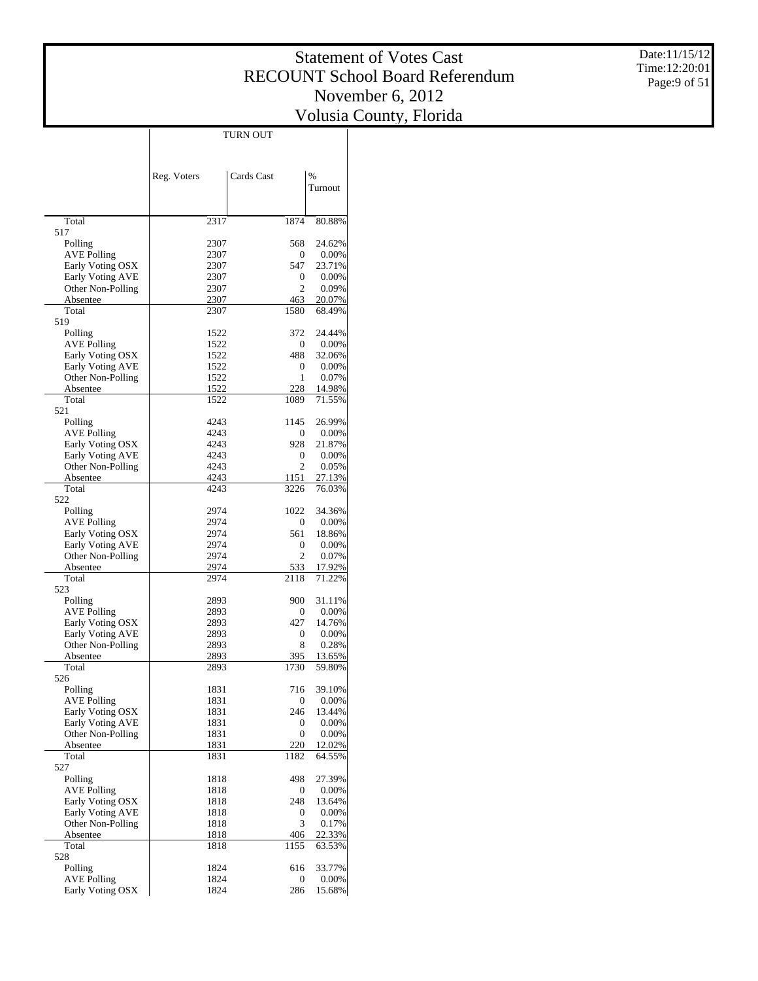Date:11/15/12 Time:12:20:01 Page:9 of 51

|                                      | <b>TURN OUT</b> |                       |                  |
|--------------------------------------|-----------------|-----------------------|------------------|
|                                      |                 |                       |                  |
|                                      |                 | Cards Cast            | $\%$             |
|                                      | Reg. Voters     |                       | Turnout          |
|                                      |                 |                       |                  |
| Total                                | 2317            | 1874                  | 80.88%           |
| 517                                  |                 |                       |                  |
| Polling                              | 2307            | 568                   | 24.62%           |
| <b>AVE Polling</b>                   | 2307            | 0                     | 0.00%            |
| Early Voting OSX<br>Early Voting AVE | 2307<br>2307    | 547<br>0              | 23.71%<br>0.00%  |
| Other Non-Polling                    | 2307            | $\overline{c}$        | 0.09%            |
| Absentee                             | 2307            | 463                   | 20.07%           |
| Total                                | 2307            | 1580                  | 68.49%           |
| 519                                  |                 | 372                   |                  |
| Polling<br><b>AVE Polling</b>        | 1522<br>1522    | 0                     | 24.44%<br>0.00%  |
| Early Voting OSX                     | 1522            | 488                   | 32.06%           |
| Early Voting AVE                     | 1522            | 0                     | 0.00%            |
| Other Non-Polling                    | 1522            | 1                     | 0.07%            |
| Absentee                             | 1522            | 228                   | 14.98%           |
| Total<br>521                         | 1522            | 1089                  | 71.55%           |
| Polling                              | 4243            | 1145                  | 26.99%           |
| <b>AVE Polling</b>                   | 4243            | $\mathbf{0}$          | 0.00%            |
| Early Voting OSX                     | 4243            | 928                   | 21.87%           |
| Early Voting AVE                     | 4243            | 0                     | 0.00%            |
| Other Non-Polling                    | 4243            | $\overline{c}$        | 0.05%            |
| Absentee<br>Total                    | 4243<br>4243    | 1151<br>3226          | 27.13%<br>76.03% |
| 522                                  |                 |                       |                  |
| Polling                              | 2974            | 1022                  | 34.36%           |
| <b>AVE Polling</b>                   | 2974            | 0                     | 0.00%            |
| Early Voting OSX                     | 2974            | 561                   | 18.86%           |
| Early Voting AVE                     | 2974            | 0                     | 0.00%            |
| Other Non-Polling<br>Absentee        | 2974<br>2974    | $\overline{c}$<br>533 | 0.07%<br>17.92%  |
| Total                                | 2974            | 2118                  | 71.22%           |
| 523                                  |                 |                       |                  |
| Polling                              | 2893            | 900                   | 31.11%           |
| <b>AVE Polling</b>                   | 2893            | 0                     | 0.00%            |
| Early Voting OSX<br>Early Voting AVE | 2893<br>2893    | 427<br>0              | 14.76%<br>0.00%  |
| Other Non-Polling                    | 2893            | 8                     | 0.28%            |
| Absentee                             | 2893            | 395                   | 13.65%           |
| Total                                | 2893            | 1730                  | 59.80%           |
| 526                                  |                 |                       |                  |
| Polling<br><b>AVE Polling</b>        | 1831<br>1831    | 716                   | 39.10%           |
| Early Voting OSX                     | 1831            | 0<br>246              | 0.00%<br>13.44%  |
| Early Voting AVE                     | 1831            | 0                     | 0.00%            |
| Other Non-Polling                    | 1831            | 0                     | 0.00%            |
| Absentee                             | 1831            | 220                   | 12.02%           |
| Total                                | 1831            | 1182                  | 64.55%           |
| 527<br>Polling                       | 1818            | 498                   | 27.39%           |
| <b>AVE Polling</b>                   | 1818            | 0                     | 0.00%            |
| Early Voting OSX                     | 1818            | 248                   | 13.64%           |
| Early Voting AVE                     | 1818            | 0                     | 0.00%            |
| Other Non-Polling                    | 1818            | 3                     | 0.17%            |
| Absentee                             | 1818            | 406                   | 22.33%           |
| Total<br>528                         | 1818            | 1155                  | 63.53%           |
| Polling                              | 1824            | 616                   | 33.77%           |
| <b>AVE Polling</b>                   | 1824            | 0                     | 0.00%            |
| Early Voting OSX                     | 1824            | 286                   | 15.68%           |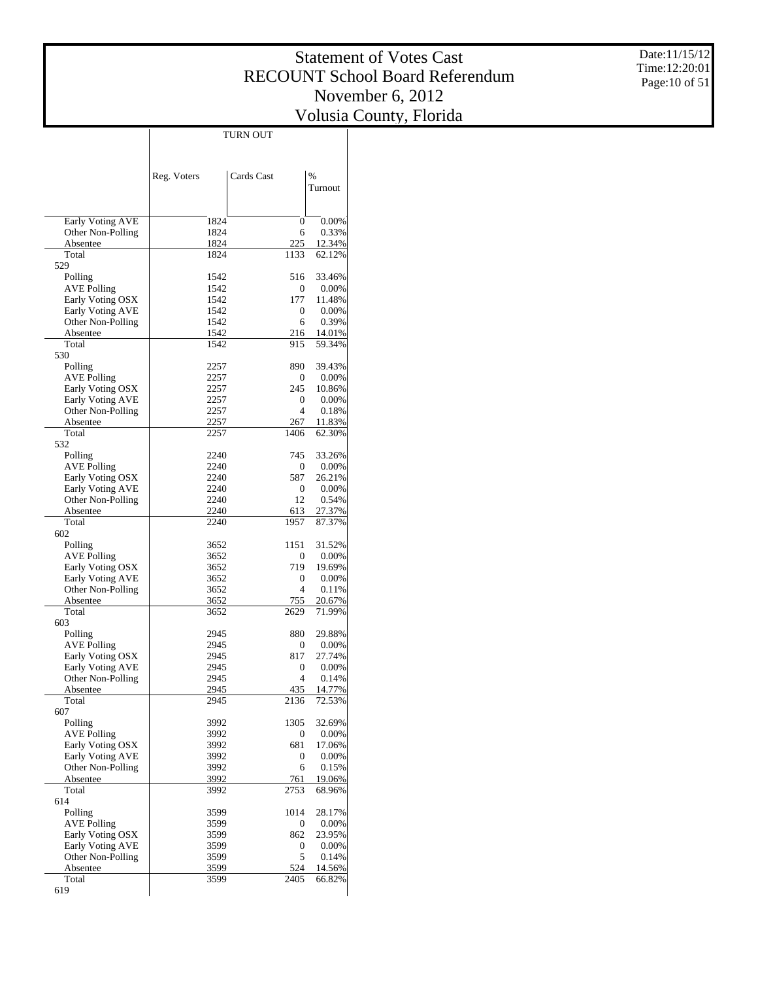Date:11/15/12 Time:12:20:01 Page:10 of 51

|                                       |              | TURN OUT            |                  |
|---------------------------------------|--------------|---------------------|------------------|
|                                       |              |                     |                  |
|                                       |              |                     |                  |
|                                       | Reg. Voters  | Cards Cast          | $\frac{0}{0}$    |
|                                       |              |                     | Turnout          |
|                                       |              |                     |                  |
| Early Voting AVE                      | 1824         | 0                   | 0.00%            |
| Other Non-Polling                     | 1824         | 6                   | 0.33%            |
| Absentee<br>Total                     | 1824<br>1824 | 225<br>1133         | 12.34%<br>62.12% |
| 529                                   |              |                     |                  |
| Polling                               | 1542         | 516                 | 33.46%           |
| AVE Polling                           | 1542         | 0                   | 0.00%            |
| Early Voting OSX                      | 1542         | 177                 | 11.48%           |
| Early Voting AVE<br>Other Non-Polling | 1542<br>1542 | 0<br>6              | 0.00%<br>0.39%   |
| Absentee                              | 1542         | 216                 | 14.01%           |
| Total                                 | 1542         | 915                 | 59.34%           |
| 530                                   |              |                     |                  |
| Polling                               | 2257         | 890                 | 39.43%           |
| AVE Polling                           | 2257         | 0                   | 0.00%            |
| Early Voting OSX                      | 2257         | 245                 | 10.86%           |
| Early Voting AVE<br>Other Non-Polling | 2257<br>2257 | 0<br>$\overline{4}$ | 0.00%<br>0.18%   |
| Absentee                              | 2257         | 267                 | 11.83%           |
| Total                                 | 2257         | 1406                | 62.30%           |
| 532                                   |              |                     |                  |
| Polling                               | 2240         | 745                 | 33.26%           |
| <b>AVE Polling</b>                    | 2240         | 0                   | 0.00%            |
| Early Voting OSX                      | 2240         | 587                 | 26.21%           |
| Early Voting AVE                      | 2240         | 0                   | 0.00%            |
| Other Non-Polling<br>Absentee         | 2240<br>2240 | 12<br>613           | 0.54%<br>27.37%  |
| Total                                 | 2240         | 1957                | 87.37%           |
| 602                                   |              |                     |                  |
| Polling                               | 3652         | 1151                | 31.52%           |
| AVE Polling                           | 3652         | 0                   | 0.00%            |
| Early Voting OSX                      | 3652         | 719                 | 19.69%           |
| Early Voting AVE                      | 3652         | 0                   | 0.00%            |
| Other Non-Polling<br>Absentee         | 3652<br>3652 | 4<br>755            | 0.11%<br>20.67%  |
| Total                                 | 3652         | 2629                | 71.99%           |
| 603                                   |              |                     |                  |
| Polling                               | 2945         | 880                 | 29.88%           |
| AVE Polling                           | 2945         | 0                   | 0.00%            |
| Early Voting OSX                      | 2945         | 817                 | 27.74%           |
| Early Voting AVE                      | 2945         | 0                   | 0.00%            |
| Other Non-Polling                     | 2945         | 4                   | 0.14%            |
| Absentee<br>Total                     | 2945<br>2945 | 435<br>2136         | 14.77%<br>72.53% |
| 607                                   |              |                     |                  |
| Polling                               | 3992         | 1305                | 32.69%           |
| <b>AVE Polling</b>                    | 3992         | 0                   | 0.00%            |
| Early Voting OSX                      | 3992         | 681                 | 17.06%           |
| Early Voting AVE                      | 3992         | 0                   | 0.00%            |
| Other Non-Polling                     | 3992         | 6                   | 0.15%            |
| Absentee<br>Total                     | 3992         | 761<br>2753         | 19.06%           |
| 614                                   | 3992         |                     | 68.96%           |
| Polling                               | 3599         | 1014                | 28.17%           |
| <b>AVE Polling</b>                    | 3599         | 0                   | 0.00%            |
| Early Voting OSX                      | 3599         | 862                 | 23.95%           |
| Early Voting AVE                      | 3599         | 0                   | 0.00%            |
| Other Non-Polling                     | 3599         | 5                   | 0.14%            |
| Absentee                              | 3599         | 524                 | 14.56%           |
| Total<br>619                          | 3599         | 2405                | 66.82%           |
|                                       |              |                     |                  |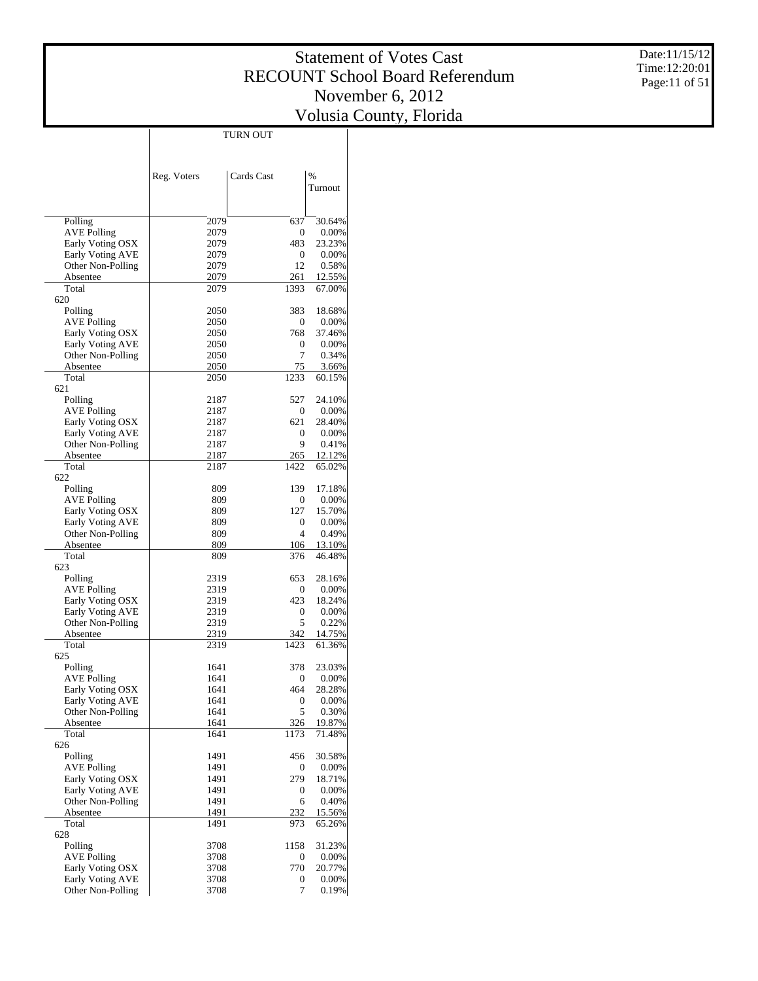Date:11/15/12 Time:12:20:01 Page:11 of 51

|                                              | TURN OUT     |                  |                 |
|----------------------------------------------|--------------|------------------|-----------------|
|                                              |              |                  |                 |
|                                              |              |                  |                 |
|                                              | Reg. Voters  | Cards Cast       | $\frac{0}{0}$   |
|                                              |              |                  | Turnout         |
|                                              |              |                  |                 |
|                                              |              |                  |                 |
| Polling                                      | 2079         | 637              | 30.64%          |
| <b>AVE Polling</b>                           | 2079         | 0                | 0.00%           |
| Early Voting OSX                             | 2079         | 483              | 23.23%          |
| <b>Early Voting AVE</b><br>Other Non-Polling | 2079<br>2079 | 0<br>12          | 0.00%<br>0.58%  |
| Absentee                                     | 2079         | 261              | 12.55%          |
| Total                                        | 2079         | 1393             | 67.00%          |
| 620                                          |              |                  |                 |
| Polling                                      | 2050         | 383              | 18.68%          |
| <b>AVE Polling</b>                           | 2050         | 0                | 0.00%           |
| Early Voting OSX                             | 2050         | 768              | 37.46%          |
| Early Voting AVE                             | 2050         | 0                | 0.00%           |
| Other Non-Polling                            | 2050         | 7                | 0.34%           |
| Absentee<br>Total                            | 2050<br>2050 | 75<br>1233       | 3.66%<br>60.15% |
| 621                                          |              |                  |                 |
| Polling                                      | 2187         | 527              | 24.10%          |
| <b>AVE Polling</b>                           | 2187         | 0                | 0.00%           |
| Early Voting OSX                             | 2187         | 621              | 28.40%          |
| <b>Early Voting AVE</b>                      | 2187         | 0                | 0.00%           |
| Other Non-Polling                            | 2187         | 9                | 0.41%           |
| Absentee                                     | 2187         | 265              | 12.12%          |
| Total                                        | 2187         | 1422             | 65.02%          |
| 622                                          |              |                  |                 |
| Polling<br><b>AVE Polling</b>                | 809<br>809   | 139<br>0         | 17.18%<br>0.00% |
| Early Voting OSX                             | 809          | 127              | 15.70%          |
| <b>Early Voting AVE</b>                      | 809          | 0                | 0.00%           |
| Other Non-Polling                            | 809          | 4                | 0.49%           |
| Absentee                                     | 809          | 106              | 13.10%          |
| Total                                        | 809          | 376              | 46.48%          |
| 623                                          |              |                  |                 |
| Polling                                      | 2319         | 653              | 28.16%          |
| <b>AVE Polling</b>                           | 2319         | 0                | 0.00%           |
| Early Voting OSX<br>Early Voting AVE         | 2319<br>2319 | 423<br>0         | 18.24%<br>0.00% |
| Other Non-Polling                            | 2319         | 5                | 0.22%           |
| Absentee                                     | 2319         | 342              | 14.75%          |
| Total                                        | 2319         | 1423             | 61.36%          |
| 625                                          |              |                  |                 |
| Polling                                      | 1641         | 378              | 23.03%          |
| <b>AVE Polling</b>                           | 1641         | $\boldsymbol{0}$ | 0.00%           |
| Early Voting OSX                             | 1641         | 464              | 28.28%          |
| Early Voting AVE<br>Other Non-Polling        | 1641         | 0<br>5           | 0.00%           |
| Absentee                                     | 1641<br>1641 | 326              | 0.30%<br>19.87% |
| Total                                        | 1641         | 1173             | 71.48%          |
| 626                                          |              |                  |                 |
| Polling                                      | 1491         | 456              | 30.58%          |
| <b>AVE Polling</b>                           | 1491         | 0                | 0.00%           |
| Early Voting OSX                             | 1491         | 279              | 18.71%          |
| Early Voting AVE                             | 1491         | 0                | 0.00%           |
| Other Non-Polling                            | 1491         | 6                | 0.40%           |
| Absentee<br>Total                            | 1491         | 232              | 15.56%          |
| 628                                          | 1491         | 973              | 65.26%          |
| Polling                                      | 3708         | 1158             | 31.23%          |
| <b>AVE Polling</b>                           | 3708         | 0                | 0.00%           |
| Early Voting OSX                             | 3708         | 770              | 20.77%          |
| Early Voting AVE                             | 3708         | 0                | 0.00%           |
| Other Non-Polling                            | 3708         | 7                | 0.19%           |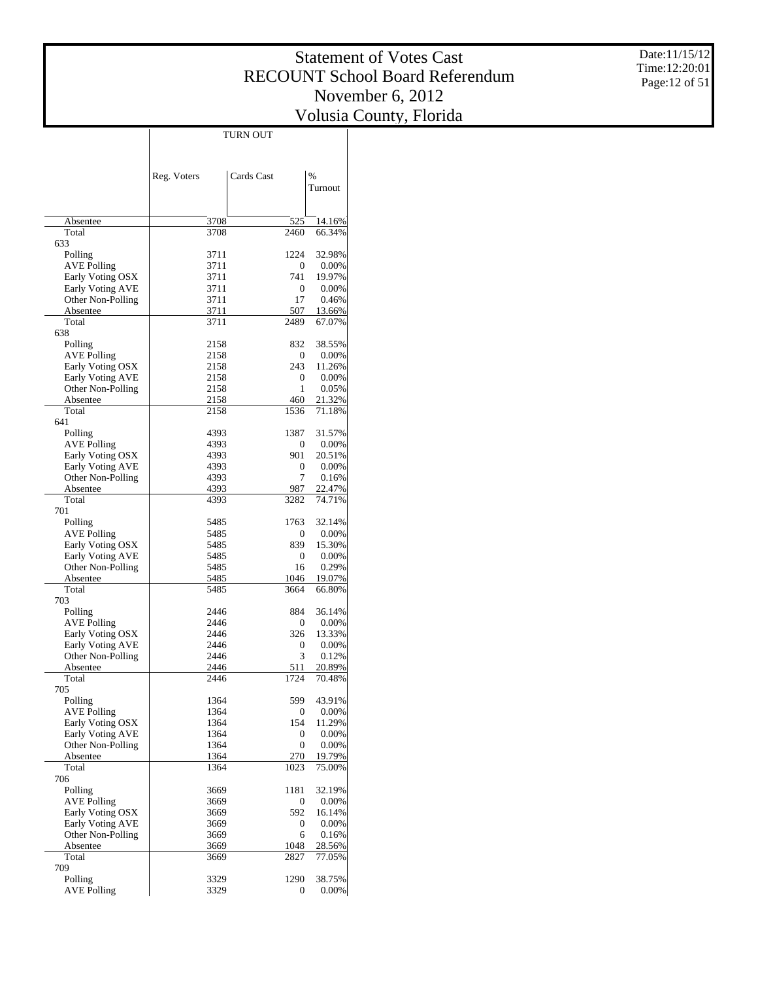Date:11/15/12 Time:12:20:01 Page:12 of 51

|                                       | <b>TURN OUT</b> |              |                  |
|---------------------------------------|-----------------|--------------|------------------|
|                                       |                 |              |                  |
|                                       |                 |              |                  |
|                                       | Reg. Voters     | Cards Cast   | $\frac{0}{0}$    |
|                                       |                 |              | Turnout          |
|                                       |                 |              |                  |
|                                       |                 |              |                  |
| Absentee                              | 3708            | 525          | 14.16%           |
| Total<br>633                          | 3708            | 2460         | 66.34%           |
| Polling                               | 3711            | 1224         | 32.98%           |
| <b>AVE Polling</b>                    | 3711            | 0            | 0.00%            |
| Early Voting OSX                      | 3711            | 741          | 19.97%           |
| Early Voting AVE                      | 3711            | 0            | 0.00%            |
| Other Non-Polling                     | 3711            | 17           | 0.46%            |
| Absentee                              | 3711            | 507          | 13.66%           |
| Total                                 | 3711            | 2489         | 67.07%           |
| 638                                   | 2158            | 832          | 38.55%           |
| Polling<br><b>AVE Polling</b>         | 2158            | 0            | 0.00%            |
| Early Voting OSX                      | 2158            | 243          | 11.26%           |
| Early Voting AVE                      | 2158            | 0            | 0.00%            |
| Other Non-Polling                     | 2158            | 1            | 0.05%            |
| Absentee                              | 2158            | 460          | 21.32%           |
| Total                                 | 2158            | 1536         | 71.18%           |
| 641                                   |                 |              |                  |
| Polling                               | 4393            | 1387         | 31.57%           |
| <b>AVE Polling</b>                    | 4393            | 0            | 0.00%            |
| Early Voting OSX                      | 4393            | 901          | 20.51%           |
| Early Voting AVE<br>Other Non-Polling | 4393<br>4393    | 0<br>7       | 0.00%<br>0.16%   |
| Absentee                              | 4393            | 987          | 22.47%           |
| Total                                 | 4393            | 3282         | 74.71%           |
| 701                                   |                 |              |                  |
| Polling                               | 5485            | 1763         | 32.14%           |
| <b>AVE Polling</b>                    | 5485            | 0            | 0.00%            |
| Early Voting OSX                      | 5485            | 839          | 15.30%           |
| Early Voting AVE                      | 5485            | 0            | 0.00%            |
| Other Non-Polling                     | 5485            | 16           | 0.29%            |
| Absentee                              | 5485            | 1046         | 19.07%           |
| Total<br>703                          | 5485            | 3664         | 66.80%           |
| Polling                               | 2446            | 884          | 36.14%           |
| <b>AVE Polling</b>                    | 2446            | 0            | 0.00%            |
| Early Voting OSX                      | 2446            | 326          | 13.33%           |
| Early Voting AVE                      | 2446            | 0            | 0.00%            |
| Other Non-Polling                     | 2446            | 3            | 0.12%            |
| Absentee                              | 2446            | 511          | 20.89%           |
| Total                                 | 2446            | 1724         | 70.48%           |
| 705                                   |                 |              |                  |
| Polling<br><b>AVE Polling</b>         | 1364<br>1364    | 599          | 43.91%<br>0.00%  |
| Early Voting OSX                      | 1364            | 0<br>154     | 11.29%           |
| Early Voting AVE                      | 1364            | 0            | 0.00%            |
| Other Non-Polling                     | 1364            | 0            | 0.00%            |
| Absentee                              | 1364            | 270          | 19.79%           |
| Total                                 | 1364            | 1023         | 75.00%           |
| 706                                   |                 |              |                  |
| Polling                               | 3669            | 1181         | 32.19%           |
| <b>AVE Polling</b>                    | 3669            | 0            | 0.00%            |
| Early Voting OSX                      | 3669            | 592          | 16.14%           |
| Early Voting AVE                      | 3669            | 0            | 0.00%            |
| Other Non-Polling                     | 3669            | 6            | 0.16%            |
| Absentee<br>Total                     | 3669<br>3669    | 1048<br>2827 | 28.56%<br>77.05% |
| 709                                   |                 |              |                  |
| Polling                               | 3329            | 1290         | 38.75%           |
| <b>AVE Polling</b>                    | 3329            | 0            | 0.00%            |
|                                       |                 |              |                  |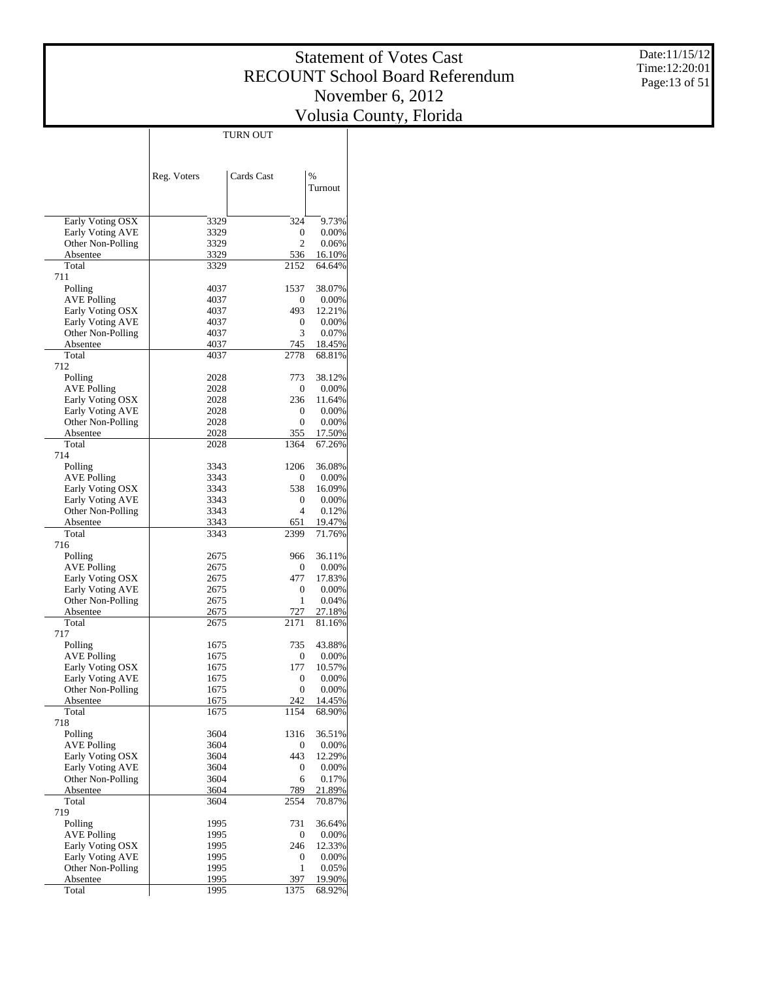Date:11/15/12 Time:12:20:01 Page:13 of 51

|                                        |              | TURN OUT                |                    |
|----------------------------------------|--------------|-------------------------|--------------------|
|                                        |              |                         |                    |
|                                        |              |                         |                    |
|                                        | Reg. Voters  | Cards Cast              | $\frac{0}{0}$      |
|                                        |              |                         | Turnout            |
|                                        |              |                         |                    |
| Early Voting OSX                       | 3329         | 324                     | 9.73%              |
| Early Voting AVE                       | 3329         | 0<br>$\overline{c}$     | 0.00%              |
| Other Non-Polling<br>Absentee          | 3329<br>3329 | 536                     | 0.06%<br>16.10%    |
| Total                                  | 3329         | 2152                    | 64.64%             |
| 711                                    |              |                         |                    |
| Polling                                | 4037         | 1537                    | 38.07%             |
| <b>AVE Polling</b>                     | 4037         | $\boldsymbol{0}$        | 0.00%              |
| Early Voting OSX<br>Early Voting AVE   | 4037<br>4037 | 493<br>0                | 12.21%<br>$0.00\%$ |
| Other Non-Polling                      | 4037         | 3                       | 0.07%              |
| Absentee                               | 4037         | 745                     | 18.45%             |
| Total                                  | 4037         | 2778                    | 68.81%             |
| 712                                    |              |                         |                    |
| Polling                                | 2028         | 773                     | 38.12%             |
| <b>AVE Polling</b><br>Early Voting OSX | 2028<br>2028 | $\boldsymbol{0}$<br>236 | 0.00%<br>11.64%    |
| Early Voting AVE                       | 2028         | 0                       | 0.00%              |
| Other Non-Polling                      | 2028         | $\boldsymbol{0}$        | 0.00%              |
| Absentee                               | 2028         | 355                     | 17.50%             |
| Total                                  | 2028         | 1364                    | 67.26%             |
| 714                                    |              |                         |                    |
| Polling                                | 3343         | 1206                    | 36.08%             |
| <b>AVE Polling</b><br>Early Voting OSX | 3343<br>3343 | $\boldsymbol{0}$<br>538 | 0.00%<br>16.09%    |
| Early Voting AVE                       | 3343         | 0                       | $0.00\%$           |
| Other Non-Polling                      | 3343         | $\overline{4}$          | 0.12%              |
| Absentee                               | 3343         | 651                     | 19.47%             |
| Total                                  | 3343         | 2399                    | 71.76%             |
| 716                                    |              |                         |                    |
| Polling<br><b>AVE Polling</b>          | 2675<br>2675 | 966<br>0                | 36.11%<br>0.00%    |
| Early Voting OSX                       | 2675         | 477                     | 17.83%             |
| Early Voting AVE                       | 2675         | 0                       | 0.00%              |
| Other Non-Polling                      | 2675         | 1                       | 0.04%              |
| Absentee                               | 2675         | 727                     | 27.18%             |
| Total<br>717                           | 2675         | 2171                    | 81.16%             |
| Polling                                | 1675         | 735                     | 43.88%             |
| <b>AVE Polling</b>                     | 1675         | $\boldsymbol{0}$        | 0.00%              |
| Early Voting OSX                       | 1675         | 177                     | 10.57%             |
| Early Voting AVE                       | 1675         | $\boldsymbol{0}$        | 0.00%              |
| Other Non-Polling                      | 1675         | 0                       | $0.00\%$           |
| Absentee                               | 1675         | 242                     | 14.45%             |
| Total<br>718                           | 1675         | 1154                    | 68.90%             |
| Polling                                | 3604         | 1316                    | 36.51%             |
| <b>AVE Polling</b>                     | 3604         | $\boldsymbol{0}$        | 0.00%              |
| Early Voting OSX                       | 3604         | 443                     | 12.29%             |
| Early Voting AVE                       | 3604         | $\boldsymbol{0}$        | $0.00\%$           |
| Other Non-Polling                      | 3604         | 6                       | 0.17%              |
| Absentee<br>Total                      | 3604<br>3604 | 789<br>2554             | 21.89%<br>70.87%   |
| 719                                    |              |                         |                    |
| Polling                                | 1995         | 731                     | 36.64%             |
| <b>AVE Polling</b>                     | 1995         | $\boldsymbol{0}$        | $0.00\%$           |
| Early Voting OSX                       | 1995         | 246                     | 12.33%             |
| Early Voting AVE                       | 1995         | $\boldsymbol{0}$        | $0.00\%$           |
| Other Non-Polling                      | 1995         | 1<br>397                | 0.05%              |
| Absentee<br>Total                      | 1995<br>1995 | 1375                    | 19.90%<br>68.92%   |
|                                        |              |                         |                    |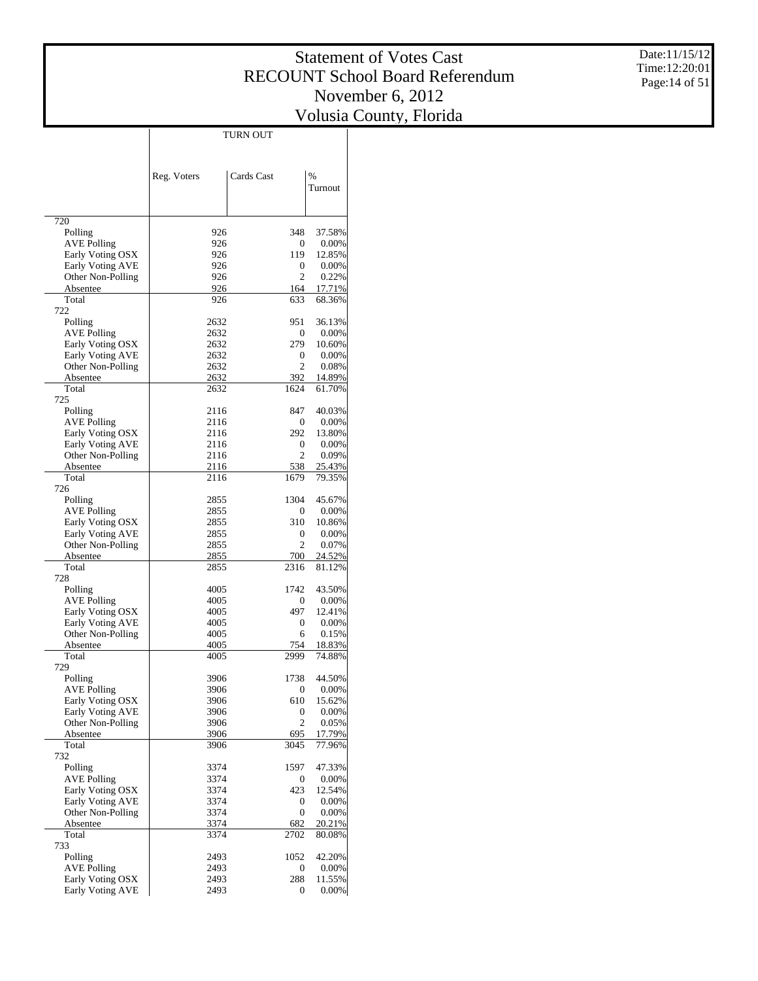Date:11/15/12 Time:12:20:01 Page:14 of 51

|                                       |              | TURN OUT              |                  |
|---------------------------------------|--------------|-----------------------|------------------|
|                                       |              |                       |                  |
|                                       |              |                       | $\frac{0}{0}$    |
|                                       | Reg. Voters  | Cards Cast            | Turnout          |
|                                       |              |                       |                  |
| 720                                   |              |                       |                  |
| Polling                               | 926          | 348                   | 37.58%           |
| <b>AVE Polling</b>                    | 926          | 0                     | 0.00%            |
| Early Voting OSX                      | 926          | 119                   | 12.85%           |
| Early Voting AVE<br>Other Non-Polling | 926<br>926   | 0<br>$\overline{c}$   | 0.00%<br>0.22%   |
| Absentee                              | 926          | 164                   | 17.71%           |
| Total                                 | 926          | 633                   | 68.36%           |
| 722                                   |              |                       |                  |
| Polling<br><b>AVE Polling</b>         | 2632<br>2632 | 951<br>0              | 36.13%<br>0.00%  |
| Early Voting OSX                      | 2632         | 279                   | 10.60%           |
| Early Voting AVE                      | 2632         | 0                     | 0.00%            |
| Other Non-Polling                     | 2632         | $\overline{c}$        | 0.08%            |
| Absentee                              | 2632         | 392                   | 14.89%           |
| Total<br>725                          | 2632         | 1624                  | 61.70%           |
| Polling                               | 2116         | 847                   | 40.03%           |
| AVE Polling                           | 2116         | 0                     | 0.00%            |
| Early Voting OSX                      | 2116         | 292                   | 13.80%           |
| Early Voting AVE                      | 2116         | 0                     | 0.00%            |
| Other Non-Polling<br>Absentee         | 2116<br>2116 | $\overline{c}$<br>538 | 0.09%<br>25.43%  |
| Total                                 | 2116         | 1679                  | 79.35%           |
| 726                                   |              |                       |                  |
| Polling                               | 2855         | 1304                  | 45.67%           |
| AVE Polling<br>Early Voting OSX       | 2855<br>2855 | 0<br>310              | 0.00%<br>10.86%  |
| Early Voting AVE                      | 2855         | 0                     | 0.00%            |
| Other Non-Polling                     | 2855         | $\overline{c}$        | 0.07%            |
| Absentee                              | 2855         | 700                   | 24.52%           |
| Total                                 | 2855         | 2316                  | 81.12%           |
| 728<br>Polling                        | 4005         | 1742                  | 43.50%           |
| AVE Polling                           | 4005         | 0                     | 0.00%            |
| Early Voting OSX                      | 4005         | 497                   | 12.41%           |
| Early Voting AVE                      | 4005         | 0                     | 0.00%            |
| Other Non-Polling                     | 4005         | 6                     | 0.15%            |
| Absentee<br>Total                     | 4005<br>4005 | 754<br>2999           | 18.83%<br>74.88% |
| 729                                   |              |                       |                  |
| Polling                               | 3906         | 1738                  | 44.50%           |
| AVE Polling                           | 3906         | 0                     | 0.00%            |
| Early Voting OSX<br>Early Voting AVE  | 3906<br>3906 | 610<br>0              | 15.62%<br>0.00%  |
| Other Non-Polling                     | 3906         | $\mathfrak{2}$        | 0.05%            |
| Absentee                              | 3906         | 695                   | 17.79%           |
| Total                                 | 3906         | 3045                  | 77.96%           |
| 732                                   |              |                       |                  |
| Polling<br><b>AVE Polling</b>         | 3374<br>3374 | 1597<br>0             | 47.33%<br>0.00%  |
| Early Voting OSX                      | 3374         | 423                   | 12.54%           |
| Early Voting AVE                      | 3374         | 0                     | 0.00%            |
| Other Non-Polling                     | 3374         | 0                     | 0.00%            |
| Absentee                              | 3374         | 682                   | 20.21%           |
| Total<br>733                          | 3374         | 2702                  | 80.08%           |
| Polling                               | 2493         | 1052                  | 42.20%           |
| <b>AVE Polling</b>                    | 2493         | 0                     | 0.00%            |
| Early Voting OSX                      | 2493         | 288                   | 11.55%           |
| <b>Early Voting AVE</b>               | 2493         | 0                     | 0.00%            |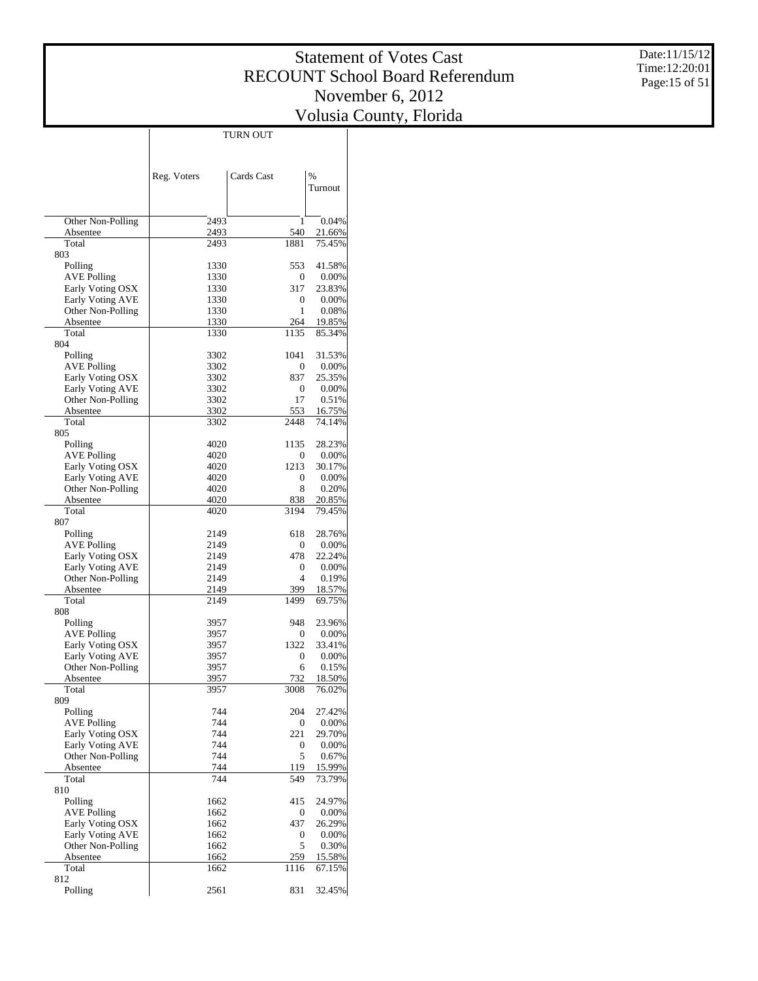Date:11/15/12 Time:12:20:01 Page:15 of 51

|                                        |              | <b>TURN OUT</b> |                  |
|----------------------------------------|--------------|-----------------|------------------|
|                                        |              |                 |                  |
|                                        |              |                 |                  |
|                                        | Reg. Voters  | Cards Cast      | $\frac{0}{0}$    |
|                                        |              |                 | Turnout          |
|                                        |              |                 |                  |
| Other Non-Polling                      | 2493         | $\mathbf{1}$    | 0.04%            |
| Absentee                               | 2493         | 540             | 21.66%           |
| Total<br>803                           | 2493         | 1881            | 75.45%           |
| Polling                                | 1330         | 553             | 41.58%           |
| <b>AVE Polling</b>                     | 1330         | 0               | 0.00%            |
| Early Voting OSX                       | 1330         | 317             | 23.83%           |
| Early Voting AVE<br>Other Non-Polling  | 1330<br>1330 | 0<br>1          | 0.00%<br>0.08%   |
| Absentee                               | 1330         | 264             | 19.85%           |
| Total                                  | 1330         | 1135            | 85.34%           |
| 804                                    |              |                 |                  |
| Polling                                | 3302<br>3302 | 1041            | 31.53%           |
| <b>AVE Polling</b><br>Early Voting OSX | 3302         | 0<br>837        | 0.00%<br>25.35%  |
| Early Voting AVE                       | 3302         | 0               | 0.00%            |
| Other Non-Polling                      | 3302         | 17              | 0.51%            |
| Absentee                               | 3302         | 553             | 16.75%           |
| Total<br>805                           | 3302         | 2448            | 74.14%           |
| Polling                                | 4020         | 1135            | 28.23%           |
| <b>AVE Polling</b>                     | 4020         | 0               | 0.00%            |
| Early Voting OSX                       | 4020         | 1213            | 30.17%           |
| Early Voting AVE                       | 4020         | 0               | 0.00%            |
| Other Non-Polling<br>Absentee          | 4020<br>4020 | 8<br>838        | 0.20%<br>20.85%  |
| Total                                  | 4020         | 3194            | 79.45%           |
| 807                                    |              |                 |                  |
| Polling                                | 2149         | 618             | 28.76%           |
| <b>AVE Polling</b><br>Early Voting OSX | 2149<br>2149 | 0<br>478        | 0.00%<br>22.24%  |
| Early Voting AVE                       | 2149         | 0               | 0.00%            |
| Other Non-Polling                      | 2149         | $\overline{4}$  | 0.19%            |
| Absentee                               | 2149         | 399             | 18.57%           |
| Total                                  | 2149         | 1499            | 69.75%           |
| 808<br>Polling                         | 3957         | 948             | 23.96%           |
| <b>AVE Polling</b>                     | 3957         | 0               | 0.00%            |
| Early Voting OSX                       | 3957         | 1322            | 33.41%           |
| Early Voting AVE                       | 3957         | 0               | 0.00%            |
| Other Non-Polling<br>Absentee          | 3957<br>3957 | 6<br>732        | 0.15%<br>18.50%  |
| Total                                  | 3957         | 3008            | 76.02%           |
| 809                                    |              |                 |                  |
| Polling                                | 744          | 204             | 27.42%           |
| <b>AVE Polling</b>                     | 744          | 0               | 0.00%            |
| Early Voting OSX<br>Early Voting AVE   | 744<br>744   | 221<br>0        | 29.70%<br>0.00%  |
| Other Non-Polling                      | 744          | 5               | 0.67%            |
| Absentee                               | 744          | 119             | 15.99%           |
| Total                                  | 744          | 549             | 73.79%           |
| 810<br>Polling                         | 1662         | 415             | 24.97%           |
| <b>AVE Polling</b>                     | 1662         | 0               | 0.00%            |
| Early Voting OSX                       | 1662         | 437             | 26.29%           |
| Early Voting AVE                       | 1662         | 0               | 0.00%            |
| Other Non-Polling                      | 1662         | 5               | 0.30%            |
| Absentee<br>Total                      | 1662<br>1662 | 259<br>1116     | 15.58%<br>67.15% |
| 812                                    |              |                 |                  |
| Polling                                | 2561         | 831             | 32.45%           |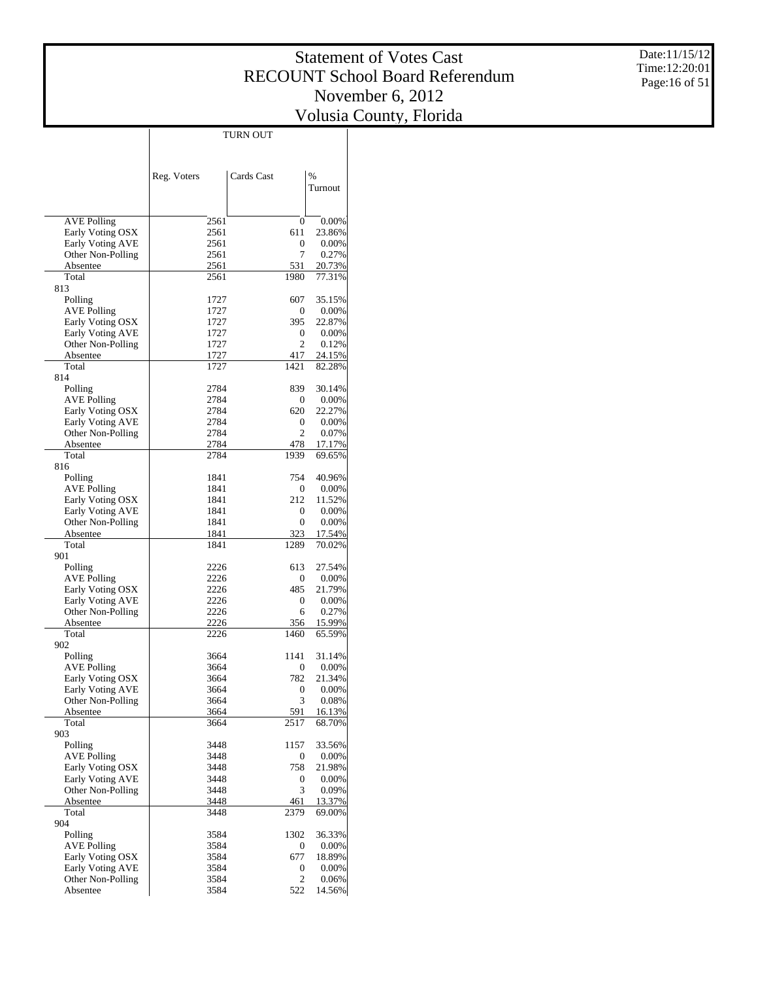Date:11/15/12 Time:12:20:01 Page:16 of 51

|                                        |              | TURN OUT         |                 |
|----------------------------------------|--------------|------------------|-----------------|
|                                        |              |                  |                 |
|                                        |              |                  |                 |
|                                        |              |                  | $\frac{0}{0}$   |
|                                        | Reg. Voters  | Cards Cast       | Turnout         |
|                                        |              |                  |                 |
|                                        |              |                  |                 |
| <b>AVE Polling</b>                     | 2561         | $\boldsymbol{0}$ | 0.00%           |
| Early Voting OSX                       | 2561         | 611              | 23.86%          |
| Early Voting AVE                       | 2561         | 0                | 0.00%           |
| Other Non-Polling                      | 2561         | 7                | 0.27%           |
| Absentee                               | 2561         | 531              | 20.73%          |
| Total                                  | 2561         | 1980             | 77.31%          |
| 813                                    |              |                  |                 |
| Polling                                | 1727         | 607              | 35.15%          |
| <b>AVE Polling</b>                     | 1727         | 0                | 0.00%           |
| Early Voting OSX<br>Early Voting AVE   | 1727<br>1727 | 395<br>0         | 22.87%<br>0.00% |
| Other Non-Polling                      | 1727         | $\overline{c}$   | 0.12%           |
| Absentee                               | 1727         | 417              | 24.15%          |
| Total                                  | 1727         | 1421             | 82.28%          |
| 814                                    |              |                  |                 |
| Polling                                | 2784         | 839              | 30.14%          |
| <b>AVE Polling</b>                     | 2784         | 0                | 0.00%           |
| Early Voting OSX                       | 2784         | 620              | 22.27%          |
| Early Voting AVE                       | 2784         | 0                | 0.00%           |
| Other Non-Polling                      | 2784         | $\overline{c}$   | 0.07%           |
| Absentee                               | 2784         | 478              | 17.17%          |
| Total                                  | 2784         | 1939             | 69.65%          |
| 816                                    |              |                  |                 |
| Polling                                | 1841         | 754              | 40.96%          |
| <b>AVE Polling</b><br>Early Voting OSX | 1841<br>1841 | 0<br>212         | 0.00%<br>11.52% |
| Early Voting AVE                       | 1841         | 0                | 0.00%           |
| Other Non-Polling                      | 1841         | 0                | 0.00%           |
| Absentee                               | 1841         | 323              | 17.54%          |
| Total                                  | 1841         | 1289             | 70.02%          |
| 901                                    |              |                  |                 |
| Polling                                | 2226         | 613              | 27.54%          |
| <b>AVE Polling</b>                     | 2226         | 0                | 0.00%           |
| Early Voting OSX                       | 2226         | 485              | 21.79%          |
| Early Voting AVE                       | 2226         | 0                | 0.00%           |
| Other Non-Polling                      | 2226         | 6                | 0.27%           |
| Absentee                               | 2226         | 356              | 15.99%          |
| Total<br>902                           | 2226         | 1460             | 65.59%          |
| Polling                                | 3664         | 1141             | 31.14%          |
| <b>AVE Polling</b>                     | 3664         | 0                | 0.00%           |
| Early Voting OSX                       | 3664         | 782              | 21.34%          |
| Early Voting AVE                       | 3664         | 0                | 0.00%           |
| Other Non-Polling                      | 3664         | 3                | 0.08%           |
| Absentee                               | 3664         | 591              | 16.13%          |
| Total                                  | 3664         | 2517             | 68.70%          |
| 903                                    |              |                  |                 |
| Polling                                | 3448         | 1157             | 33.56%          |
| <b>AVE Polling</b>                     | 3448         | 0                | 0.00%           |
| Early Voting OSX                       | 3448         | 758              | 21.98%          |
| Early Voting AVE<br>Other Non-Polling  | 3448<br>3448 | 0<br>3           | 0.00%           |
| Absentee                               | 3448         | 461              | 0.09%<br>13.37% |
| Total                                  | 3448         | 2379             | 69.00%          |
| 904                                    |              |                  |                 |
| Polling                                | 3584         | 1302             | 36.33%          |
| <b>AVE Polling</b>                     | 3584         | 0                | 0.00%           |
| Early Voting OSX                       | 3584         | 677              | 18.89%          |
| Early Voting AVE                       | 3584         | 0                | 0.00%           |
| Other Non-Polling                      | 3584         | 2                | 0.06%           |
| Absentee                               | 3584         | 522              | 14.56%          |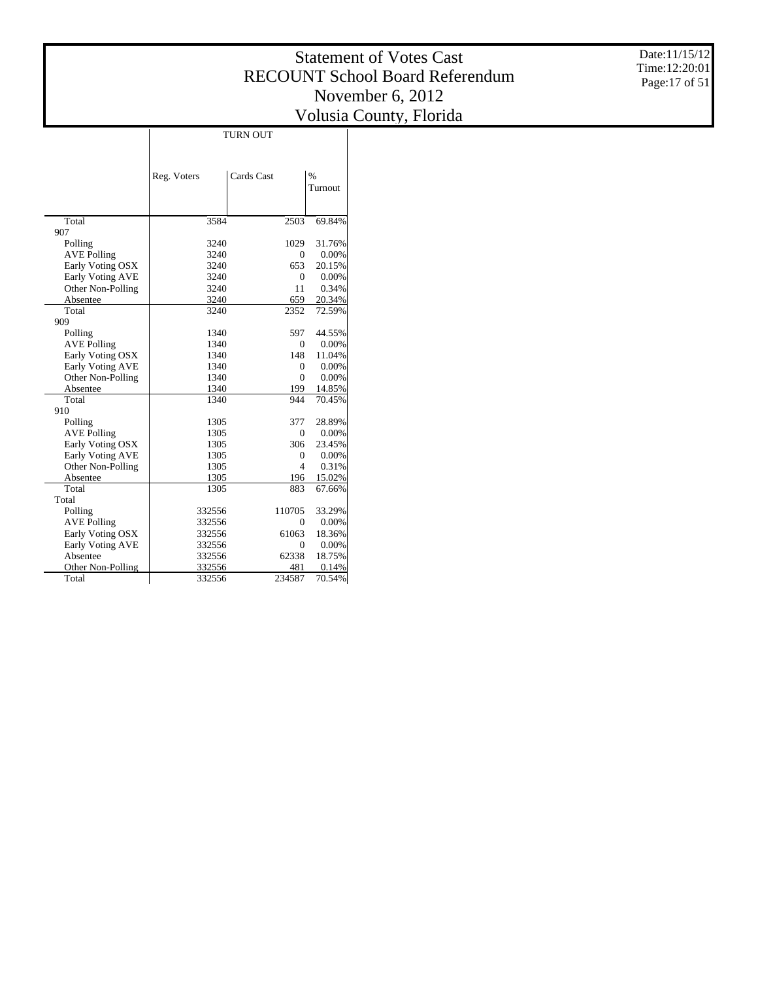Date:11/15/12 Time:12:20:01 Page:17 of 51

|                    |             | <b>TURN OUT</b> |               |
|--------------------|-------------|-----------------|---------------|
|                    |             |                 |               |
|                    |             |                 |               |
|                    | Reg. Voters | Cards Cast      | $\frac{0}{0}$ |
|                    |             |                 | Turnout       |
|                    |             |                 |               |
|                    |             |                 |               |
| Total              | 3584        | 2503            | 69.84%        |
| 907                |             |                 |               |
| Polling            | 3240        | 1029            | 31.76%        |
| <b>AVE Polling</b> | 3240        | 0               | 0.00%         |
| Early Voting OSX   | 3240        | 653             | 20.15%        |
| Early Voting AVE   | 3240        | $\mathbf{0}$    | 0.00%         |
| Other Non-Polling  | 3240        | 11              | 0.34%         |
| Absentee           | 3240        | 659             | 20.34%        |
| Total              | 3240        | 2352            | 72.59%        |
| 909                |             |                 |               |
| Polling            | 1340        | 597             | 44.55%        |
| <b>AVE Polling</b> | 1340        | $\Omega$        | 0.00%         |
| Early Voting OSX   | 1340        | 148             | 11.04%        |
| Early Voting AVE   | 1340        | 0               | 0.00%         |
| Other Non-Polling  | 1340        | $\mathbf{0}$    | 0.00%         |
| Absentee           | 1340        | 199             | 14.85%        |
| Total              | 1340        | 944             | 70.45%        |
| 910                |             |                 |               |
| Polling            | 1305        | 377             | 28.89%        |
| <b>AVE Polling</b> | 1305        | 0               | 0.00%         |
| Early Voting OSX   | 1305        | 306             | 23.45%        |
| Early Voting AVE   | 1305        | $\mathbf{0}$    | 0.00%         |
| Other Non-Polling  | 1305        | 4               | 0.31%         |
| Absentee           | 1305        | 196             | 15.02%        |
| Total              | 1305        | 883             | 67.66%        |
| Total              |             |                 |               |
| Polling            | 332556      | 110705          | 33.29%        |
| <b>AVE Polling</b> | 332556      | $\Omega$        | 0.00%         |
| Early Voting OSX   | 332556      | 61063           | 18.36%        |
| Early Voting AVE   | 332556      | $\mathbf{0}$    | 0.00%         |
| Absentee           | 332556      | 62338           | 18.75%        |
| Other Non-Polling  | 332556      | 481             | 0.14%         |
| Total              | 332556      | 234587          | 70.54%        |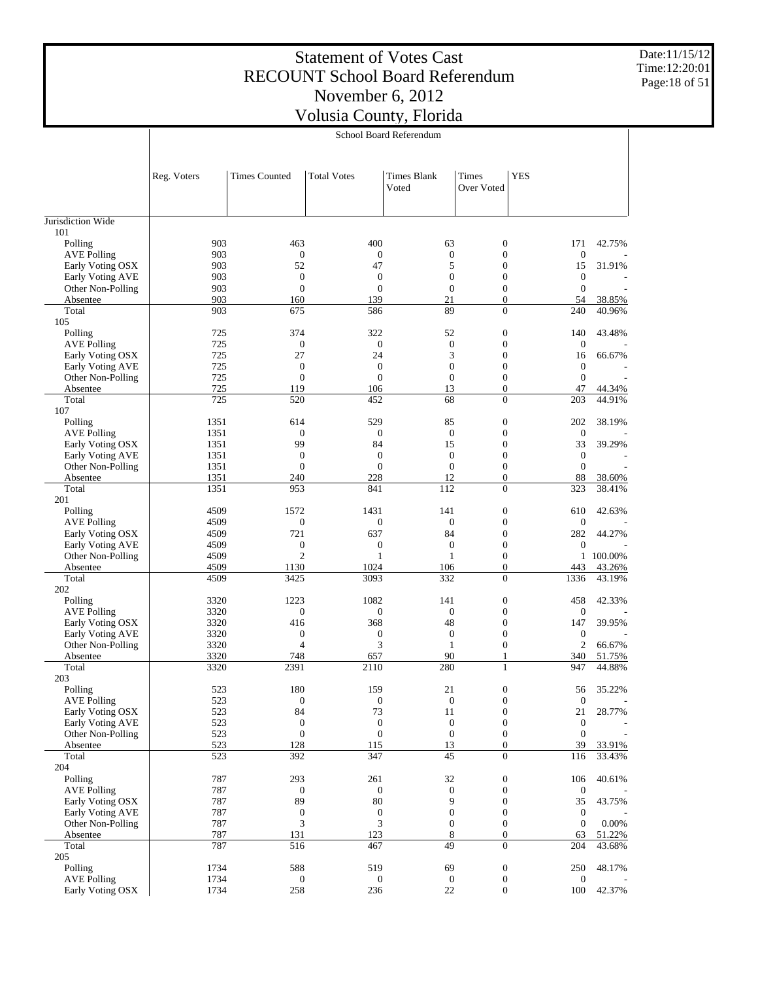Date:11/15/12 Time:12:20:01 Page:18 of 51

|                                        |              |                                |                         | School Board Referendum          |                                      |                                    |           |
|----------------------------------------|--------------|--------------------------------|-------------------------|----------------------------------|--------------------------------------|------------------------------------|-----------|
|                                        | Reg. Voters  | <b>Times Counted</b>           | <b>Total Votes</b>      | <b>Times Blank</b><br>Voted      | <b>Times</b><br>Over Voted           | <b>YES</b>                         |           |
| Jurisdiction Wide                      |              |                                |                         |                                  |                                      |                                    |           |
| 101                                    |              |                                |                         |                                  |                                      |                                    |           |
| Polling                                | 903          | 463                            | 400                     | 63                               | $\boldsymbol{0}$                     | 171                                | 42.75%    |
| <b>AVE Polling</b>                     | 903          | $\boldsymbol{0}$               | $\boldsymbol{0}$        | $\mathbf{0}$                     | $\boldsymbol{0}$                     | $\boldsymbol{0}$                   |           |
| Early Voting OSX                       | 903          | 52                             | 47                      | 5                                | $\boldsymbol{0}$                     | 15                                 | 31.91%    |
| Early Voting AVE                       | 903          | $\boldsymbol{0}$               | $\mathbf{0}$            | $\theta$                         | $\mathbf{0}$                         | $\mathbf{0}$                       |           |
| Other Non-Polling                      | 903          | $\theta$                       | $\mathbf{0}$            | $\theta$                         | $\mathbf{0}$<br>$\overline{0}$       | $\mathbf{0}$                       | 38.85%    |
| Absentee<br>Total                      | 903<br>903   | 160<br>675                     | 139<br>586              | 21<br>89                         | $\mathbf{0}$                         | 54<br>240                          | 40.96%    |
| 105                                    |              |                                |                         |                                  |                                      |                                    |           |
| Polling                                | 725          | 374                            | 322                     | 52                               | $\boldsymbol{0}$                     | 140                                | 43.48%    |
| <b>AVE Polling</b>                     | 725          | $\boldsymbol{0}$               | $\boldsymbol{0}$        | $\mathbf{0}$                     | $\boldsymbol{0}$                     | $\boldsymbol{0}$                   |           |
| Early Voting OSX                       | 725          | 27                             | 24                      | 3                                | $\boldsymbol{0}$                     | 16                                 | 66.67%    |
| Early Voting AVE                       | 725          | $\mathbf{0}$                   | $\mathbf{0}$            | $\theta$                         | $\mathbf{0}$                         | $\mathbf{0}$                       |           |
| Other Non-Polling                      | 725          | $\overline{0}$                 | $\boldsymbol{0}$        | $\theta$                         | $\mathbf{0}$                         | $\mathbf{0}$                       |           |
| Absentee                               | 725          | 119                            | 106                     | 13                               | $\overline{0}$                       | 47                                 | 44.34%    |
| Total<br>107                           | 725          | 520                            | 452                     | 68                               | $\mathbf{0}$                         | 203                                | 44.91%    |
| Polling                                | 1351         | 614                            | 529                     | 85                               | $\boldsymbol{0}$                     | 202                                | 38.19%    |
| <b>AVE Polling</b>                     | 1351         | $\boldsymbol{0}$               | $\boldsymbol{0}$        | $\mathbf{0}$                     | $\mathbf{0}$                         | $\mathbf{0}$                       |           |
| Early Voting OSX                       | 1351         | 99                             | 84                      | 15                               | $\boldsymbol{0}$                     | 33                                 | 39.29%    |
| Early Voting AVE                       | 1351         | $\mathbf{0}$                   | $\mathbf{0}$            | $\theta$                         | $\mathbf{0}$                         | $\mathbf{0}$                       |           |
| Other Non-Polling                      | 1351         | $\overline{0}$                 | $\overline{0}$          | $\theta$                         | $\mathbf{0}$                         | $\mathbf{0}$                       |           |
| Absentee                               | 1351         | 240                            | 228                     | 12                               | $\overline{0}$                       | 88                                 | 38.60%    |
| Total                                  | 1351         | 953                            | 841                     | 112                              | $\mathbf{0}$                         | 323                                | 38.41%    |
| 201                                    |              |                                |                         |                                  |                                      |                                    |           |
| Polling                                | 4509         | 1572                           | 1431                    | 141                              | $\boldsymbol{0}$                     | 610                                | 42.63%    |
| <b>AVE Polling</b><br>Early Voting OSX | 4509<br>4509 | $\boldsymbol{0}$<br>721        | $\boldsymbol{0}$<br>637 | $\mathbf{0}$<br>84               | $\boldsymbol{0}$<br>$\boldsymbol{0}$ | $\mathbf{0}$<br>282                | 44.27%    |
| Early Voting AVE                       | 4509         | $\boldsymbol{0}$               | $\boldsymbol{0}$        | $\boldsymbol{0}$                 | $\mathbf{0}$                         | $\boldsymbol{0}$                   |           |
| Other Non-Polling                      | 4509         | $\overline{c}$                 | $\mathbf{1}$            | $\mathbf{1}$                     | $\mathbf{0}$                         |                                    | 1 100.00% |
| Absentee                               | 4509         | 1130                           | 1024                    | 106                              | $\mathbf{0}$                         | 443                                | 43.26%    |
| Total                                  | 4509         | 3425                           | 3093                    | 332                              | $\mathbf{0}$                         | 1336                               | 43.19%    |
| 202                                    |              |                                |                         |                                  |                                      |                                    |           |
| Polling                                | 3320         | 1223                           | 1082                    | 141                              | $\boldsymbol{0}$                     | 458                                | 42.33%    |
| <b>AVE Polling</b>                     | 3320         | $\mathbf{0}$                   | $\boldsymbol{0}$        | $\mathbf{0}$                     | $\mathbf{0}$                         | $\mathbf{0}$                       |           |
| Early Voting OSX                       | 3320         | 416                            | 368                     | 48                               | $\boldsymbol{0}$                     | 147                                | 39.95%    |
| Early Voting AVE<br>Other Non-Polling  | 3320<br>3320 | $\mathbf{0}$<br>$\overline{4}$ | $\boldsymbol{0}$<br>3   | $\boldsymbol{0}$<br>$\mathbf{1}$ | $\mathbf{0}$<br>$\mathbf{0}$         | $\boldsymbol{0}$<br>$\overline{2}$ | 66.67%    |
| Absentee                               | 3320         | 748                            | 657                     | 90                               | 1                                    | 340                                | 51.75%    |
| Total                                  | 3320         | 2391                           | 2110                    | 280                              | $\mathbf{1}$                         | 947                                | 44.88%    |
| 203                                    |              |                                |                         |                                  |                                      |                                    |           |
| Polling                                | 523          | 180                            | 159                     | 21                               | $\boldsymbol{0}$                     | 56                                 | 35.22%    |
| <b>AVE Polling</b>                     | 523          | $\boldsymbol{0}$               | $\boldsymbol{0}$        | $\boldsymbol{0}$                 | $\boldsymbol{0}$                     | $\boldsymbol{0}$                   |           |
| Early Voting OSX                       | 523          | 84                             | 73                      | 11                               | $\mathbf{0}$                         | 21                                 | 28.77%    |
| Early Voting AVE                       | 523          | $\mathbf{0}$                   | $\boldsymbol{0}$        | $\boldsymbol{0}$                 | $\mathbf{0}$                         | $\boldsymbol{0}$                   |           |
| Other Non-Polling                      | 523<br>523   | $\mathbf{0}$<br>128            | $\boldsymbol{0}$<br>115 | $\mathbf{0}$<br>13               | $\boldsymbol{0}$<br>$\boldsymbol{0}$ | $\boldsymbol{0}$<br>39             | 33.91%    |
| Absentee<br>Total                      | 523          | 392                            | 347                     | 45                               | $\mathbf{0}$                         | 116                                | 33.43%    |
| 204                                    |              |                                |                         |                                  |                                      |                                    |           |
| Polling                                | 787          | 293                            | 261                     | 32                               | $\boldsymbol{0}$                     | 106                                | 40.61%    |
| <b>AVE Polling</b>                     | 787          | $\boldsymbol{0}$               | $\boldsymbol{0}$        | $\boldsymbol{0}$                 | $\boldsymbol{0}$                     | $\boldsymbol{0}$                   |           |
| Early Voting OSX                       | 787          | 89                             | $80\,$                  | 9                                | $\mathbf{0}$                         | 35                                 | 43.75%    |
| Early Voting AVE                       | 787          | $\boldsymbol{0}$               | $\boldsymbol{0}$        | $\mathbf{0}$                     | $\mathbf{0}$                         | $\boldsymbol{0}$                   |           |
| Other Non-Polling                      | 787          | 3                              | 3                       | $\mathbf{0}$                     | $\boldsymbol{0}$                     | $\mathbf{0}$                       | 0.00%     |
| Absentee                               | 787          | 131                            | 123                     | 8                                | $\boldsymbol{0}$                     | 63                                 | 51.22%    |
| Total                                  | 787          | 516                            | 467                     | 49                               | $\mathbf{0}$                         | 204                                | 43.68%    |
| 205<br>Polling                         | 1734         | 588                            | 519                     | 69                               | $\boldsymbol{0}$                     | 250                                | 48.17%    |
| <b>AVE Polling</b>                     | 1734         | $\boldsymbol{0}$               | $\boldsymbol{0}$        | $\mathbf{0}$                     | $\boldsymbol{0}$                     | $\boldsymbol{0}$                   |           |
| Early Voting OSX                       | 1734         | 258                            | 236                     | $22\,$                           | $\boldsymbol{0}$                     | 100                                | 42.37%    |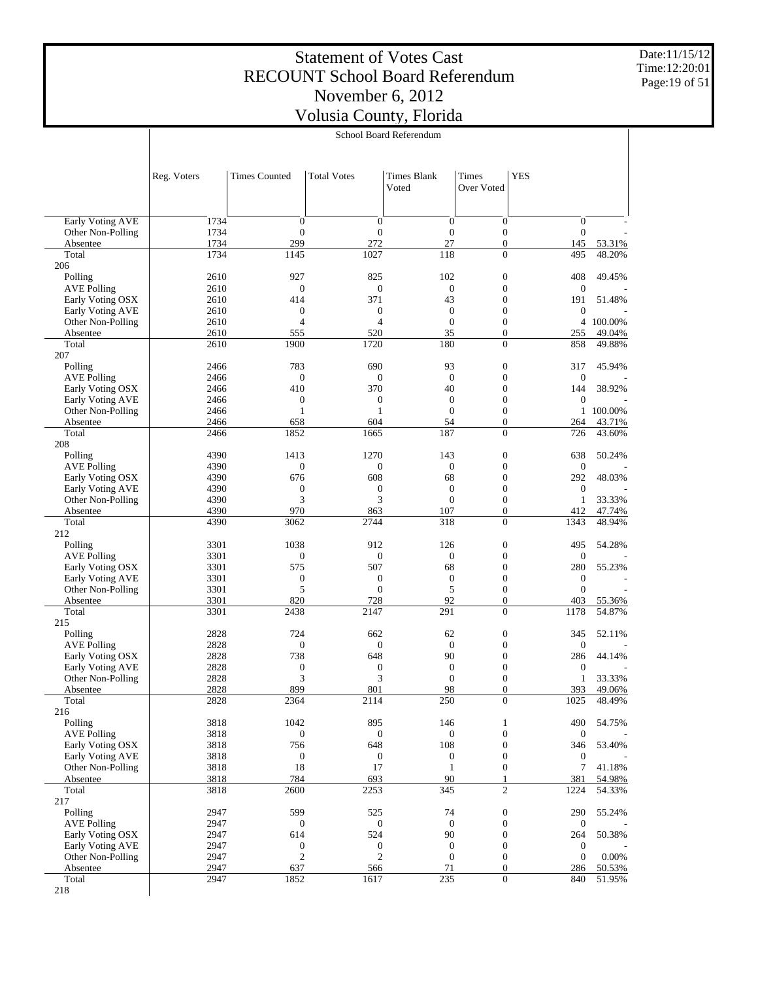Date:11/15/12 Time:12:20:01 Page:19 of 51

|                                        |              |                                      |                                      | School Board Referendum          |                                      |                                    |                   |
|----------------------------------------|--------------|--------------------------------------|--------------------------------------|----------------------------------|--------------------------------------|------------------------------------|-------------------|
|                                        |              |                                      |                                      |                                  |                                      |                                    |                   |
|                                        | Reg. Voters  | <b>Times Counted</b>                 | <b>Total Votes</b>                   | Times Blank<br>Voted             | Times<br>Over Voted                  | <b>YES</b>                         |                   |
|                                        |              |                                      |                                      |                                  |                                      |                                    |                   |
| Early Voting AVE<br>Other Non-Polling  | 1734<br>1734 | $\boldsymbol{0}$<br>$\boldsymbol{0}$ | $\boldsymbol{0}$<br>$\boldsymbol{0}$ | $\boldsymbol{0}$<br>$\mathbf{0}$ | $\boldsymbol{0}$<br>$\boldsymbol{0}$ | $\mathbf{0}$<br>$\mathbf{0}$       |                   |
| Absentee                               | 1734         | 299                                  | 272                                  | 27                               | $\boldsymbol{0}$                     | 145                                | 53.31%            |
| Total                                  | 1734         | 1145                                 | 1027                                 | 118                              | $\overline{0}$                       | 495                                | 48.20%            |
| 206<br>Polling                         | 2610         | 927                                  | 825                                  | 102                              | $\boldsymbol{0}$                     |                                    | 49.45%            |
| <b>AVE Polling</b>                     | 2610         | $\mathbf{0}$                         | $\boldsymbol{0}$                     | $\theta$                         | $\boldsymbol{0}$                     | 408<br>$\boldsymbol{0}$            |                   |
| Early Voting OSX                       | 2610         | 414                                  | 371                                  | 43                               | $\mathbf{0}$                         | 191                                | 51.48%            |
| Early Voting AVE                       | 2610         | $\boldsymbol{0}$                     | $\boldsymbol{0}$                     | $\boldsymbol{0}$                 | $\mathbf{0}$                         | $\boldsymbol{0}$                   |                   |
| Other Non-Polling                      | 2610<br>2610 | $\overline{4}$<br>555                | $\overline{4}$<br>520                | $\mathbf{0}$<br>35               | $\boldsymbol{0}$<br>$\boldsymbol{0}$ | 4<br>255                           | 100.00%<br>49.04% |
| Absentee<br>Total                      | 2610         | 1900                                 | 1720                                 | 180                              | $\overline{0}$                       | 858                                | 49.88%            |
| 207                                    |              |                                      |                                      |                                  |                                      |                                    |                   |
| Polling                                | 2466         | 783                                  | 690                                  | 93                               | $\boldsymbol{0}$                     | 317                                | 45.94%            |
| <b>AVE Polling</b><br>Early Voting OSX | 2466<br>2466 | $\mathbf{0}$<br>410                  | $\boldsymbol{0}$<br>370              | $\overline{0}$<br>40             | $\boldsymbol{0}$<br>$\mathbf{0}$     | $\boldsymbol{0}$<br>144            | 38.92%            |
| <b>Early Voting AVE</b>                | 2466         | $\boldsymbol{0}$                     | $\boldsymbol{0}$                     | $\boldsymbol{0}$                 | $\mathbf{0}$                         | $\boldsymbol{0}$                   |                   |
| Other Non-Polling                      | 2466         | $\mathbf{1}$                         | 1                                    | $\mathbf{0}$                     | $\boldsymbol{0}$                     | $\mathbf{1}$                       | 100.00%           |
| Absentee                               | 2466         | 658                                  | 604                                  | 54                               | $\boldsymbol{0}$                     | 264                                | 43.71%            |
| Total                                  | 2466         | 1852                                 | 1665                                 | 187                              | $\overline{0}$                       | 726                                | 43.60%            |
| 208<br>Polling                         | 4390         | 1413                                 | 1270                                 | 143                              | $\boldsymbol{0}$                     | 638                                | 50.24%            |
| <b>AVE Polling</b>                     | 4390         | $\mathbf{0}$                         | $\boldsymbol{0}$                     | $\theta$                         | $\boldsymbol{0}$                     | $\boldsymbol{0}$                   |                   |
| Early Voting OSX                       | 4390         | 676                                  | 608                                  | 68                               | $\mathbf{0}$                         | 292                                | 48.03%            |
| Early Voting AVE                       | 4390         | $\boldsymbol{0}$                     | $\boldsymbol{0}$                     | $\boldsymbol{0}$                 | $\mathbf{0}$                         | $\boldsymbol{0}$                   |                   |
| Other Non-Polling                      | 4390<br>4390 | 3<br>970                             | 3                                    | $\mathbf{0}$<br>107              | $\boldsymbol{0}$<br>$\boldsymbol{0}$ | $\mathbf{1}$<br>412                | 33.33%<br>47.74%  |
| Absentee<br>Total                      | 4390         | 3062                                 | 863<br>2744                          | 318                              | $\overline{0}$                       | 1343                               | 48.94%            |
| 212                                    |              |                                      |                                      |                                  |                                      |                                    |                   |
| Polling                                | 3301         | 1038                                 | 912                                  | 126                              | $\boldsymbol{0}$                     | 495                                | 54.28%            |
| <b>AVE Polling</b>                     | 3301         | $\boldsymbol{0}$                     | $\boldsymbol{0}$                     | $\boldsymbol{0}$                 | $\boldsymbol{0}$                     | $\mathbf{0}$                       |                   |
| Early Voting OSX<br>Early Voting AVE   | 3301<br>3301 | 575<br>$\boldsymbol{0}$              | 507<br>$\boldsymbol{0}$              | 68<br>$\boldsymbol{0}$           | $\mathbf{0}$<br>$\boldsymbol{0}$     | 280<br>$\boldsymbol{0}$            | 55.23%            |
| Other Non-Polling                      | 3301         | 5                                    | $\boldsymbol{0}$                     | 5                                | $\boldsymbol{0}$                     | $\boldsymbol{0}$                   |                   |
| Absentee                               | 3301         | 820                                  | 728                                  | 92                               | $\boldsymbol{0}$                     | 403                                | 55.36%            |
| Total                                  | 3301         | 2438                                 | 2147                                 | 291                              | $\overline{0}$                       | 1178                               | 54.87%            |
| 215<br>Polling                         | 2828         | 724                                  | 662                                  | 62                               | $\boldsymbol{0}$                     | 345                                | 52.11%            |
| <b>AVE Polling</b>                     | 2828         | $\boldsymbol{0}$                     | $\boldsymbol{0}$                     | $\boldsymbol{0}$                 | $\boldsymbol{0}$                     | $\boldsymbol{0}$                   |                   |
| Early Voting OSX                       | 2828         | 738                                  | 648                                  | 90                               | $\mathbf{0}$                         | 286                                | 44.14%            |
| Early Voting AVE                       | 2828         | $\boldsymbol{0}$                     | $\boldsymbol{0}$                     | $\boldsymbol{0}$                 | $\mathbf{0}$                         | $\boldsymbol{0}$                   |                   |
| Other Non-Polling                      | 2828         | 3                                    | 3                                    | $\mathbf{0}$                     | $\mathbf{0}$                         | $\mathbf{1}$                       | 33.33%            |
| Absentee<br>Total                      | 2828<br>2828 | 899<br>2364                          | 801<br>2114                          | 98<br>250                        | $\boldsymbol{0}$<br>$\overline{0}$   | 393<br>1025                        | 49.06%<br>48.49%  |
| 216                                    |              |                                      |                                      |                                  |                                      |                                    |                   |
| Polling                                | 3818         | 1042                                 | 895                                  | 146                              | 1                                    | 490                                | 54.75%            |
| <b>AVE Polling</b>                     | 3818         | $\boldsymbol{0}$                     | $\boldsymbol{0}$                     | $\boldsymbol{0}$                 | $\mathbf{0}$                         | $\mathbf{0}$                       |                   |
| Early Voting OSX                       | 3818         | 756                                  | 648                                  | 108                              | $\boldsymbol{0}$<br>$\boldsymbol{0}$ | 346                                | 53.40%            |
| Early Voting AVE<br>Other Non-Polling  | 3818<br>3818 | $\boldsymbol{0}$<br>18               | $\boldsymbol{0}$<br>17               | $\mathbf{0}$<br>$\mathbf{1}$     | $\boldsymbol{0}$                     | $\boldsymbol{0}$<br>$\overline{7}$ | 41.18%            |
| Absentee                               | 3818         | 784                                  | 693                                  | 90                               | 1                                    | 381                                | 54.98%            |
| Total                                  | 3818         | 2600                                 | 2253                                 | 345                              | $\mathfrak{2}$                       | 1224                               | 54.33%            |
| 217                                    |              |                                      |                                      |                                  |                                      |                                    |                   |
| Polling                                | 2947<br>2947 | 599<br>$\boldsymbol{0}$              | 525<br>$\boldsymbol{0}$              | 74<br>$\mathbf{0}$               | $\boldsymbol{0}$<br>$\mathbf{0}$     | 290                                | 55.24%            |
| <b>AVE Polling</b><br>Early Voting OSX | 2947         | 614                                  | 524                                  | 90                               | $\boldsymbol{0}$                     | $\mathbf{0}$<br>264                | 50.38%            |
| Early Voting AVE                       | 2947         | $\boldsymbol{0}$                     | $\boldsymbol{0}$                     | $\mathbf{0}$                     | $\mathbf{0}$                         | $\boldsymbol{0}$                   |                   |
| Other Non-Polling                      | 2947         | $\mathfrak{2}$                       | $\mathfrak{2}$                       | $\mathbf{0}$                     | $\boldsymbol{0}$                     | $\mathbf{0}$                       | 0.00%             |
| Absentee                               | 2947         | 637                                  | 566                                  | 71                               | $\boldsymbol{0}$                     | 286                                | 50.53%            |
| Total<br>218                           | 2947         | 1852                                 | 1617                                 | 235                              | $\boldsymbol{0}$                     | 840                                | 51.95%            |
|                                        |              |                                      |                                      |                                  |                                      |                                    |                   |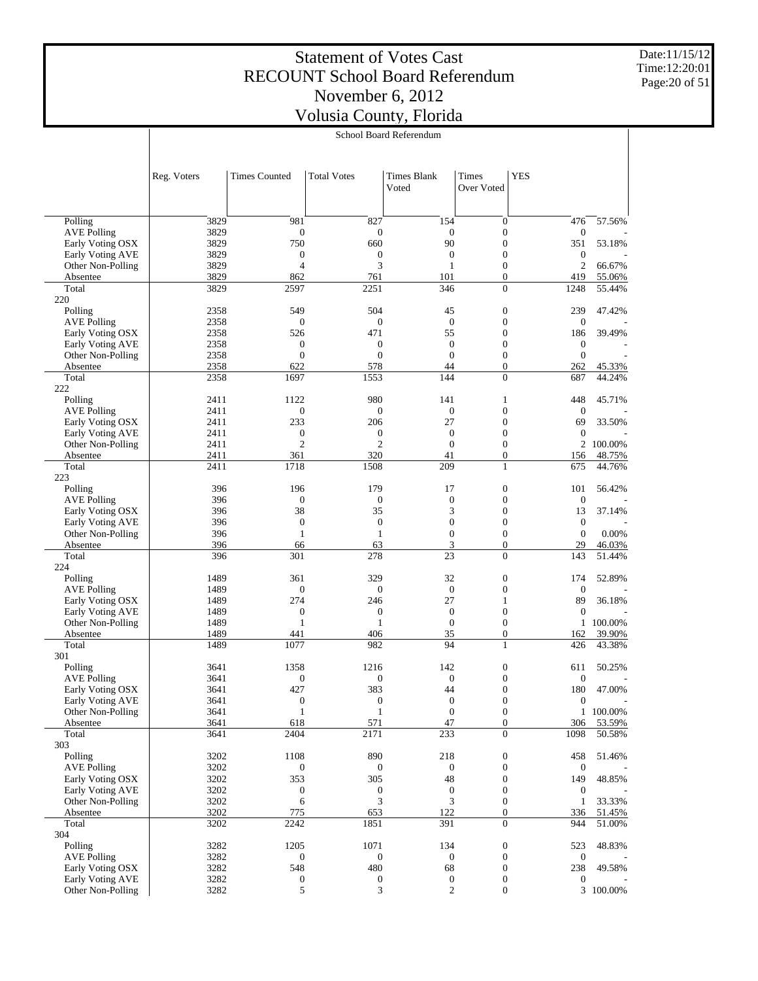Date:11/15/12 Time:12:20:01 Page:20 of 51

|                                        |              | School Board Referendum          |                                  |                                  |                                      |                                      |                  |
|----------------------------------------|--------------|----------------------------------|----------------------------------|----------------------------------|--------------------------------------|--------------------------------------|------------------|
|                                        |              |                                  |                                  |                                  |                                      |                                      |                  |
|                                        | Reg. Voters  | <b>Times Counted</b>             | <b>Total Votes</b>               | <b>Times Blank</b><br>Voted      | Times<br>Over Voted                  | <b>YES</b>                           |                  |
|                                        |              |                                  |                                  |                                  |                                      |                                      |                  |
| Polling                                | 3829         | 981                              | 827                              | 154                              | $\boldsymbol{0}$                     | 476                                  | 57.56%           |
| <b>AVE Polling</b>                     | 3829         | $\mathbf{0}$                     | $\mathbf{0}$                     | $\mathbf{0}$                     | $\boldsymbol{0}$                     | $\boldsymbol{0}$                     |                  |
| Early Voting OSX<br>Early Voting AVE   | 3829<br>3829 | 750<br>$\boldsymbol{0}$          | 660<br>$\mathbf{0}$              | 90<br>$\boldsymbol{0}$           | $\boldsymbol{0}$<br>$\boldsymbol{0}$ | 351<br>$\boldsymbol{0}$              | 53.18%           |
| Other Non-Polling                      | 3829         | $\overline{4}$                   | 3                                | $\mathbf{1}$                     | $\boldsymbol{0}$                     | $\boldsymbol{2}$                     | 66.67%           |
| Absentee                               | 3829         | 862                              | 761                              | 101                              | $\mathbf{0}$                         | 419                                  | 55.06%           |
| Total<br>220                           | 3829         | 2597                             | 2251                             | 346                              | $\boldsymbol{0}$                     | 1248                                 | 55.44%           |
| Polling                                | 2358         | 549                              | 504                              | 45                               | $\boldsymbol{0}$                     | 239                                  | 47.42%           |
| <b>AVE Polling</b>                     | 2358         | $\mathbf{0}$                     | $\boldsymbol{0}$                 | $\mathbf{0}$                     | $\boldsymbol{0}$                     | $\boldsymbol{0}$                     |                  |
| Early Voting OSX                       | 2358         | 526                              | 471                              | 55                               | $\boldsymbol{0}$                     | 186                                  | 39.49%           |
| Early Voting AVE                       | 2358         | $\boldsymbol{0}$                 | $\boldsymbol{0}$                 | $\mathbf{0}$<br>$\mathbf{0}$     | $\boldsymbol{0}$                     | $\boldsymbol{0}$                     |                  |
| Other Non-Polling<br>Absentee          | 2358<br>2358 | $\mathbf{0}$<br>622              | $\mathbf{0}$<br>578              | 44                               | $\boldsymbol{0}$<br>$\mathbf{0}$     | $\mathbf{0}$<br>262                  | 45.33%           |
| Total                                  | 2358         | 1697                             | 1553                             | 144                              | $\boldsymbol{0}$                     | 687                                  | 44.24%           |
| 222                                    |              |                                  |                                  |                                  |                                      |                                      |                  |
| Polling                                | 2411         | 1122                             | 980                              | 141                              | 1                                    | 448                                  | 45.71%           |
| <b>AVE Polling</b><br>Early Voting OSX | 2411<br>2411 | $\mathbf{0}$<br>233              | $\mathbf{0}$<br>206              | $\mathbf{0}$<br>27               | $\boldsymbol{0}$<br>$\boldsymbol{0}$ | $\mathbf{0}$<br>69                   | 33.50%           |
| Early Voting AVE                       | 2411         | $\boldsymbol{0}$                 | $\boldsymbol{0}$                 | $\overline{0}$                   | $\boldsymbol{0}$                     | $\boldsymbol{0}$                     |                  |
| Other Non-Polling                      | 2411         | $\mathfrak{2}$                   | $\overline{c}$                   | $\mathbf{0}$                     | $\boldsymbol{0}$                     |                                      | 2 100.00%        |
| Absentee                               | 2411         | 361                              | 320                              | 41                               | $\mathbf{0}$                         | 156                                  | 48.75%           |
| Total<br>223                           | 2411         | 1718                             | 1508                             | 209                              | $\mathbf{1}$                         | 675                                  | 44.76%           |
| Polling                                | 396          | 196                              | 179                              | 17                               | $\boldsymbol{0}$                     | 101                                  | 56.42%           |
| <b>AVE Polling</b>                     | 396          | $\boldsymbol{0}$                 | $\mathbf{0}$                     | $\overline{0}$                   | $\boldsymbol{0}$                     | $\boldsymbol{0}$                     |                  |
| Early Voting OSX                       | 396          | 38                               | 35                               | 3                                | $\boldsymbol{0}$                     | 13                                   | 37.14%           |
| Early Voting AVE                       | 396<br>396   | $\mathbf{0}$<br>1                | $\boldsymbol{0}$<br>$\mathbf{1}$ | $\overline{0}$<br>$\mathbf{0}$   | $\boldsymbol{0}$<br>$\boldsymbol{0}$ | $\boldsymbol{0}$<br>$\boldsymbol{0}$ | 0.00%            |
| Other Non-Polling<br>Absentee          | 396          | 66                               | 63                               | 3                                | $\overline{0}$                       | 29                                   | 46.03%           |
| Total                                  | 396          | 301                              | 278                              | 23                               | $\boldsymbol{0}$                     | 143                                  | 51.44%           |
| 224                                    |              |                                  |                                  |                                  |                                      |                                      |                  |
| Polling<br><b>AVE Polling</b>          | 1489<br>1489 | 361<br>$\boldsymbol{0}$          | 329<br>$\boldsymbol{0}$          | 32<br>$\theta$                   | $\boldsymbol{0}$<br>$\boldsymbol{0}$ | 174<br>$\boldsymbol{0}$              | 52.89%           |
| Early Voting OSX                       | 1489         | 274                              | 246                              | 27                               | $\mathbf{1}$                         | 89                                   | 36.18%           |
| Early Voting AVE                       | 1489         | $\boldsymbol{0}$                 | $\boldsymbol{0}$                 | $\overline{0}$                   | $\boldsymbol{0}$                     | $\boldsymbol{0}$                     |                  |
| Other Non-Polling                      | 1489         | 1                                | $\mathbf{1}$                     | $\overline{0}$                   | $\boldsymbol{0}$                     | $\mathbf{1}$                         | 100.00%          |
| Absentee<br>Total                      | 1489<br>1489 | 441<br>1077                      | 406<br>982                       | 35<br>94                         | $\boldsymbol{0}$<br>$\mathbf{1}$     | 162                                  | 39.90%<br>43.38% |
| 301                                    |              |                                  |                                  |                                  |                                      | 426                                  |                  |
| Polling                                | 3641         | 1358                             | 1216                             | 142                              | $\boldsymbol{0}$                     | 611                                  | 50.25%           |
| $\operatorname{AVE}$ Polling           | 3641         | $\boldsymbol{0}$                 | $\boldsymbol{0}$                 | $\mathbf{0}$                     | $\boldsymbol{0}$                     | $\mathbf{0}$                         |                  |
| Early Voting OSX                       | 3641         | 427                              | 383                              | 44                               | $\boldsymbol{0}$<br>$\boldsymbol{0}$ | 180                                  | 47.00%           |
| Early Voting AVE<br>Other Non-Polling  | 3641<br>3641 | $\boldsymbol{0}$<br>$\mathbf{1}$ | $\boldsymbol{0}$<br>$\mathbf{1}$ | $\boldsymbol{0}$<br>$\mathbf{0}$ | $\boldsymbol{0}$                     | $\boldsymbol{0}$                     | 1 100.00%        |
| Absentee                               | 3641         | 618                              | 571                              | 47                               | $\mathbf{0}$                         | 306                                  | 53.59%           |
| Total                                  | 3641         | 2404                             | 2171                             | 233                              | $\mathbf{0}$                         | 1098                                 | 50.58%           |
| 303                                    |              |                                  |                                  |                                  |                                      |                                      |                  |
| Polling<br><b>AVE Polling</b>          | 3202<br>3202 | 1108<br>$\mathbf{0}$             | 890<br>0                         | 218<br>$\boldsymbol{0}$          | $\boldsymbol{0}$<br>$\boldsymbol{0}$ | 458<br>$\boldsymbol{0}$              | 51.46%           |
| Early Voting OSX                       | 3202         | 353                              | 305                              | 48                               | $\boldsymbol{0}$                     | 149                                  | 48.85%           |
| Early Voting AVE                       | 3202         | $\boldsymbol{0}$                 | $\boldsymbol{0}$                 | $\boldsymbol{0}$                 | $\boldsymbol{0}$                     | $\mathbf{0}$                         |                  |
| Other Non-Polling                      | 3202         | 6                                | 3                                | 3                                | $\boldsymbol{0}$                     | $\mathbf{1}$                         | 33.33%           |
| Absentee<br>Total                      | 3202<br>3202 | 775<br>2242                      | 653<br>1851                      | 122<br>391                       | $\mathbf{0}$<br>$\overline{0}$       | 336<br>944                           | 51.45%<br>51.00% |
| 304                                    |              |                                  |                                  |                                  |                                      |                                      |                  |
| Polling                                | 3282         | 1205                             | 1071                             | 134                              | $\boldsymbol{0}$                     | 523                                  | 48.83%           |
| <b>AVE Polling</b>                     | 3282         | $\mathbf{0}$                     | $\boldsymbol{0}$                 | $\overline{0}$                   | $\boldsymbol{0}$                     | $\boldsymbol{0}$                     |                  |
| Early Voting OSX<br>Early Voting AVE   | 3282<br>3282 | 548                              | 480<br>$\boldsymbol{0}$          | 68<br>0                          | $\boldsymbol{0}$<br>$\boldsymbol{0}$ | 238<br>$\boldsymbol{0}$              | 49.58%           |
| Other Non-Polling                      | 3282         | 0<br>5                           | 3                                | $\boldsymbol{2}$                 | $\boldsymbol{0}$                     |                                      | 3 100.00%        |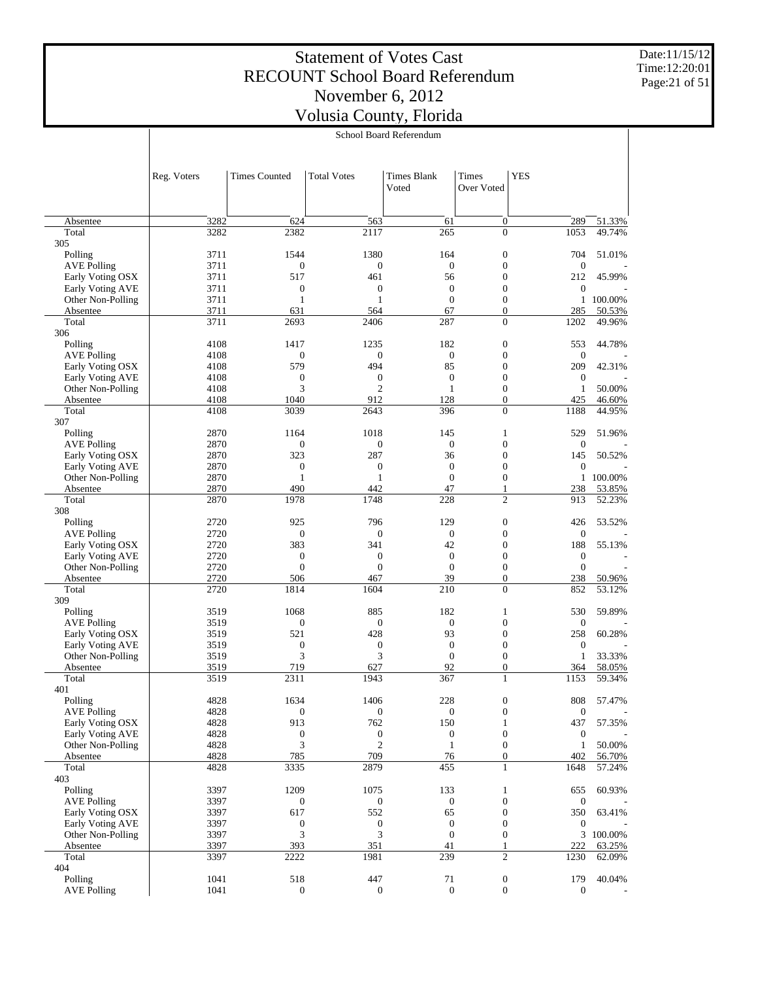Date:11/15/12 Time:12:20:01 Page:21 of 51

|                         |              | School Board Referendum |                       |                             |                                    |                  |                  |
|-------------------------|--------------|-------------------------|-----------------------|-----------------------------|------------------------------------|------------------|------------------|
|                         |              |                         |                       |                             |                                    |                  |                  |
|                         | Reg. Voters  | <b>Times Counted</b>    | <b>Total Votes</b>    | <b>Times Blank</b><br>Voted | <b>YES</b><br>Times<br>Over Voted  |                  |                  |
|                         |              |                         |                       |                             |                                    |                  |                  |
| Absentee<br>Total       | 3282<br>3282 | 624<br>2382             | 563<br>2117           | 61<br>265                   | 0<br>$\overline{0}$                | 289<br>1053      | 51.33%<br>49.74% |
| 305                     |              |                         |                       |                             |                                    |                  |                  |
| Polling                 | 3711         | 1544                    | 1380                  | 164                         | $\boldsymbol{0}$                   | 704              | 51.01%           |
| <b>AVE Polling</b>      | 3711         | $\boldsymbol{0}$        | $\boldsymbol{0}$      | $\boldsymbol{0}$            | $\boldsymbol{0}$                   | $\boldsymbol{0}$ |                  |
| Early Voting OSX        | 3711         | 517                     | 461                   | 56                          | $\boldsymbol{0}$                   | 212              | 45.99%           |
| <b>Early Voting AVE</b> | 3711         | $\boldsymbol{0}$        | $\boldsymbol{0}$      | $\mathbf{0}$                | $\boldsymbol{0}$                   | 0                |                  |
| Other Non-Polling       | 3711         | 1                       | $\mathbf{1}$          | $\mathbf{0}$<br>67          | $\boldsymbol{0}$<br>$\overline{0}$ | $\mathbf{1}$     | 100.00%          |
| Absentee<br>Total       | 3711<br>3711 | 631<br>2693             | 564<br>2406           | 287                         | $\overline{0}$                     | 285<br>1202      | 50.53%<br>49.96% |
| 306                     |              |                         |                       |                             |                                    |                  |                  |
| Polling                 | 4108         | 1417                    | 1235                  | 182                         | $\boldsymbol{0}$                   | 553              | 44.78%           |
| <b>AVE Polling</b>      | 4108         | $\mathbf{0}$            | $\boldsymbol{0}$      | $\boldsymbol{0}$            | $\boldsymbol{0}$                   | $\boldsymbol{0}$ |                  |
| Early Voting OSX        | 4108         | 579                     | 494                   | 85                          | $\boldsymbol{0}$                   | 209              | 42.31%           |
| <b>Early Voting AVE</b> | 4108         | $\boldsymbol{0}$        | $\boldsymbol{0}$      | $\mathbf{0}$                | $\boldsymbol{0}$                   | $\boldsymbol{0}$ |                  |
| Other Non-Polling       | 4108         | 3<br>1040               | $\overline{2}$<br>912 | 1<br>128                    | $\boldsymbol{0}$<br>$\overline{0}$ | 1<br>425         | 50.00%           |
| Absentee<br>Total       | 4108<br>4108 | 3039                    | 2643                  | 396                         | $\overline{0}$                     | 1188             | 46.60%<br>44.95% |
| 307                     |              |                         |                       |                             |                                    |                  |                  |
| Polling                 | 2870         | 1164                    | 1018                  | 145                         | $\mathbf{1}$                       | 529              | 51.96%           |
| <b>AVE Polling</b>      | 2870         | $\boldsymbol{0}$        | $\boldsymbol{0}$      | $\boldsymbol{0}$            | $\boldsymbol{0}$                   | $\boldsymbol{0}$ |                  |
| Early Voting OSX        | 2870         | 323                     | 287                   | 36                          | $\boldsymbol{0}$                   | 145              | 50.52%           |
| <b>Early Voting AVE</b> | 2870         | $\boldsymbol{0}$        | $\boldsymbol{0}$      | $\mathbf{0}$                | $\boldsymbol{0}$                   | $\boldsymbol{0}$ |                  |
| Other Non-Polling       | 2870         | 1                       | $\mathbf{1}$          | $\mathbf{0}$                | $\boldsymbol{0}$                   | $\mathbf{1}$     | 100.00%          |
| Absentee<br>Total       | 2870<br>2870 | 490<br>1978             | 442<br>1748           | 47<br>228                   | 1<br>$\overline{c}$                | 238<br>913       | 53.85%<br>52.23% |
| 308                     |              |                         |                       |                             |                                    |                  |                  |
| Polling                 | 2720         | 925                     | 796                   | 129                         | $\boldsymbol{0}$                   | 426              | 53.52%           |
| <b>AVE Polling</b>      | 2720         | $\boldsymbol{0}$        | $\boldsymbol{0}$      | $\boldsymbol{0}$            | $\boldsymbol{0}$                   | $\boldsymbol{0}$ |                  |
| Early Voting OSX        | 2720         | 383                     | 341                   | 42                          | $\boldsymbol{0}$                   | 188              | 55.13%           |
| <b>Early Voting AVE</b> | 2720         | $\boldsymbol{0}$        | $\boldsymbol{0}$      | $\mathbf{0}$                | $\boldsymbol{0}$                   | $\boldsymbol{0}$ |                  |
| Other Non-Polling       | 2720         | $\mathbf{0}$            | $\mathbf{0}$          | $\mathbf{0}$                | $\boldsymbol{0}$                   | $\boldsymbol{0}$ |                  |
| Absentee<br>Total       | 2720<br>2720 | 506<br>1814             | 467<br>1604           | 39<br>210                   | $\overline{0}$<br>$\overline{0}$   | 238<br>852       | 50.96%<br>53.12% |
| 309                     |              |                         |                       |                             |                                    |                  |                  |
| Polling                 | 3519         | 1068                    | 885                   | 182                         | $\mathbf{1}$                       | 530              | 59.89%           |
| <b>AVE Polling</b>      | 3519         | $\boldsymbol{0}$        | $\boldsymbol{0}$      | $\boldsymbol{0}$            | $\boldsymbol{0}$                   | $\boldsymbol{0}$ |                  |
| Early Voting OSX        | 3519         | 521                     | 428                   | 93                          | $\boldsymbol{0}$                   | 258              | 60.28%           |
| <b>Early Voting AVE</b> | 3519         | $\mathbf{0}$            | $\boldsymbol{0}$      | $\mathbf{0}$                | $\boldsymbol{0}$                   | $\boldsymbol{0}$ |                  |
| Other Non-Polling       | 3519         | 3                       | 3                     | $\boldsymbol{0}$            | $\boldsymbol{0}$                   | 1                | 33.33%           |
| Absentee                | 3519         | 719                     | 627                   | 92                          | $\boldsymbol{0}$                   | 364              | 58.05%           |
| Total<br>401            | 3519         | 2311                    | 1943                  | 367                         | $\mathbf{1}$                       | 1153             | 59.34%           |
| Polling                 | 4828         | 1634                    | 1406                  | 228                         | $\boldsymbol{0}$                   | 808              | 57.47%           |
| <b>AVE Polling</b>      | 4828         | $\boldsymbol{0}$        | $\boldsymbol{0}$      | $\mathbf{0}$                | $\boldsymbol{0}$                   | $\boldsymbol{0}$ |                  |
| Early Voting OSX        | 4828         | 913                     | 762                   | 150                         | $\mathbf{1}$                       | 437              | 57.35%           |
| <b>Early Voting AVE</b> | 4828         | $\boldsymbol{0}$        | $\boldsymbol{0}$      | $\boldsymbol{0}$            | $\boldsymbol{0}$                   | $\mathbf{0}$     |                  |
| Other Non-Polling       | 4828         | 3                       | $\sqrt{2}$            | $\mathbf{1}$                | $\boldsymbol{0}$                   | $\mathbf{1}$     | 50.00%           |
| Absentee                | 4828         | 785                     | 709                   | 76                          | $\boldsymbol{0}$                   | 402              | 56.70%           |
| Total<br>403            | 4828         | 3335                    | 2879                  | 455                         | $\mathbf{1}$                       | 1648             | 57.24%           |
| Polling                 | 3397         | 1209                    | 1075                  | 133                         | $\mathbf{1}$                       | 655              | 60.93%           |
| <b>AVE Polling</b>      | 3397         | $\boldsymbol{0}$        | $\mathbf{0}$          | $\boldsymbol{0}$            | $\boldsymbol{0}$                   | $\boldsymbol{0}$ |                  |
| Early Voting OSX        | 3397         | 617                     | 552                   | 65                          | $\boldsymbol{0}$                   | 350              | 63.41%           |
| <b>Early Voting AVE</b> | 3397         | $\boldsymbol{0}$        | $\boldsymbol{0}$      | $\boldsymbol{0}$            | $\boldsymbol{0}$                   | $\boldsymbol{0}$ |                  |
| Other Non-Polling       | 3397         | 3                       | 3                     | $\mathbf{0}$                | $\boldsymbol{0}$                   |                  | 3 100.00%        |
| Absentee                | 3397         | 393                     | 351                   | 41                          | $\mathbf{1}$                       | 222              | 63.25%           |
| Total                   | 3397         | 2222                    | 1981                  | 239                         | $\mathfrak{2}$                     | 1230             | 62.09%           |
| 404<br>Polling          | 1041         | 518                     | 447                   | 71                          | $\boldsymbol{0}$                   | 179              | 40.04%           |
| <b>AVE Polling</b>      | 1041         | $\mathbf{0}$            | $\boldsymbol{0}$      | $\mathbf{0}$                | $\boldsymbol{0}$                   | $\boldsymbol{0}$ |                  |
|                         |              |                         |                       |                             |                                    |                  |                  |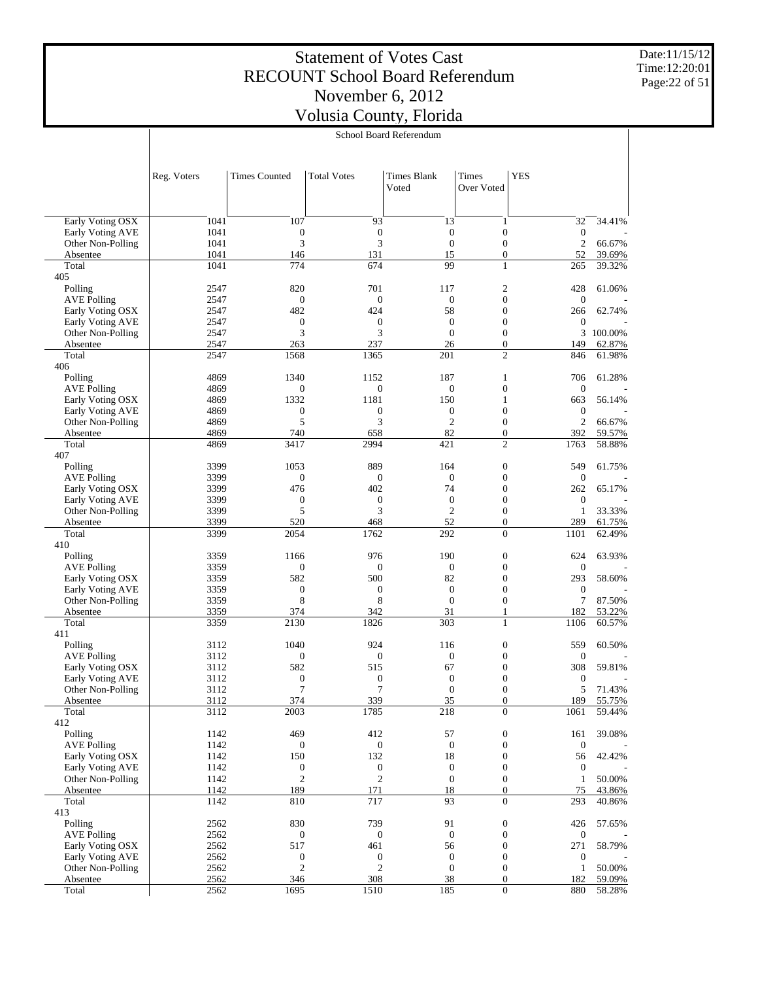Date:11/15/12 Time:12:20:01 Page:22 of 51

|                                       |              |                         |                         | School Board Referendum            |                                      |                                |                  |
|---------------------------------------|--------------|-------------------------|-------------------------|------------------------------------|--------------------------------------|--------------------------------|------------------|
|                                       |              |                         |                         |                                    |                                      |                                |                  |
|                                       | Reg. Voters  | <b>Times Counted</b>    | <b>Total Votes</b>      | <b>Times Blank</b><br>Voted        | Times<br>Over Voted                  | <b>YES</b>                     |                  |
|                                       | 1041         | 107                     | 93                      | 13                                 |                                      | 32                             | 34.41%           |
| Early Voting OSX<br>Early Voting AVE  | 1041         | $\boldsymbol{0}$        | $\boldsymbol{0}$        | $\boldsymbol{0}$                   | 1<br>$\boldsymbol{0}$                | $\boldsymbol{0}$               |                  |
| Other Non-Polling                     | 1041         | 3                       | 3                       | $\overline{0}$                     | $\boldsymbol{0}$                     | $\sqrt{2}$                     | 66.67%           |
| Absentee                              | 1041         | 146                     | 131                     | 15                                 | $\boldsymbol{0}$                     | 52                             | 39.69%           |
| Total                                 | 1041         | 774                     | 674                     | 99                                 | 1                                    | 265                            | 39.32%           |
| 405                                   |              |                         |                         |                                    |                                      |                                |                  |
| Polling                               | 2547         | 820                     | 701                     | 117                                | $\mathfrak{2}$                       | 428                            | 61.06%           |
| <b>AVE Polling</b>                    | 2547         | $\boldsymbol{0}$<br>482 | $\boldsymbol{0}$<br>424 | $\boldsymbol{0}$<br>58             | $\boldsymbol{0}$<br>$\boldsymbol{0}$ | $\boldsymbol{0}$               |                  |
| Early Voting OSX<br>Early Voting AVE  | 2547<br>2547 | $\boldsymbol{0}$        | $\boldsymbol{0}$        | $\overline{0}$                     | $\boldsymbol{0}$                     | 266<br>$\boldsymbol{0}$        | 62.74%           |
| Other Non-Polling                     | 2547         | 3                       | 3                       | $\mathbf{0}$                       | $\boldsymbol{0}$                     | 3                              | 100.00%          |
| Absentee                              | 2547         | 263                     | 237                     | 26                                 | $\boldsymbol{0}$                     | 149                            | 62.87%           |
| Total                                 | 2547         | 1568                    | 1365                    | 201                                | $\mathfrak{2}$                       | 846                            | 61.98%           |
| 406                                   |              |                         |                         |                                    |                                      |                                |                  |
| Polling                               | 4869         | 1340                    | 1152                    | 187                                | 1                                    | 706                            | 61.28%           |
| <b>AVE Polling</b>                    | 4869         | $\mathbf{0}$            | $\boldsymbol{0}$        | $\boldsymbol{0}$                   | $\boldsymbol{0}$                     | $\boldsymbol{0}$               |                  |
| Early Voting OSX                      | 4869         | 1332                    | 1181                    | 150                                | 1                                    | 663                            | 56.14%           |
| Early Voting AVE<br>Other Non-Polling | 4869<br>4869 | $\boldsymbol{0}$<br>5   | $\boldsymbol{0}$<br>3   | $\boldsymbol{0}$<br>$\mathfrak{2}$ | $\boldsymbol{0}$<br>$\boldsymbol{0}$ | $\boldsymbol{0}$<br>$\sqrt{2}$ | 66.67%           |
| Absentee                              | 4869         | 740                     | 658                     | 82                                 | $\boldsymbol{0}$                     | 392                            | 59.57%           |
| Total                                 | 4869         | 3417                    | 2994                    | 421                                | $\mathfrak{2}$                       | 1763                           | 58.88%           |
| 407                                   |              |                         |                         |                                    |                                      |                                |                  |
| Polling                               | 3399         | 1053                    | 889                     | 164                                | $\mathbf{0}$                         | 549                            | 61.75%           |
| <b>AVE Polling</b>                    | 3399         | $\boldsymbol{0}$        | $\boldsymbol{0}$        | $\boldsymbol{0}$                   | $\boldsymbol{0}$                     | $\boldsymbol{0}$               |                  |
| Early Voting OSX                      | 3399         | 476                     | 402                     | 74                                 | $\boldsymbol{0}$                     | 262                            | 65.17%           |
| Early Voting AVE                      | 3399         | $\mathbf{0}$            | $\boldsymbol{0}$        | $\boldsymbol{0}$                   | $\boldsymbol{0}$                     | $\boldsymbol{0}$               |                  |
| Other Non-Polling                     | 3399<br>3399 | 5<br>520                | 3<br>468                | $\mathfrak{2}$<br>52               | $\boldsymbol{0}$<br>$\boldsymbol{0}$ | $\mathbf{1}$<br>289            | 33.33%           |
| Absentee<br>Total                     | 3399         | 2054                    | 1762                    | 292                                | $\boldsymbol{0}$                     | 1101                           | 61.75%<br>62.49% |
| 410                                   |              |                         |                         |                                    |                                      |                                |                  |
| Polling                               | 3359         | 1166                    | 976                     | 190                                | $\mathbf{0}$                         | 624                            | 63.93%           |
| <b>AVE Polling</b>                    | 3359         | $\boldsymbol{0}$        | $\boldsymbol{0}$        | $\mathbf{0}$                       | $\boldsymbol{0}$                     | $\boldsymbol{0}$               |                  |
| Early Voting OSX                      | 3359         | 582                     | 500                     | 82                                 | $\boldsymbol{0}$                     | 293                            | 58.60%           |
| Early Voting AVE                      | 3359         | $\boldsymbol{0}$        | $\boldsymbol{0}$        | $\boldsymbol{0}$                   | $\boldsymbol{0}$                     | $\boldsymbol{0}$               |                  |
| Other Non-Polling                     | 3359         | 8                       | 8                       | $\mathbf{0}$                       | $\boldsymbol{0}$                     | 7                              | 87.50%           |
| Absentee<br>Total                     | 3359<br>3359 | 374<br>2130             | 342<br>1826             | 31<br>303                          | 1<br>1                               | 182<br>1106                    | 53.22%<br>60.57% |
| 411                                   |              |                         |                         |                                    |                                      |                                |                  |
| Polling                               | 3112         | 1040                    | 924                     | 116                                | $\boldsymbol{0}$                     | 559                            | 60.50%           |
| <b>AVE Polling</b>                    | 3112         | $\boldsymbol{0}$        | $\boldsymbol{0}$        | $\boldsymbol{0}$                   | $\boldsymbol{0}$                     | $\boldsymbol{0}$               |                  |
| Early Voting OSX                      | 3112         | 582                     | 515                     | 67                                 | $\boldsymbol{0}$                     | 308                            | 59.81%           |
| Early Voting AVE                      | 3112         | $\boldsymbol{0}$        | $\boldsymbol{0}$        | $\overline{0}$                     | $\boldsymbol{0}$                     | $\boldsymbol{0}$               |                  |
| Other Non-Polling                     | 3112         |                         | 7                       | $\bf{0}$                           | $\boldsymbol{0}$                     | 5                              | 71.43%           |
| Absentee<br>Total                     | 3112<br>3112 | 374<br>2003             | 339<br>1785             | 35<br>218                          | $\boldsymbol{0}$<br>$\mathbf{0}$     | 189<br>1061                    | 55.75%<br>59.44% |
| 412                                   |              |                         |                         |                                    |                                      |                                |                  |
| Polling                               | 1142         | 469                     | 412                     | 57                                 | $\boldsymbol{0}$                     | 161                            | 39.08%           |
| <b>AVE Polling</b>                    | 1142         | $\boldsymbol{0}$        | $\boldsymbol{0}$        | $\boldsymbol{0}$                   | $\boldsymbol{0}$                     | $\boldsymbol{0}$               |                  |
| Early Voting OSX                      | 1142         | 150                     | 132                     | 18                                 | $\boldsymbol{0}$                     | 56                             | 42.42%           |
| Early Voting AVE                      | 1142         | $\boldsymbol{0}$        | $\boldsymbol{0}$        | $\boldsymbol{0}$                   | $\boldsymbol{0}$                     | $\boldsymbol{0}$               |                  |
| Other Non-Polling                     | 1142         | $\mathfrak{2}$          | $\mathfrak{2}$          | $\boldsymbol{0}$                   | $\boldsymbol{0}$                     | $\mathbf{1}$                   | 50.00%           |
| Absentee                              | 1142         | 189                     | 171                     | 18                                 | $\boldsymbol{0}$                     | 75                             | 43.86%           |
| Total<br>413                          | 1142         | 810                     | 717                     | 93                                 | $\boldsymbol{0}$                     | 293                            | 40.86%           |
| Polling                               | 2562         | 830                     | 739                     | 91                                 | $\boldsymbol{0}$                     | 426                            | 57.65%           |
| <b>AVE Polling</b>                    | 2562         | $\boldsymbol{0}$        | $\boldsymbol{0}$        | $\boldsymbol{0}$                   | $\boldsymbol{0}$                     | $\boldsymbol{0}$               |                  |
| Early Voting OSX                      | 2562         | 517                     | 461                     | 56                                 | $\boldsymbol{0}$                     | 271                            | 58.79%           |
| Early Voting AVE                      | 2562         | $\boldsymbol{0}$        | $\boldsymbol{0}$        | $\boldsymbol{0}$                   | $\boldsymbol{0}$                     | $\boldsymbol{0}$               |                  |
| Other Non-Polling                     | 2562         | $\mathfrak{2}$          | $\mathfrak{2}$          | $\boldsymbol{0}$                   | $\boldsymbol{0}$                     | $\mathbf{1}$                   | 50.00%           |
| Absentee                              | 2562         | 346                     | 308                     | 38                                 | $\boldsymbol{0}$                     | 182                            | 59.09%           |
| Total                                 | 2562         | 1695                    | 1510                    | 185                                | $\boldsymbol{0}$                     | 880                            | 58.28%           |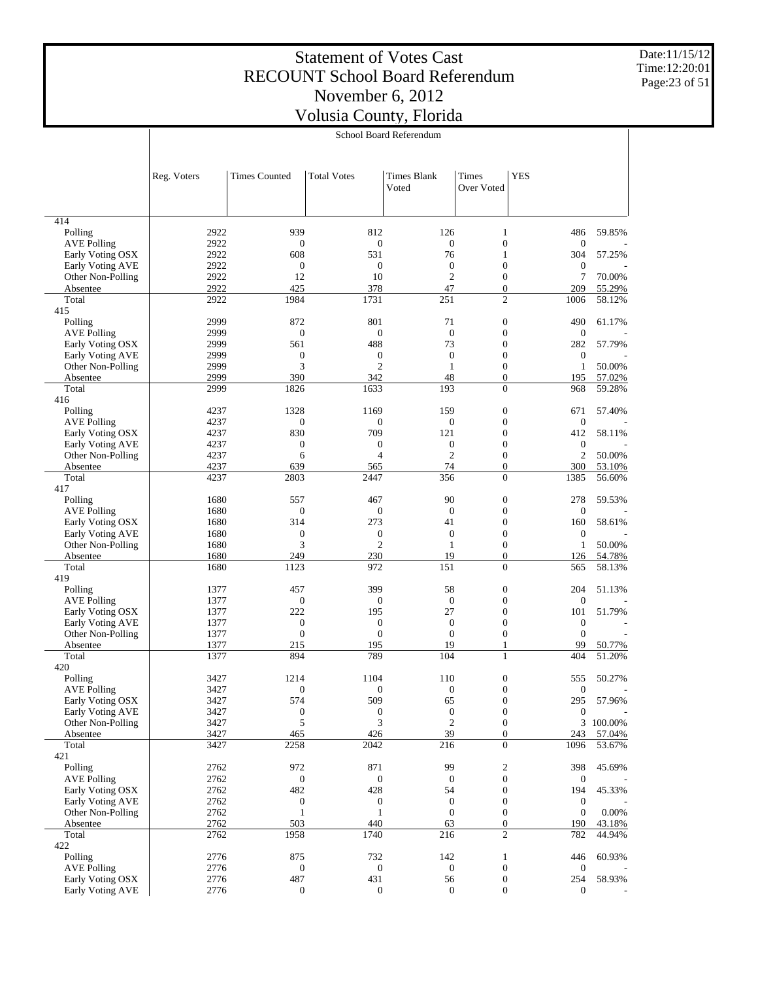Date:11/15/12 Time:12:20:01 Page:23 of 51

|                                        | School Board Referendum |                         |                                |                                  |                                      |                                |                  |
|----------------------------------------|-------------------------|-------------------------|--------------------------------|----------------------------------|--------------------------------------|--------------------------------|------------------|
|                                        |                         |                         |                                |                                  |                                      |                                |                  |
|                                        |                         |                         |                                |                                  |                                      |                                |                  |
|                                        | Reg. Voters             | <b>Times Counted</b>    | <b>Total Votes</b>             | <b>Times Blank</b>               | Times                                | <b>YES</b>                     |                  |
|                                        |                         |                         |                                | Voted                            | Over Voted                           |                                |                  |
|                                        |                         |                         |                                |                                  |                                      |                                |                  |
|                                        |                         |                         |                                |                                  |                                      |                                |                  |
| 414                                    |                         |                         |                                |                                  |                                      |                                |                  |
| Polling                                | 2922                    | 939                     | 812                            | 126                              | $\mathbf{1}$                         | 486                            | 59.85%           |
| <b>AVE Polling</b>                     | 2922                    | $\mathbf{0}$            | $\mathbf{0}$                   | $\mathbf{0}$                     | $\boldsymbol{0}$                     | $\boldsymbol{0}$               |                  |
| Early Voting OSX                       | 2922                    | 608                     | 531                            | 76                               | $\mathbf{1}$                         | 304                            | 57.25%           |
| Early Voting AVE                       | 2922                    | $\boldsymbol{0}$        | $\boldsymbol{0}$               | $\boldsymbol{0}$                 | $\boldsymbol{0}$                     | $\boldsymbol{0}$               |                  |
| Other Non-Polling                      | 2922<br>2922            | 12<br>425               | 10<br>378                      | $\mathbf{2}$                     | $\boldsymbol{0}$                     | 7                              | 70.00%           |
| Absentee<br>Total                      | 2922                    | 1984                    | 1731                           | 47<br>251                        | $\boldsymbol{0}$<br>$\overline{c}$   | 209<br>1006                    | 55.29%<br>58.12% |
| 415                                    |                         |                         |                                |                                  |                                      |                                |                  |
| Polling                                | 2999                    | 872                     | 801                            | 71                               | $\boldsymbol{0}$                     | 490                            | 61.17%           |
| <b>AVE Polling</b>                     | 2999                    | $\boldsymbol{0}$        | $\mathbf{0}$                   | $\overline{0}$                   | $\boldsymbol{0}$                     | $\mathbf{0}$                   |                  |
| Early Voting OSX                       | 2999                    | 561                     | 488                            | 73                               | $\boldsymbol{0}$                     | 282                            | 57.79%           |
| Early Voting AVE                       | 2999                    | $\mathbf{0}$            | $\boldsymbol{0}$               | $\mathbf{0}$                     | $\boldsymbol{0}$                     | $\mathbf{0}$                   |                  |
| Other Non-Polling                      | 2999                    | 3                       | $\overline{c}$                 | $\mathbf{1}$                     | $\boldsymbol{0}$                     | $\mathbf{1}$                   | 50.00%           |
| Absentee                               | 2999                    | 390                     | 342                            | 48                               | $\boldsymbol{0}$                     | 195                            | 57.02%           |
| Total                                  | 2999                    | 1826                    | 1633                           | 193                              | $\overline{0}$                       | 968                            | 59.28%           |
| 416                                    |                         |                         |                                |                                  |                                      |                                |                  |
| Polling                                | 4237                    | 1328                    | 1169                           | 159                              | $\boldsymbol{0}$                     | 671                            | 57.40%           |
| <b>AVE Polling</b>                     | 4237                    | $\mathbf{0}$            | $\mathbf{0}$                   | $\boldsymbol{0}$                 | $\boldsymbol{0}$                     | $\mathbf{0}$                   |                  |
| Early Voting OSX                       | 4237                    | 830                     | 709                            | 121                              | $\boldsymbol{0}$                     | 412                            | 58.11%           |
| Early Voting AVE<br>Other Non-Polling  | 4237<br>4237            | $\boldsymbol{0}$        | $\mathbf{0}$<br>$\overline{4}$ | $\boldsymbol{0}$<br>$\mathbf{2}$ | $\boldsymbol{0}$<br>$\boldsymbol{0}$ | $\mathbf{0}$<br>$\overline{c}$ | 50.00%           |
| Absentee                               | 4237                    | 6<br>639                | 565                            | 74                               | $\boldsymbol{0}$                     | 300                            | 53.10%           |
| Total                                  | 4237                    | 2803                    | 2447                           | 356                              | $\overline{0}$                       | 1385                           | 56.60%           |
| 417                                    |                         |                         |                                |                                  |                                      |                                |                  |
| Polling                                | 1680                    | 557                     | 467                            | 90                               | $\boldsymbol{0}$                     | 278                            | 59.53%           |
| <b>AVE Polling</b>                     | 1680                    | $\boldsymbol{0}$        | $\mathbf{0}$                   | $\boldsymbol{0}$                 | $\boldsymbol{0}$                     | $\mathbf{0}$                   |                  |
| Early Voting OSX                       | 1680                    | 314                     | 273                            | 41                               | $\boldsymbol{0}$                     | 160                            | 58.61%           |
| Early Voting AVE                       | 1680                    | $\mathbf{0}$            | $\boldsymbol{0}$               | $\boldsymbol{0}$                 | $\boldsymbol{0}$                     | $\mathbf{0}$                   |                  |
| Other Non-Polling                      | 1680                    | 3                       | $\overline{c}$                 | $\mathbf{1}$                     | $\boldsymbol{0}$                     | $\mathbf{1}$                   | 50.00%           |
| Absentee                               | 1680                    | 249                     | 230                            | 19                               | $\boldsymbol{0}$                     | 126                            | 54.78%           |
| Total                                  | 1680                    | 1123                    | 972                            | 151                              | $\overline{0}$                       | 565                            | 58.13%           |
| 419                                    |                         |                         |                                |                                  |                                      |                                |                  |
| Polling                                | 1377                    | 457                     | 399                            | 58                               | $\boldsymbol{0}$                     | 204                            | 51.13%           |
| <b>AVE Polling</b><br>Early Voting OSX | 1377<br>1377            | $\boldsymbol{0}$<br>222 | $\mathbf{0}$<br>195            | $\boldsymbol{0}$<br>27           | $\boldsymbol{0}$<br>$\boldsymbol{0}$ | $\mathbf{0}$<br>101            | 51.79%           |
| Early Voting AVE                       | 1377                    | $\boldsymbol{0}$        | $\boldsymbol{0}$               | $\boldsymbol{0}$                 | $\boldsymbol{0}$                     | $\boldsymbol{0}$               |                  |
| Other Non-Polling                      | 1377                    | $\mathbf{0}$            | $\overline{0}$                 | $\overline{0}$                   | $\boldsymbol{0}$                     | $\mathbf{0}$                   |                  |
| Absentee                               | 1377                    | 215                     | 195                            | 19                               | 1                                    | 99                             | 50.77%           |
| Total                                  | 1377                    | 894                     | 789                            | 104                              | $\mathbf{1}$                         | 404                            | 51.20%           |
| 420                                    |                         |                         |                                |                                  |                                      |                                |                  |
| Polling                                | 3427                    | 1214                    | 1104                           | 110                              | $\mathbf{0}$                         | 555                            | 50.27%           |
| <b>AVE Polling</b>                     | 3427                    | $\boldsymbol{0}$        | $\boldsymbol{0}$               | $\boldsymbol{0}$                 | $\boldsymbol{0}$                     | $\boldsymbol{0}$               |                  |
| Early Voting OSX                       | 3427                    | 574                     | 509                            | 65                               | $\boldsymbol{0}$                     | 295                            | 57.96%           |
| Early Voting AVE                       | 3427                    | $\boldsymbol{0}$        | $\boldsymbol{0}$               | $\boldsymbol{0}$                 | $\boldsymbol{0}$                     | $\boldsymbol{0}$               |                  |
| Other Non-Polling                      | 3427                    | 5                       | 3                              | $\sqrt{2}$                       | $\boldsymbol{0}$                     |                                | 3 100.00%        |
| Absentee                               | 3427                    | 465                     | 426                            | 39                               | $\boldsymbol{0}$                     | 243                            | 57.04%           |
| Total                                  | 3427                    | 2258                    | 2042                           | 216                              | $\boldsymbol{0}$                     | 1096                           | 53.67%           |
| 421<br>Polling                         | 2762                    | 972                     | 871                            | 99                               | $\boldsymbol{2}$                     | 398                            | 45.69%           |
| <b>AVE Polling</b>                     | 2762                    | $\boldsymbol{0}$        | $\mathbf{0}$                   | $\boldsymbol{0}$                 | $\boldsymbol{0}$                     | $\boldsymbol{0}$               |                  |
| Early Voting OSX                       | 2762                    | 482                     | 428                            | 54                               | $\boldsymbol{0}$                     | 194                            | 45.33%           |
| Early Voting AVE                       | 2762                    | $\boldsymbol{0}$        | $\boldsymbol{0}$               | $\boldsymbol{0}$                 | $\boldsymbol{0}$                     | $\boldsymbol{0}$               |                  |
| Other Non-Polling                      | 2762                    | $\mathbf{1}$            | $\mathbf{1}$                   | $\boldsymbol{0}$                 | $\boldsymbol{0}$                     | $\boldsymbol{0}$               | 0.00%            |
| Absentee                               | 2762                    | 503                     | 440                            | 63                               | $\boldsymbol{0}$                     | 190                            | 43.18%           |
| Total                                  | 2762                    | 1958                    | 1740                           | 216                              | $\overline{c}$                       | 782                            | 44.94%           |
| 422                                    |                         |                         |                                |                                  |                                      |                                |                  |
| Polling                                | 2776                    | 875                     | 732                            | 142                              | $\mathbf{1}$                         | 446                            | 60.93%           |
| <b>AVE Polling</b>                     | 2776                    | $\boldsymbol{0}$        | $\mathbf{0}$                   | $\boldsymbol{0}$                 | $\boldsymbol{0}$                     | $\boldsymbol{0}$               |                  |
| Early Voting OSX                       | 2776                    | 487                     | 431                            | 56                               | $\boldsymbol{0}$                     | 254                            | 58.93%           |
| Early Voting AVE                       | 2776                    | $\boldsymbol{0}$        | $\boldsymbol{0}$               | $\boldsymbol{0}$                 | $\boldsymbol{0}$                     | $\mathbf{0}$                   |                  |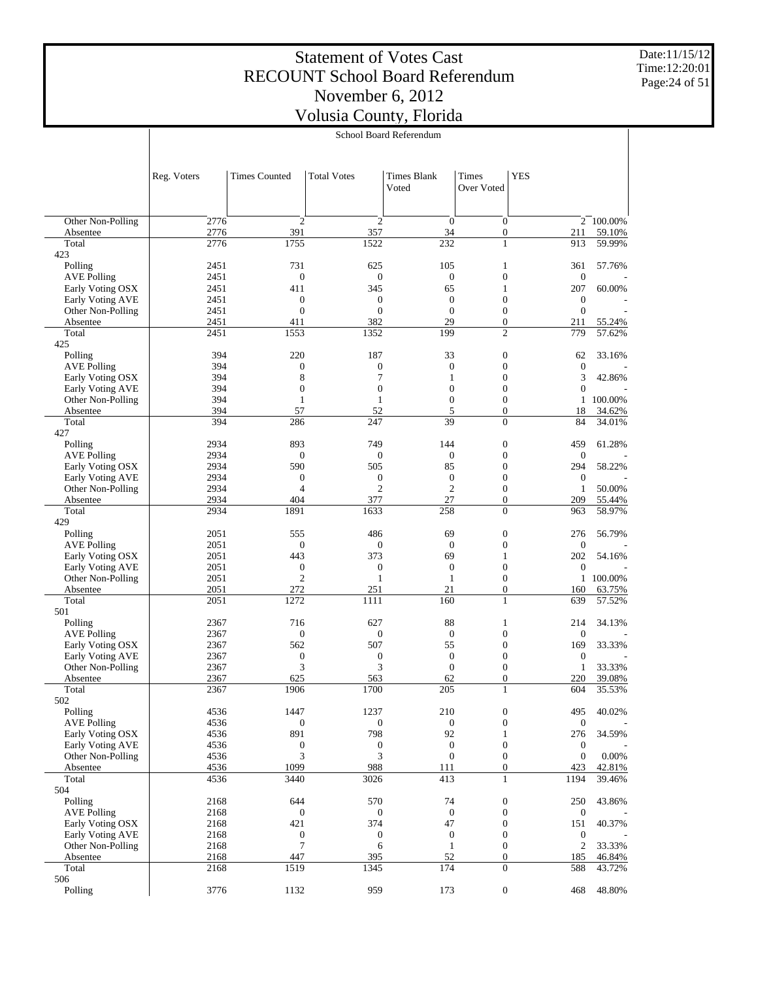Date:11/15/12 Time:12:20:01 Page:24 of 51

|                                        |              |                         |                                    | School Board Referendum          |                                      |                     |                  |
|----------------------------------------|--------------|-------------------------|------------------------------------|----------------------------------|--------------------------------------|---------------------|------------------|
|                                        |              |                         |                                    |                                  |                                      |                     |                  |
|                                        | Reg. Voters  | <b>Times Counted</b>    | <b>Total Votes</b>                 | <b>Times Blank</b><br>Voted      | Times<br>Over Voted                  | <b>YES</b>          |                  |
| Other Non-Polling                      | 2776         | $\overline{2}$          | $\mathbf{2}$                       | $\mathbf{0}$                     | $\boldsymbol{0}$                     |                     | 2 100.00%        |
| Absentee                               | 2776         | 391                     | 357                                | 34                               | $\boldsymbol{0}$                     | 211                 | 59.10%           |
| Total                                  | 2776         | 1755                    | 1522                               | 232                              | 1                                    | 913                 | 59.99%           |
| 423                                    |              |                         |                                    |                                  |                                      |                     |                  |
| Polling                                | 2451         | 731                     | 625                                | 105                              | 1                                    | 361                 | 57.76%           |
| <b>AVE Polling</b><br>Early Voting OSX | 2451<br>2451 | $\mathbf{0}$<br>411     | $\boldsymbol{0}$<br>345            | $\boldsymbol{0}$<br>65           | $\boldsymbol{0}$<br>1                | $\mathbf{0}$<br>207 | 60.00%           |
| Early Voting AVE                       | 2451         | $\boldsymbol{0}$        | $\boldsymbol{0}$                   | $\theta$                         | $\boldsymbol{0}$                     | $\mathbf{0}$        |                  |
| Other Non-Polling                      | 2451         | $\mathbf{0}$            | $\mathbf{0}$                       | $\overline{0}$                   | $\boldsymbol{0}$                     | $\boldsymbol{0}$    |                  |
| Absentee                               | 2451         | 411                     | 382                                | 29                               | $\boldsymbol{0}$                     | 211                 | 55.24%           |
| Total                                  | 2451         | 1553                    | 1352                               | 199                              | $\mathfrak{2}$                       | 779                 | 57.62%           |
| 425<br>Polling                         | 394          | 220                     | 187                                | 33                               | $\boldsymbol{0}$                     | 62                  | 33.16%           |
| <b>AVE Polling</b>                     | 394          | $\boldsymbol{0}$        | $\boldsymbol{0}$                   | $\boldsymbol{0}$                 | $\boldsymbol{0}$                     | $\mathbf{0}$        |                  |
| Early Voting OSX                       | 394          | 8                       | 7                                  | 1                                | $\boldsymbol{0}$                     | 3                   | 42.86%           |
| Early Voting AVE                       | 394          | $\mathbf{0}$            | $\mathbf{0}$                       | $\mathbf{0}$                     | $\boldsymbol{0}$                     | $\boldsymbol{0}$    |                  |
| Other Non-Polling                      | 394          | $\mathbf{1}$            | $\mathbf{1}$                       | $\overline{0}$                   | $\boldsymbol{0}$                     | 1                   | 100.00%          |
| Absentee<br>Total                      | 394<br>394   | 57<br>286               | 52<br>247                          | 5<br>39                          | $\boldsymbol{0}$<br>$\mathbf{0}$     | 18<br>84            | 34.62%<br>34.01% |
| 427                                    |              |                         |                                    |                                  |                                      |                     |                  |
| Polling                                | 2934         | 893                     | 749                                | 144                              | $\boldsymbol{0}$                     | 459                 | 61.28%           |
| <b>AVE Polling</b>                     | 2934         | $\mathbf{0}$            | $\mathbf{0}$                       | $\mathbf{0}$                     | $\boldsymbol{0}$                     | $\mathbf{0}$        |                  |
| Early Voting OSX                       | 2934         | 590                     | 505                                | 85                               | $\boldsymbol{0}$                     | 294                 | 58.22%           |
| Early Voting AVE                       | 2934         | $\boldsymbol{0}$        | $\boldsymbol{0}$<br>$\overline{2}$ | $\boldsymbol{0}$<br>$\mathbf{2}$ | $\boldsymbol{0}$                     | $\boldsymbol{0}$    |                  |
| Other Non-Polling<br>Absentee          | 2934<br>2934 | $\overline{4}$<br>404   | 377                                | 27                               | $\boldsymbol{0}$<br>$\boldsymbol{0}$ | $\mathbf{1}$<br>209 | 50.00%<br>55.44% |
| Total                                  | 2934         | 1891                    | 1633                               | 258                              | $\mathbf{0}$                         | 963                 | 58.97%           |
| 429                                    |              |                         |                                    |                                  |                                      |                     |                  |
| Polling                                | 2051         | 555                     | 486                                | 69                               | $\boldsymbol{0}$                     | 276                 | 56.79%           |
| <b>AVE Polling</b>                     | 2051         | $\boldsymbol{0}$        | $\boldsymbol{0}$                   | $\overline{0}$                   | $\boldsymbol{0}$                     | $\mathbf{0}$        |                  |
| Early Voting OSX<br>Early Voting AVE   | 2051<br>2051 | 443<br>$\boldsymbol{0}$ | 373<br>$\boldsymbol{0}$            | 69<br>$\boldsymbol{0}$           | 1<br>$\boldsymbol{0}$                | 202<br>$\mathbf{0}$ | 54.16%           |
| Other Non-Polling                      | 2051         | $\overline{2}$          | $\mathbf{1}$                       | $\mathbf{1}$                     | $\boldsymbol{0}$                     | $\mathbf{1}$        | 100.00%          |
| Absentee                               | 2051         | 272                     | 251                                | 21                               | $\boldsymbol{0}$                     | 160                 | 63.75%           |
| Total                                  | 2051         | 1272                    | 1111                               | 160                              | 1                                    | 639                 | 57.52%           |
| 501                                    |              |                         |                                    |                                  |                                      |                     |                  |
| Polling                                | 2367         | 716                     | 627                                | 88<br>$\boldsymbol{0}$           | 1<br>$\boldsymbol{0}$                | 214<br>$\mathbf{0}$ | 34.13%           |
| <b>AVE Polling</b><br>Early Voting OSX | 2367<br>2367 | $\boldsymbol{0}$<br>562 | $\boldsymbol{0}$<br>507            | 55                               | $\boldsymbol{0}$                     | 169                 | 33.33%           |
| Early Voting AVE                       | 2367         | $\boldsymbol{0}$        | $\boldsymbol{0}$                   | $\mathbf{0}$                     | $\boldsymbol{0}$                     | $\boldsymbol{0}$    |                  |
| Other Non-Polling                      | 2367         | 3                       | 3                                  | $\overline{0}$                   | $\boldsymbol{0}$                     | 1                   | 33.33%           |
| Absentee                               | 2367         | 625                     | 563                                | 62                               | $\overline{0}$                       | 220                 | 39.08%           |
| Total                                  | 2367         | 1906                    | 1700                               | 205                              | 1                                    | 604                 | 35.53%           |
| 502<br>Polling                         | 4536         | 1447                    | 1237                               | 210                              | $\boldsymbol{0}$                     | 495                 | 40.02%           |
| <b>AVE Polling</b>                     | 4536         | $\mathbf{0}$            | $\boldsymbol{0}$                   | $\boldsymbol{0}$                 | $\boldsymbol{0}$                     | $\boldsymbol{0}$    |                  |
| Early Voting OSX                       | 4536         | 891                     | 798                                | 92                               | 1                                    | 276                 | 34.59%           |
| Early Voting AVE                       | 4536         | $\boldsymbol{0}$        | $\boldsymbol{0}$                   | $\boldsymbol{0}$                 | $\boldsymbol{0}$                     | $\boldsymbol{0}$    |                  |
| Other Non-Polling                      | 4536         | 3                       | 3                                  | $\boldsymbol{0}$                 | $\boldsymbol{0}$                     | $\boldsymbol{0}$    | 0.00%            |
| Absentee                               | 4536         | 1099                    | 988                                | 111                              | $\boldsymbol{0}$                     | 423                 | 42.81%           |
| Total<br>504                           | 4536         | 3440                    | 3026                               | 413                              | $\mathbf{1}$                         | 1194                | 39.46%           |
| Polling                                | 2168         | 644                     | 570                                | 74                               | $\boldsymbol{0}$                     | 250                 | 43.86%           |
| <b>AVE Polling</b>                     | 2168         | $\mathbf{0}$            | $\boldsymbol{0}$                   | $\boldsymbol{0}$                 | $\boldsymbol{0}$                     | $\boldsymbol{0}$    |                  |
| Early Voting OSX                       | 2168         | 421                     | 374                                | 47                               | $\boldsymbol{0}$                     | 151                 | 40.37%           |
| Early Voting AVE                       | 2168         | $\boldsymbol{0}$        | $\boldsymbol{0}$                   | $\boldsymbol{0}$                 | $\boldsymbol{0}$                     | $\boldsymbol{0}$    |                  |
| Other Non-Polling                      | 2168<br>2168 | $\tau$<br>447           | 6<br>395                           | $\mathbf{1}$<br>52               | $\boldsymbol{0}$<br>$\boldsymbol{0}$ | $\overline{2}$      | 33.33%           |
| Absentee<br>Total                      | 2168         | 1519                    | 1345                               | 174                              | $\boldsymbol{0}$                     | 185<br>588          | 46.84%<br>43.72% |
| 506                                    |              |                         |                                    |                                  |                                      |                     |                  |
| Polling                                | 3776         | 1132                    | 959                                | 173                              | $\boldsymbol{0}$                     | 468                 | 48.80%           |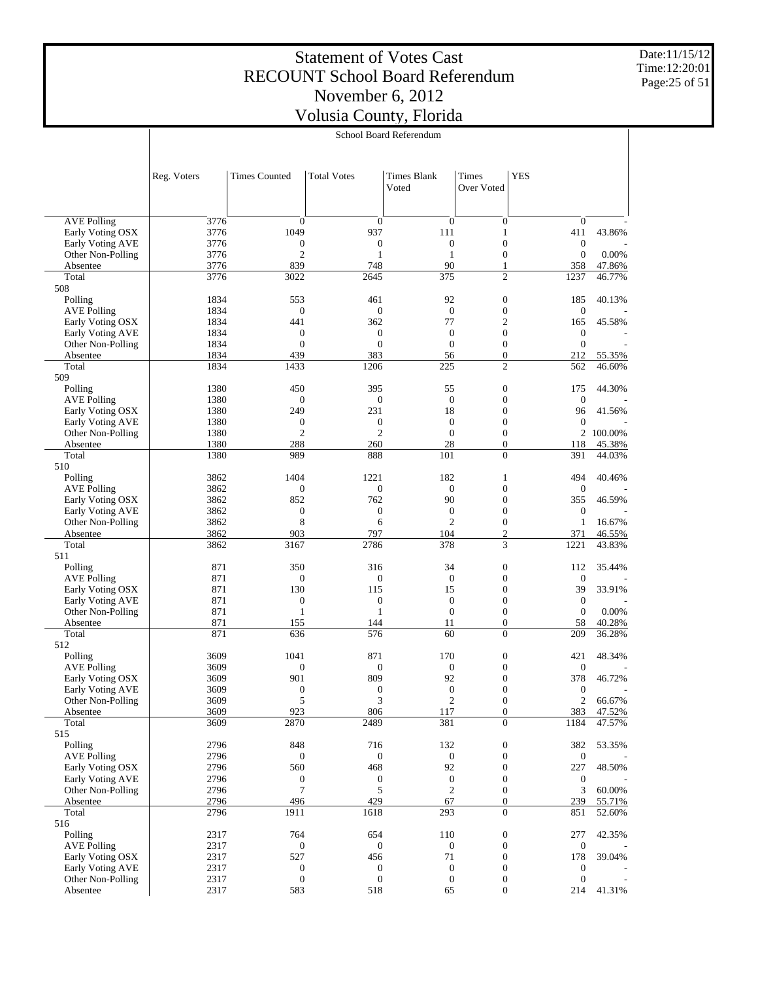Date:11/15/12 Time:12:20:01 Page:25 of 51

|                                              |              |                                  |                                      | School Board Referendum              |                                      |                                      |         |
|----------------------------------------------|--------------|----------------------------------|--------------------------------------|--------------------------------------|--------------------------------------|--------------------------------------|---------|
|                                              | Reg. Voters  | <b>Times Counted</b>             | <b>Total Votes</b>                   | <b>Times Blank</b><br>Voted          | <b>Times</b><br>Over Voted           | <b>YES</b>                           |         |
|                                              |              |                                  |                                      |                                      |                                      |                                      |         |
| <b>AVE Polling</b><br>Early Voting OSX       | 3776<br>3776 | $\mathbf{0}$<br>1049             | $\boldsymbol{0}$<br>937              | $\boldsymbol{0}$<br>111              | $\boldsymbol{0}$<br>$\mathbf{1}$     | $\boldsymbol{0}$<br>411              | 43.86%  |
| <b>Early Voting AVE</b>                      | 3776         | $\boldsymbol{0}$                 | $\boldsymbol{0}$                     | $\boldsymbol{0}$                     | $\boldsymbol{0}$                     | $\boldsymbol{0}$                     |         |
| Other Non-Polling                            | 3776         | $\overline{c}$                   | $\mathbf{1}$                         | 1                                    | $\boldsymbol{0}$                     | $\boldsymbol{0}$                     | 0.00%   |
| Absentee                                     | 3776         | 839                              | 748                                  | 90                                   | 1                                    | 358                                  | 47.86%  |
| Total<br>508                                 | 3776         | 3022                             | 2645                                 | 375                                  | $\overline{2}$                       | 1237                                 | 46.77%  |
| Polling                                      | 1834         | 553                              | 461                                  | 92                                   | $\boldsymbol{0}$                     | 185                                  | 40.13%  |
| <b>AVE Polling</b>                           | 1834         | $\boldsymbol{0}$                 | $\boldsymbol{0}$                     | $\mathbf{0}$                         | $\boldsymbol{0}$                     | $\boldsymbol{0}$                     |         |
| Early Voting OSX                             | 1834         | 441                              | 362                                  | 77                                   | $\overline{c}$                       | 165                                  | 45.58%  |
| <b>Early Voting AVE</b>                      | 1834         | $\mathbf{0}$                     | $\mathbf{0}$                         | $\mathbf{0}$                         | $\boldsymbol{0}$                     | $\boldsymbol{0}$                     |         |
| Other Non-Polling                            | 1834         | $\mathbf{0}$                     | $\mathbf{0}$                         | $\boldsymbol{0}$                     | $\boldsymbol{0}$                     | $\boldsymbol{0}$                     |         |
| Absentee                                     | 1834         | 439                              | 383                                  | 56                                   | $\boldsymbol{0}$                     | 212                                  | 55.35%  |
| Total                                        | 1834         | 1433                             | 1206                                 | 225                                  | $\overline{2}$                       | 562                                  | 46.60%  |
| 509                                          |              |                                  |                                      |                                      |                                      |                                      |         |
| Polling<br><b>AVE Polling</b>                | 1380<br>1380 | 450<br>$\boldsymbol{0}$          | 395<br>$\mathbf{0}$                  | 55<br>$\boldsymbol{0}$               | $\boldsymbol{0}$<br>$\boldsymbol{0}$ | 175<br>$\boldsymbol{0}$              | 44.30%  |
| Early Voting OSX                             | 1380         | 249                              | 231                                  | 18                                   | $\boldsymbol{0}$                     | 96                                   | 41.56%  |
| <b>Early Voting AVE</b>                      | 1380         | $\boldsymbol{0}$                 | $\boldsymbol{0}$                     | $\mathbf{0}$                         | $\boldsymbol{0}$                     | $\boldsymbol{0}$                     |         |
| Other Non-Polling                            | 1380         | $\overline{c}$                   | $\overline{c}$                       | $\boldsymbol{0}$                     | $\boldsymbol{0}$                     | 2                                    | 100.00% |
| Absentee                                     | 1380         | 288                              | 260                                  | 28                                   | $\boldsymbol{0}$                     | 118                                  | 45.38%  |
| Total                                        | 1380         | 989                              | 888                                  | 101                                  | $\boldsymbol{0}$                     | 391                                  | 44.03%  |
| 510                                          |              |                                  |                                      |                                      |                                      |                                      |         |
| Polling                                      | 3862         | 1404                             | 1221                                 | 182                                  | 1                                    | 494                                  | 40.46%  |
| <b>AVE Polling</b>                           | 3862         | $\boldsymbol{0}$                 | $\mathbf{0}$                         | $\boldsymbol{0}$                     | $\boldsymbol{0}$                     | $\boldsymbol{0}$                     |         |
| Early Voting OSX                             | 3862         | 852                              | 762                                  | 90                                   | $\boldsymbol{0}$                     | 355                                  | 46.59%  |
| Early Voting AVE                             | 3862         | $\boldsymbol{0}$<br>8            | $\boldsymbol{0}$<br>6                | $\mathbf{0}$<br>$\mathfrak{2}$       | $\boldsymbol{0}$<br>$\boldsymbol{0}$ | $\boldsymbol{0}$<br>$\mathbf{1}$     | 16.67%  |
| Other Non-Polling<br>Absentee                | 3862<br>3862 | 903                              | 797                                  | 104                                  | $\overline{c}$                       | 371                                  | 46.55%  |
| Total                                        | 3862         | 3167                             | 2786                                 | 378                                  | 3                                    | 1221                                 | 43.83%  |
| 511                                          |              |                                  |                                      |                                      |                                      |                                      |         |
| Polling                                      | 871          | 350                              | 316                                  | 34                                   | $\boldsymbol{0}$                     | 112                                  | 35.44%  |
| <b>AVE Polling</b>                           | 871          | $\boldsymbol{0}$                 | $\boldsymbol{0}$                     | $\mathbf{0}$                         | $\boldsymbol{0}$                     | $\boldsymbol{0}$                     |         |
| Early Voting OSX                             | 871          | 130                              | 115                                  | 15                                   | $\boldsymbol{0}$                     | 39                                   | 33.91%  |
| Early Voting AVE                             | 871          | $\boldsymbol{0}$                 | $\boldsymbol{0}$                     | $\mathbf{0}$                         | $\boldsymbol{0}$                     | $\boldsymbol{0}$                     |         |
| Other Non-Polling                            | 871          | $\mathbf{1}$                     | $\mathbf{1}$                         | $\boldsymbol{0}$                     | $\boldsymbol{0}$                     | $\boldsymbol{0}$                     | 0.00%   |
| Absentee                                     | 871          | 155                              | 144                                  | 11                                   | $\boldsymbol{0}$                     | 58                                   | 40.28%  |
| Total<br>512                                 | 871          | 636                              | 576                                  | 60                                   | $\boldsymbol{0}$                     | 209                                  | 36.28%  |
| Polling                                      | 3609         | 1041                             | 871                                  | 170                                  | $\boldsymbol{0}$                     | 421                                  | 48.34%  |
| <b>AVE Polling</b>                           | 3609         | $\mathbf{0}$                     | $\boldsymbol{0}$                     | $\boldsymbol{0}$                     | $\boldsymbol{0}$                     | $\mathbf{0}$                         |         |
| Early Voting OSX                             | 3609         | 901                              | 809                                  | 92                                   | $\boldsymbol{0}$                     | 378                                  | 46.72%  |
| Early Voting AVE                             | 3609         | $\boldsymbol{0}$                 | $\boldsymbol{0}$                     | $\bf{0}$                             | 0                                    | 0                                    |         |
| Other Non-Polling                            | 3609         | 5                                | 3                                    | $\sqrt{2}$                           | $\boldsymbol{0}$                     | $\mathbf{2}$                         | 66.67%  |
| Absentee                                     | 3609         | 923                              | 806                                  | 117                                  | $\boldsymbol{0}$                     | 383                                  | 47.52%  |
| Total                                        | 3609         | 2870                             | 2489                                 | 381                                  | $\overline{0}$                       | 1184                                 | 47.57%  |
| 515<br>Polling                               | 2796         | 848                              |                                      | 132                                  |                                      |                                      |         |
| <b>AVE Polling</b>                           | 2796         | $\boldsymbol{0}$                 | 716<br>$\boldsymbol{0}$              | $\boldsymbol{0}$                     | $\boldsymbol{0}$<br>$\boldsymbol{0}$ | 382<br>$\boldsymbol{0}$              | 53.35%  |
| Early Voting OSX                             | 2796         | 560                              | 468                                  | 92                                   | $\boldsymbol{0}$                     | 227                                  | 48.50%  |
| <b>Early Voting AVE</b>                      | 2796         | $\mathbf{0}$                     | $\boldsymbol{0}$                     | $\boldsymbol{0}$                     | $\boldsymbol{0}$                     | $\boldsymbol{0}$                     |         |
| Other Non-Polling                            | 2796         | 7                                | 5                                    | $\boldsymbol{2}$                     | $\boldsymbol{0}$                     | 3                                    | 60.00%  |
| Absentee                                     | 2796         | 496                              | 429                                  | 67                                   | $\boldsymbol{0}$                     | 239                                  | 55.71%  |
| Total                                        | 2796         | 1911                             | 1618                                 | 293                                  | $\overline{0}$                       | 851                                  | 52.60%  |
| 516                                          |              |                                  |                                      |                                      |                                      |                                      |         |
| Polling                                      | 2317         | 764                              | 654                                  | 110                                  | $\boldsymbol{0}$                     | 277                                  | 42.35%  |
| <b>AVE Polling</b>                           | 2317         | $\boldsymbol{0}$                 | $\boldsymbol{0}$                     | $\boldsymbol{0}$                     | $\boldsymbol{0}$                     | $\boldsymbol{0}$                     |         |
| Early Voting OSX                             | 2317         | 527                              | 456                                  | 71                                   | $\boldsymbol{0}$                     | 178                                  | 39.04%  |
| <b>Early Voting AVE</b><br>Other Non-Polling | 2317<br>2317 | $\boldsymbol{0}$<br>$\mathbf{0}$ | $\boldsymbol{0}$<br>$\boldsymbol{0}$ | $\boldsymbol{0}$<br>$\boldsymbol{0}$ | $\boldsymbol{0}$<br>$\boldsymbol{0}$ | $\boldsymbol{0}$<br>$\boldsymbol{0}$ |         |
| Absentee                                     | 2317         | 583                              | 518                                  | 65                                   | $\boldsymbol{0}$                     | 214                                  | 41.31%  |
|                                              |              |                                  |                                      |                                      |                                      |                                      |         |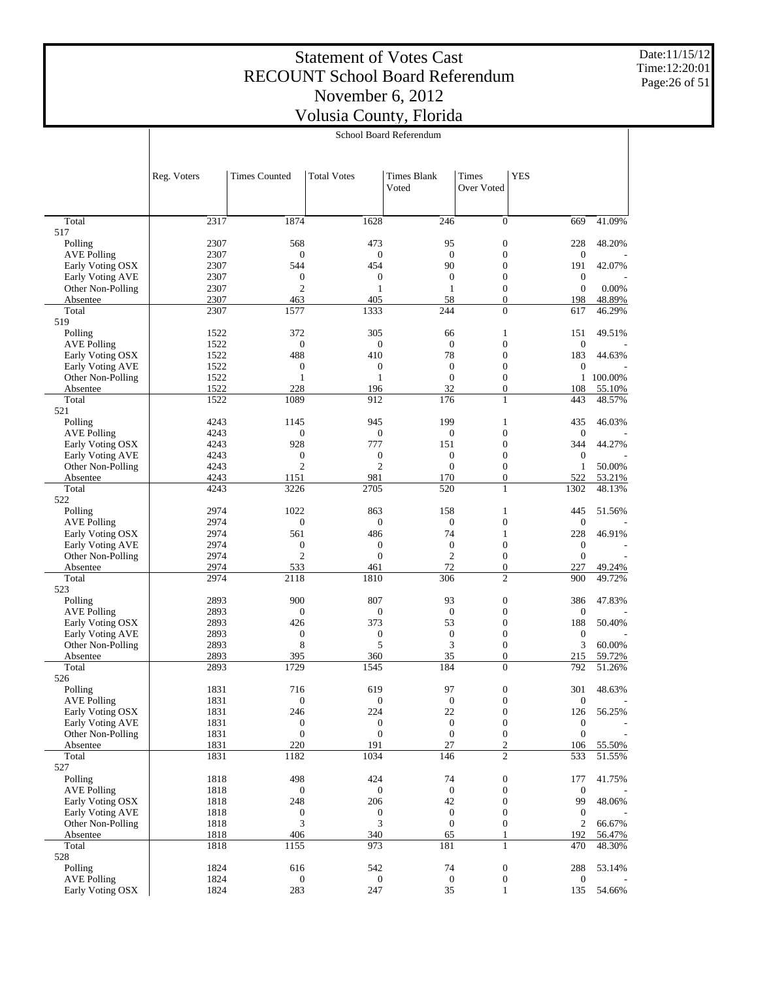Date:11/15/12 Time:12:20:01 Page:26 of 51

|                                      |              |                                    |                                  | School Board Referendum     |                                      |                         |                  |
|--------------------------------------|--------------|------------------------------------|----------------------------------|-----------------------------|--------------------------------------|-------------------------|------------------|
|                                      | Reg. Voters  | <b>Times Counted</b>               | <b>Total Votes</b>               | <b>Times Blank</b><br>Voted | <b>Times</b><br>Over Voted           | <b>YES</b>              |                  |
|                                      |              |                                    |                                  |                             |                                      |                         |                  |
| Total<br>517                         | 2317         | 1874                               | 1628                             | 246                         | $\boldsymbol{0}$                     | 669                     | 41.09%           |
| Polling                              | 2307         | 568                                | 473                              | 95                          | $\boldsymbol{0}$                     | 228                     | 48.20%           |
| <b>AVE Polling</b>                   | 2307         | $\mathbf{0}$                       | $\boldsymbol{0}$                 | $\mathbf{0}$                | $\boldsymbol{0}$                     | $\boldsymbol{0}$        |                  |
| Early Voting OSX<br>Early Voting AVE | 2307         | 544                                | 454                              | 90<br>$\mathbf{0}$          | $\mathbf{0}$<br>$\mathbf{0}$         | 191<br>$\boldsymbol{0}$ | 42.07%           |
| Other Non-Polling                    | 2307<br>2307 | $\boldsymbol{0}$<br>$\overline{2}$ | $\boldsymbol{0}$<br>$\mathbf{1}$ | $\mathbf{1}$                | $\mathbf{0}$                         | $\boldsymbol{0}$        | 0.00%            |
| Absentee                             | 2307         | 463                                | 405                              | 58                          | $\overline{0}$                       | 198                     | 48.89%           |
| Total                                | 2307         | 1577                               | 1333                             | 244                         | $\mathbf{0}$                         | 617                     | 46.29%           |
| 519                                  |              |                                    |                                  |                             |                                      |                         |                  |
| Polling<br><b>AVE Polling</b>        | 1522<br>1522 | 372<br>$\mathbf{0}$                | 305<br>$\boldsymbol{0}$          | 66<br>$\theta$              | 1<br>$\boldsymbol{0}$                | 151<br>$\boldsymbol{0}$ | 49.51%           |
| Early Voting OSX                     | 1522         | 488                                | 410                              | 78                          | $\boldsymbol{0}$                     | 183                     | 44.63%           |
| Early Voting AVE                     | 1522         | $\boldsymbol{0}$                   | $\boldsymbol{0}$                 | $\mathbf{0}$                | $\mathbf{0}$                         | $\boldsymbol{0}$        |                  |
| Other Non-Polling                    | 1522         | $\mathbf{1}$                       | $\mathbf{1}$                     | $\mathbf{0}$                | $\mathbf{0}$                         | $\mathbf{1}$            | 100.00%          |
| Absentee                             | 1522         | 228                                | 196                              | 32                          | $\boldsymbol{0}$                     | 108                     | 55.10%           |
| Total<br>521                         | 1522         | 1089                               | 912                              | 176                         | $\mathbf{1}$                         | 443                     | 48.57%           |
| Polling                              | 4243         | 1145                               | 945                              | 199                         | 1                                    | 435                     | 46.03%           |
| <b>AVE Polling</b>                   | 4243         | $\mathbf{0}$                       | $\boldsymbol{0}$                 | $\mathbf{0}$                | $\boldsymbol{0}$                     | $\boldsymbol{0}$        |                  |
| Early Voting OSX                     | 4243         | 928                                | 777                              | 151                         | $\boldsymbol{0}$                     | 344                     | 44.27%           |
| Early Voting AVE                     | 4243         | $\boldsymbol{0}$                   | $\boldsymbol{0}$                 | $\boldsymbol{0}$            | $\mathbf{0}$                         | $\boldsymbol{0}$        |                  |
| Other Non-Polling<br>Absentee        | 4243<br>4243 | $\overline{2}$<br>1151             | $\mathfrak{2}$<br>981            | $\overline{0}$<br>170       | $\mathbf{0}$<br>$\boldsymbol{0}$     | $\mathbf{1}$<br>522     | 50.00%<br>53.21% |
| Total                                | 4243         | 3226                               | 2705                             | 520                         | $\mathbf{1}$                         | 1302                    | 48.13%           |
| 522                                  |              |                                    |                                  |                             |                                      |                         |                  |
| Polling                              | 2974         | 1022                               | 863                              | 158                         | 1                                    | 445                     | 51.56%           |
| <b>AVE Polling</b>                   | 2974         | $\mathbf{0}$                       | $\boldsymbol{0}$                 | $\mathbf{0}$                | $\boldsymbol{0}$                     | $\boldsymbol{0}$        |                  |
| Early Voting OSX<br>Early Voting AVE | 2974<br>2974 | 561<br>$\boldsymbol{0}$            | 486<br>$\boldsymbol{0}$          | 74<br>$\boldsymbol{0}$      | 1<br>$\mathbf{0}$                    | 228<br>$\boldsymbol{0}$ | 46.91%           |
| Other Non-Polling                    | 2974         | $\overline{2}$                     | $\boldsymbol{0}$                 | $\mathfrak{2}$              | $\mathbf{0}$                         | $\boldsymbol{0}$        |                  |
| Absentee                             | 2974         | 533                                | 461                              | 72                          | $\boldsymbol{0}$                     | 227                     | 49.24%           |
| Total                                | 2974         | 2118                               | 1810                             | 306                         | $\mathfrak{2}$                       | 900                     | 49.72%           |
| 523                                  |              |                                    |                                  |                             |                                      |                         |                  |
| Polling<br><b>AVE Polling</b>        | 2893<br>2893 | 900<br>$\boldsymbol{0}$            | 807<br>$\boldsymbol{0}$          | 93<br>$\boldsymbol{0}$      | $\boldsymbol{0}$<br>$\boldsymbol{0}$ | 386<br>$\boldsymbol{0}$ | 47.83%           |
| Early Voting OSX                     | 2893         | 426                                | 373                              | 53                          | $\mathbf{0}$                         | 188                     | 50.40%           |
| Early Voting AVE                     | 2893         | $\boldsymbol{0}$                   | $\boldsymbol{0}$                 | $\boldsymbol{0}$            | $\mathbf{0}$                         | $\boldsymbol{0}$        |                  |
| Other Non-Polling                    | 2893         | 8                                  | 5                                | 3                           | $\mathbf{0}$                         | 3                       | 60.00%           |
| Absentee                             | 2893         | 395                                | 360                              | 35                          | $\boldsymbol{0}$                     | 215                     | 59.72%           |
| Total<br>526                         | 2893         | 1729                               | 1545                             | 184                         | $\mathbf{0}$                         | 792                     | 51.26%           |
| Polling                              | 1831         | 716                                | 619                              | 97                          | $\boldsymbol{0}$                     | 301                     | 48.63%           |
| <b>AVE Polling</b>                   | 1831         | $\mathbf{0}$                       | $\boldsymbol{0}$                 | $\boldsymbol{0}$            | $\boldsymbol{0}$                     | $\boldsymbol{0}$        |                  |
| Early Voting OSX                     | 1831         | 246                                | 224                              | 22                          | $\boldsymbol{0}$                     | 126                     | 56.25%           |
| Early Voting AVE                     | 1831         | $\boldsymbol{0}$                   | $\boldsymbol{0}$                 | $\mathbf{0}$                | $\mathbf{0}$                         | $\boldsymbol{0}$        |                  |
| Other Non-Polling<br>Absentee        | 1831<br>1831 | $\boldsymbol{0}$<br>220            | $\boldsymbol{0}$<br>191          | $\mathbf{0}$<br>27          | $\boldsymbol{0}$<br>$\sqrt{2}$       | $\boldsymbol{0}$<br>106 | 55.50%           |
| Total                                | 1831         | 1182                               | 1034                             | 146                         | $\overline{2}$                       | 533                     | 51.55%           |
| 527                                  |              |                                    |                                  |                             |                                      |                         |                  |
| Polling                              | 1818         | 498                                | 424                              | 74                          | $\boldsymbol{0}$                     | 177                     | 41.75%           |
| <b>AVE Polling</b>                   | 1818         | $\boldsymbol{0}$                   | $\boldsymbol{0}$                 | $\mathbf{0}$                | $\boldsymbol{0}$                     | $\boldsymbol{0}$        |                  |
| Early Voting OSX<br>Early Voting AVE | 1818<br>1818 | 248<br>$\boldsymbol{0}$            | 206<br>$\boldsymbol{0}$          | 42<br>$\mathbf{0}$          | $\mathbf{0}$<br>$\boldsymbol{0}$     | 99<br>$\boldsymbol{0}$  | 48.06%           |
| Other Non-Polling                    | 1818         | 3                                  | 3                                | $\boldsymbol{0}$            | $\boldsymbol{0}$                     | $\boldsymbol{2}$        | 66.67%           |
| Absentee                             | 1818         | 406                                | 340                              | 65                          | 1                                    | 192                     | 56.47%           |
| Total                                | 1818         | 1155                               | 973                              | 181                         | 1                                    | 470                     | 48.30%           |
| 528                                  |              |                                    |                                  |                             |                                      |                         |                  |
| Polling<br><b>AVE Polling</b>        | 1824<br>1824 | 616<br>$\boldsymbol{0}$            | 542<br>0                         | 74<br>$\mathbf{0}$          | $\boldsymbol{0}$<br>$\boldsymbol{0}$ | 288<br>$\boldsymbol{0}$ | 53.14%           |
| Early Voting OSX                     | 1824         | 283                                | 247                              | 35                          | $\mathbf{1}$                         | 135                     | 54.66%           |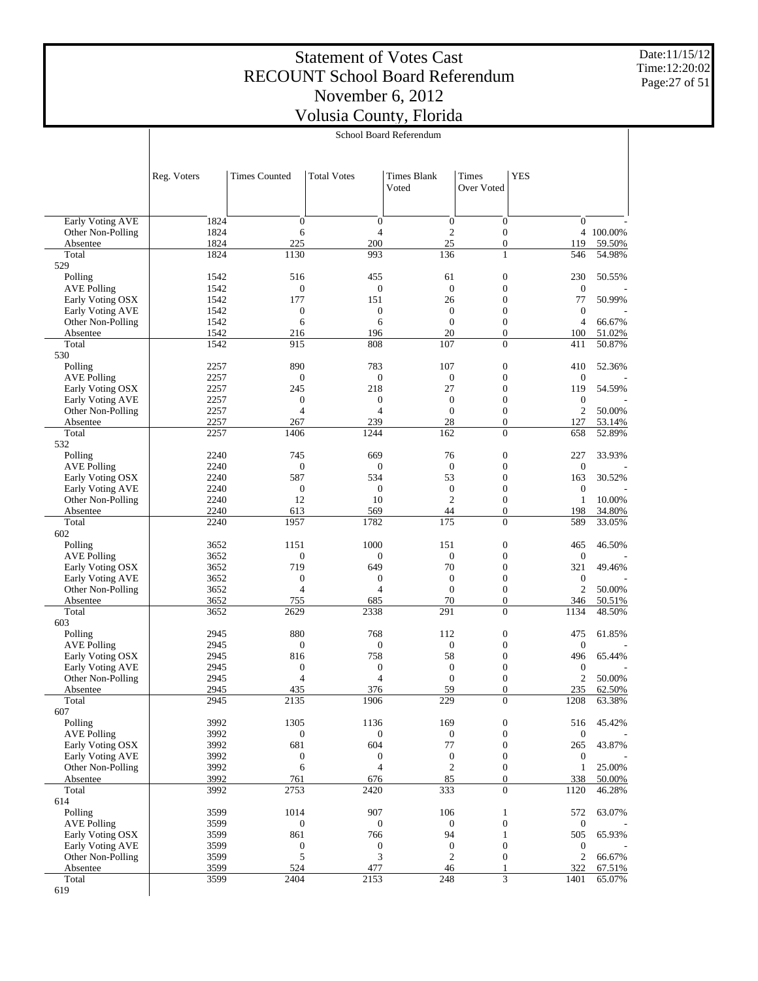Date:11/15/12 Time:12:20:02 Page:27 of 51

|                                              |              |                                    |                                    | School Board Referendum          |                                      |                                  |                  |
|----------------------------------------------|--------------|------------------------------------|------------------------------------|----------------------------------|--------------------------------------|----------------------------------|------------------|
|                                              |              |                                    |                                    |                                  |                                      |                                  |                  |
|                                              | Reg. Voters  | <b>Times Counted</b>               | <b>Total Votes</b>                 | Times Blank<br>Voted             | Times<br>Over Voted                  | <b>YES</b>                       |                  |
| Early Voting AVE                             | 1824         | $\boldsymbol{0}$                   | $\boldsymbol{0}$                   | $\boldsymbol{0}$                 | $\boldsymbol{0}$                     | $\mathbf{0}$                     |                  |
| Other Non-Polling                            | 1824         | 6                                  | $\overline{4}$                     | $\mathfrak{2}$                   | $\boldsymbol{0}$                     |                                  | 4 100.00%        |
| Absentee                                     | 1824         | 225                                | 200                                | 25                               | $\boldsymbol{0}$                     | 119                              | 59.50%           |
| Total<br>529                                 | 1824         | 1130                               | 993                                | 136                              | $\mathbf{1}$                         | 546                              | 54.98%           |
| Polling                                      | 1542         | 516                                | 455                                | 61                               | $\mathbf{0}$                         | 230                              | 50.55%           |
| <b>AVE Polling</b>                           | 1542         | $\boldsymbol{0}$                   | $\boldsymbol{0}$                   | $\overline{0}$                   | $\boldsymbol{0}$                     | $\boldsymbol{0}$                 |                  |
| Early Voting OSX<br>Early Voting AVE         | 1542<br>1542 | 177<br>$\boldsymbol{0}$            | 151<br>$\boldsymbol{0}$            | 26<br>$\boldsymbol{0}$           | $\mathbf{0}$<br>$\boldsymbol{0}$     | 77<br>$\boldsymbol{0}$           | 50.99%           |
| Other Non-Polling                            | 1542         | 6                                  | 6                                  | $\mathbf{0}$                     | $\boldsymbol{0}$                     | $\overline{4}$                   | 66.67%           |
| Absentee                                     | 1542         | 216                                | 196                                | 20                               | $\boldsymbol{0}$                     | 100                              | 51.02%           |
| Total<br>530                                 | 1542         | 915                                | 808                                | 107                              | $\overline{0}$                       | 411                              | 50.87%           |
| Polling                                      | 2257         | 890                                | 783                                | 107                              | $\boldsymbol{0}$                     | 410                              | 52.36%           |
| <b>AVE Polling</b>                           | 2257         | $\boldsymbol{0}$                   | $\boldsymbol{0}$                   | $\mathbf{0}$                     | $\boldsymbol{0}$                     | $\boldsymbol{0}$                 |                  |
| Early Voting OSX                             | 2257         | 245                                | 218                                | 27                               | $\mathbf{0}$                         | 119                              | 54.59%           |
| <b>Early Voting AVE</b><br>Other Non-Polling | 2257<br>2257 | $\boldsymbol{0}$<br>$\overline{4}$ | $\boldsymbol{0}$<br>$\overline{4}$ | $\boldsymbol{0}$<br>$\mathbf{0}$ | $\mathbf{0}$<br>$\boldsymbol{0}$     | $\boldsymbol{0}$<br>$\sqrt{2}$   | 50.00%           |
| Absentee                                     | 2257         | 267                                | 239                                | 28                               | $\boldsymbol{0}$                     | 127                              | 53.14%           |
| Total                                        | 2257         | 1406                               | 1244                               | 162                              | $\overline{0}$                       | 658                              | 52.89%           |
| 532                                          | 2240         | 745                                | 669                                | 76                               | $\boldsymbol{0}$                     | 227                              | 33.93%           |
| Polling<br><b>AVE Polling</b>                | 2240         | $\boldsymbol{0}$                   | $\boldsymbol{0}$                   | $\boldsymbol{0}$                 | $\boldsymbol{0}$                     | $\mathbf{0}$                     |                  |
| Early Voting OSX                             | 2240         | 587                                | 534                                | 53                               | $\mathbf{0}$                         | 163                              | 30.52%           |
| <b>Early Voting AVE</b>                      | 2240         | $\boldsymbol{0}$                   | $\boldsymbol{0}$                   | $\mathbf{0}$                     | $\boldsymbol{0}$                     | $\boldsymbol{0}$                 |                  |
| Other Non-Polling                            | 2240<br>2240 | 12<br>613                          | 10<br>569                          | $\overline{2}$<br>44             | $\boldsymbol{0}$<br>$\boldsymbol{0}$ | $\mathbf{1}$<br>198              | 10.00%<br>34.80% |
| Absentee<br>Total                            | 2240         | 1957                               | 1782                               | 175                              | $\overline{0}$                       | 589                              | 33.05%           |
| 602                                          |              |                                    |                                    |                                  |                                      |                                  |                  |
| Polling                                      | 3652         | 1151                               | 1000                               | 151                              | $\boldsymbol{0}$                     | 465                              | 46.50%           |
| <b>AVE Polling</b><br>Early Voting OSX       | 3652<br>3652 | $\mathbf{0}$<br>719                | $\boldsymbol{0}$<br>649            | $\boldsymbol{0}$<br>70           | $\boldsymbol{0}$<br>$\mathbf{0}$     | $\boldsymbol{0}$<br>321          | 49.46%           |
| Early Voting AVE                             | 3652         | $\boldsymbol{0}$                   | $\boldsymbol{0}$                   | $\boldsymbol{0}$                 | $\mathbf{0}$                         | $\boldsymbol{0}$                 |                  |
| Other Non-Polling                            | 3652         | $\overline{4}$                     | $\overline{4}$                     | $\mathbf{0}$                     | $\boldsymbol{0}$                     | $\mathbf{2}$                     | 50.00%           |
| Absentee                                     | 3652         | 755                                | 685                                | 70                               | $\boldsymbol{0}$                     | 346                              | 50.51%           |
| Total<br>603                                 | 3652         | 2629                               | 2338                               | 291                              | $\overline{0}$                       | 1134                             | 48.50%           |
| Polling                                      | 2945         | 880                                | 768                                | 112                              | $\boldsymbol{0}$                     | 475                              | 61.85%           |
| <b>AVE Polling</b>                           | 2945         | $\boldsymbol{0}$                   | $\boldsymbol{0}$                   | $\boldsymbol{0}$                 | $\boldsymbol{0}$                     | $\boldsymbol{0}$                 |                  |
| Early Voting OSX                             | 2945         | 816                                | 758                                | 58                               | $\mathbf{0}$                         | 496                              | 65.44%           |
| Early Voting AVE<br>Other Non-Polling        | 2945<br>2945 | $\boldsymbol{0}$<br>$\overline{4}$ | $\boldsymbol{0}$<br>4              | $\boldsymbol{0}$<br>$\mathbf{0}$ | $\mathbf{0}$<br>$\mathbf{0}$         | $\boldsymbol{0}$<br>$\mathbf{2}$ | 50.00%           |
| Absentee                                     | 2945         | 435                                | 376                                | <u>59</u>                        | $\boldsymbol{0}$                     | 235                              | 62.50%           |
| Total                                        | 2945         | 2135                               | 1906                               | 229                              | $\overline{0}$                       | 1208                             | 63.38%           |
| 607                                          |              |                                    |                                    |                                  |                                      |                                  |                  |
| Polling<br><b>AVE Polling</b>                | 3992<br>3992 | 1305<br>$\boldsymbol{0}$           | 1136<br>$\boldsymbol{0}$           | 169<br>$\boldsymbol{0}$          | $\boldsymbol{0}$<br>$\mathbf{0}$     | 516<br>$\boldsymbol{0}$          | 45.42%           |
| Early Voting OSX                             | 3992         | 681                                | 604                                | 77                               | $\boldsymbol{0}$                     | 265                              | 43.87%           |
| Early Voting AVE                             | 3992         | $\boldsymbol{0}$                   | $\boldsymbol{0}$                   | $\boldsymbol{0}$                 | $\boldsymbol{0}$                     | $\boldsymbol{0}$                 |                  |
| Other Non-Polling                            | 3992         | 6                                  | $\overline{4}$                     | $\sqrt{2}$                       | $\boldsymbol{0}$                     | $\mathbf{1}$                     | 25.00%           |
| Absentee                                     | 3992         | 761                                | 676                                | 85                               | $\boldsymbol{0}$                     | 338                              | 50.00%           |
| Total<br>614                                 | 3992         | 2753                               | 2420                               | 333                              | $\boldsymbol{0}$                     | 1120                             | 46.28%           |
| Polling                                      | 3599         | 1014                               | 907                                | 106                              | 1                                    | 572                              | 63.07%           |
| <b>AVE Polling</b>                           | 3599         | $\boldsymbol{0}$                   | $\boldsymbol{0}$                   | $\boldsymbol{0}$                 | $\mathbf{0}$                         | $\boldsymbol{0}$                 |                  |
| Early Voting OSX                             | 3599         | 861                                | 766                                | 94                               | 1                                    | 505                              | 65.93%           |
| Early Voting AVE<br>Other Non-Polling        | 3599<br>3599 | $\boldsymbol{0}$<br>5              | $\boldsymbol{0}$<br>3              | $\mathbf{0}$<br>$\overline{c}$   | $\mathbf{0}$<br>$\boldsymbol{0}$     | $\boldsymbol{0}$<br>$\sqrt{2}$   | 66.67%           |
| Absentee                                     | 3599         | 524                                | 477                                | 46                               | 1                                    | 322                              | 67.51%           |
| Total                                        | 3599         | 2404                               | 2153                               | 248                              | 3                                    | 1401                             | 65.07%           |
| 619                                          |              |                                    |                                    |                                  |                                      |                                  |                  |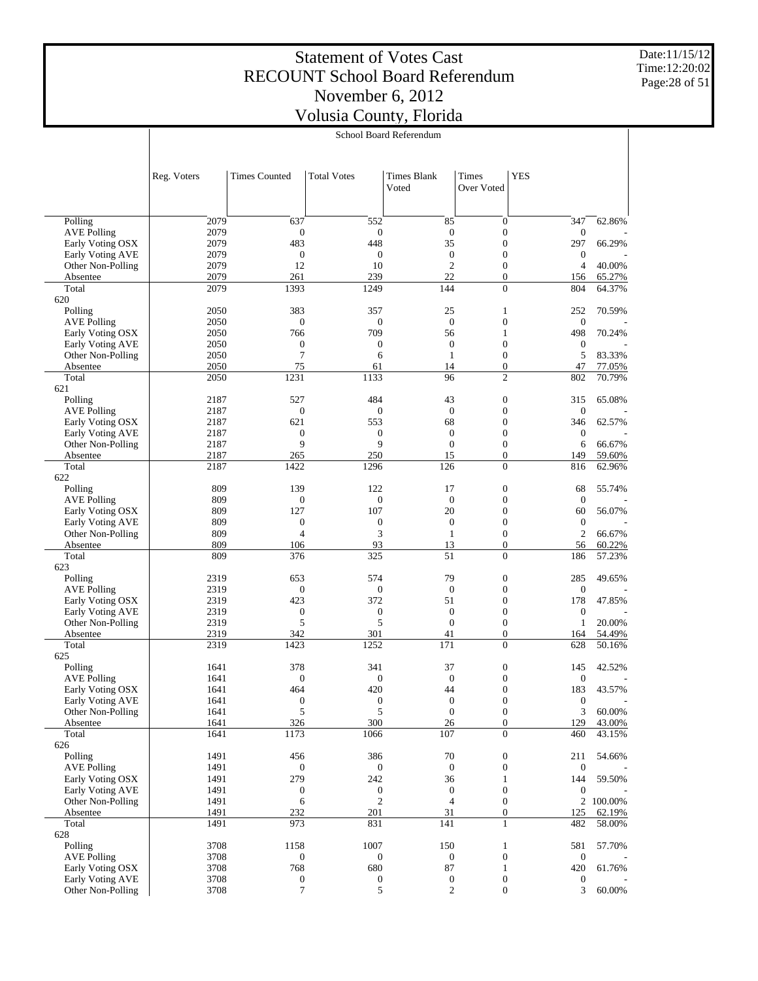Date:11/15/12 Time:12:20:02 Page:28 of 51

T

|                                        |              |                      |                         | School Board Referendum     |                                      |                         |           |
|----------------------------------------|--------------|----------------------|-------------------------|-----------------------------|--------------------------------------|-------------------------|-----------|
|                                        |              |                      |                         |                             |                                      |                         |           |
|                                        | Reg. Voters  | <b>Times Counted</b> | <b>Total Votes</b>      | <b>Times Blank</b><br>Voted | Times<br>Over Voted                  | <b>YES</b>              |           |
|                                        |              |                      |                         |                             |                                      |                         |           |
| Polling                                | 2079         | 637                  | 552                     | 85                          | $\mathbf{0}$                         | 347                     | 62.86%    |
| <b>AVE Polling</b><br>Early Voting OSX | 2079<br>2079 | $\mathbf{0}$<br>483  | $\boldsymbol{0}$<br>448 | $\boldsymbol{0}$<br>35      | $\boldsymbol{0}$<br>$\boldsymbol{0}$ | $\boldsymbol{0}$<br>297 | 66.29%    |
| Early Voting AVE                       | 2079         | $\mathbf{0}$         | $\mathbf{0}$            | $\boldsymbol{0}$            | $\boldsymbol{0}$                     | $\mathbf{0}$            |           |
| Other Non-Polling                      | 2079         | 12                   | 10                      | $\mathbf{2}$                | $\mathbf{0}$                         | $\overline{4}$          | 40.00%    |
| Absentee                               | 2079         | 261                  | 239                     | 22                          | $\boldsymbol{0}$                     | 156                     | 65.27%    |
| Total                                  | 2079         | 1393                 | 1249                    | 144                         | $\overline{0}$                       | 804                     | 64.37%    |
| 620                                    |              |                      |                         |                             |                                      |                         |           |
| Polling<br><b>AVE Polling</b>          | 2050<br>2050 | 383<br>$\mathbf{0}$  | 357<br>$\boldsymbol{0}$ | 25<br>$\mathbf{0}$          | 1<br>$\boldsymbol{0}$                | 252<br>$\mathbf{0}$     | 70.59%    |
| Early Voting OSX                       | 2050         | 766                  | 709                     | 56                          | 1                                    | 498                     | 70.24%    |
| Early Voting AVE                       | 2050         | $\mathbf{0}$         | $\boldsymbol{0}$        | $\boldsymbol{0}$            | $\boldsymbol{0}$                     | $\mathbf{0}$            |           |
| Other Non-Polling                      | 2050         | $\overline{7}$       | 6                       | $\mathbf{1}$                | $\mathbf{0}$                         | 5                       | 83.33%    |
| Absentee                               | 2050         | 75                   | 61                      | 14                          | $\mathbf{0}$                         | 47                      | 77.05%    |
| Total                                  | 2050         | 1231                 | 1133                    | 96                          | $\overline{2}$                       | 802                     | 70.79%    |
| 621<br>Polling                         | 2187         | 527                  | 484                     | 43                          | $\boldsymbol{0}$                     | 315                     | 65.08%    |
| <b>AVE Polling</b>                     | 2187         | $\boldsymbol{0}$     | $\boldsymbol{0}$        | $\mathbf{0}$                | $\boldsymbol{0}$                     | $\boldsymbol{0}$        |           |
| Early Voting OSX                       | 2187         | 621                  | 553                     | 68                          | $\boldsymbol{0}$                     | 346                     | 62.57%    |
| Early Voting AVE                       | 2187         | $\boldsymbol{0}$     | $\boldsymbol{0}$        | $\boldsymbol{0}$            | $\boldsymbol{0}$                     | $\mathbf{0}$            |           |
| Other Non-Polling                      | 2187         | 9                    | 9                       | $\overline{0}$              | $\mathbf{0}$                         | 6                       | 66.67%    |
| Absentee                               | 2187         | 265                  | 250                     | 15                          | $\mathbf{0}$                         | 149                     | 59.60%    |
| Total                                  | 2187         | 1422                 | 1296                    | 126                         | $\overline{0}$                       | 816                     | 62.96%    |
| 622<br>Polling                         | 809          | 139                  | 122                     | 17                          | $\boldsymbol{0}$                     | 68                      | 55.74%    |
| <b>AVE Polling</b>                     | 809          | $\boldsymbol{0}$     | 0                       | $\overline{0}$              | $\boldsymbol{0}$                     | $\mathbf{0}$            |           |
| Early Voting OSX                       | 809          | 127                  | 107                     | 20                          | $\boldsymbol{0}$                     | 60                      | 56.07%    |
| Early Voting AVE                       | 809          | $\boldsymbol{0}$     | $\boldsymbol{0}$        | $\boldsymbol{0}$            | $\mathbf{0}$                         | $\boldsymbol{0}$        |           |
| Other Non-Polling                      | 809          | $\overline{4}$       | 3                       | $\mathbf{1}$                | $\mathbf{0}$                         | $\mathfrak{2}$          | 66.67%    |
| Absentee                               | 809          | 106                  | 93                      | 13                          | $\mathbf{0}$                         | 56                      | 60.22%    |
| Total                                  | 809          | 376                  | 325                     | 51                          | $\overline{0}$                       | 186                     | 57.23%    |
| 623<br>Polling                         | 2319         | 653                  | 574                     | 79                          | $\boldsymbol{0}$                     | 285                     | 49.65%    |
| <b>AVE Polling</b>                     | 2319         | $\mathbf{0}$         | $\mathbf{0}$            | $\boldsymbol{0}$            | $\boldsymbol{0}$                     | $\mathbf{0}$            |           |
| Early Voting OSX                       | 2319         | 423                  | 372                     | 51                          | $\boldsymbol{0}$                     | 178                     | 47.85%    |
| Early Voting AVE                       | 2319         | $\mathbf{0}$         | $\boldsymbol{0}$        | $\boldsymbol{0}$            | $\boldsymbol{0}$                     | $\mathbf{0}$            |           |
| Other Non-Polling                      | 2319         | 5                    | 5                       | $\overline{0}$              | $\mathbf{0}$                         | 1                       | 20.00%    |
| Absentee                               | 2319         | 342                  | 301                     | 41                          | $\mathbf{0}$                         | 164                     | 54.49%    |
| Total<br>625                           | 2319         | 1423                 | 1252                    | 171                         | $\theta$                             | 628                     | 50.16%    |
| Polling                                | 1641         | 378                  | 341                     | 37                          | $\boldsymbol{0}$                     | 145                     | 42.52%    |
| <b>AVE Polling</b>                     | 1641         | $\boldsymbol{0}$     | $\mathbf{0}$            | $\overline{0}$              | $\boldsymbol{0}$                     | $\boldsymbol{0}$        |           |
| Early Voting OSX                       | 1641         | 464                  | 420                     | 44                          | $\boldsymbol{0}$                     | 183                     | 43.57%    |
| Early Voting AVE                       | 1641         | $\boldsymbol{0}$     | $\boldsymbol{0}$        | $\boldsymbol{0}$            | $\boldsymbol{0}$                     | $\boldsymbol{0}$        |           |
| Other Non-Polling                      | 1641         | 5                    | 5                       | $\boldsymbol{0}$            | $\boldsymbol{0}$                     | 3                       | 60.00%    |
| Absentee                               | 1641         | 326                  | 300                     | 26                          | $\boldsymbol{0}$                     | 129                     | 43.00%    |
| Total<br>626                           | 1641         | 1173                 | 1066                    | 107                         | $\mathbf{0}$                         | 460                     | 43.15%    |
| Polling                                | 1491         | 456                  | 386                     | 70                          | $\boldsymbol{0}$                     | 211                     | 54.66%    |
| <b>AVE Polling</b>                     | 1491         | $\mathbf{0}$         | $\boldsymbol{0}$        | $\mathbf{0}$                | $\boldsymbol{0}$                     | $\mathbf{0}$            |           |
| Early Voting OSX                       | 1491         | 279                  | 242                     | 36                          | 1                                    | 144                     | 59.50%    |
| Early Voting AVE                       | 1491         | $\boldsymbol{0}$     | $\boldsymbol{0}$        | $\mathbf{0}$                | $\boldsymbol{0}$                     | $\boldsymbol{0}$        |           |
| Other Non-Polling                      | 1491         | 6                    | $\mathfrak{2}$          | $\overline{4}$              | $\boldsymbol{0}$                     |                         | 2 100.00% |
| Absentee                               | 1491         | 232                  | 201                     | 31                          | $\boldsymbol{0}$                     | 125                     | 62.19%    |
| Total<br>628                           | 1491         | 973                  | 831                     | 141                         | $\mathbf{1}$                         | 482                     | 58.00%    |
| Polling                                | 3708         | 1158                 | 1007                    | 150                         | $\mathbf{1}$                         | 581                     | 57.70%    |
| <b>AVE Polling</b>                     | 3708         | $\mathbf{0}$         | $\boldsymbol{0}$        | 0                           | $\boldsymbol{0}$                     | $\mathbf{0}$            |           |
| Early Voting OSX                       | 3708         | 768                  | 680                     | 87                          | $\mathbf{1}$                         | 420                     | 61.76%    |
| Early Voting AVE                       | 3708         | $\boldsymbol{0}$     | $\boldsymbol{0}$        | $\boldsymbol{0}$            | $\boldsymbol{0}$                     | $\mathbf{0}$            |           |
| Other Non-Polling                      | 3708         | $\overline{7}$       | 5                       | $\boldsymbol{2}$            | $\boldsymbol{0}$                     | 3                       | 60.00%    |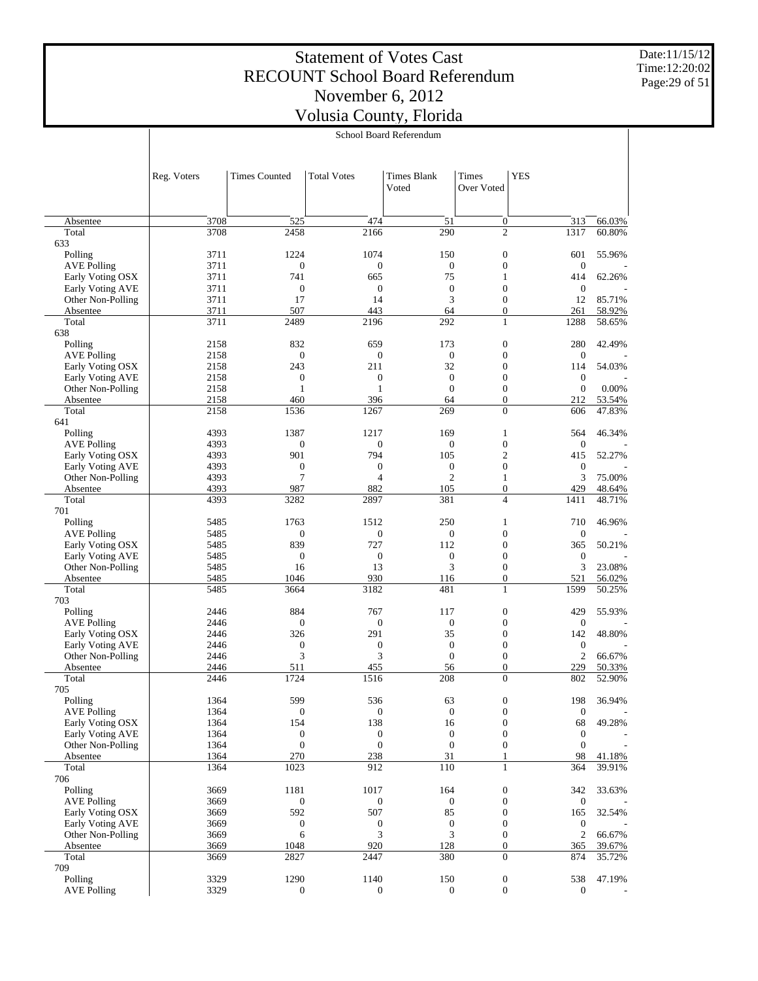Date:11/15/12 Time:12:20:02 Page:29 of 51

|                                        | School Board Referendum |                      |                     |                             |                                      |                         |                  |
|----------------------------------------|-------------------------|----------------------|---------------------|-----------------------------|--------------------------------------|-------------------------|------------------|
|                                        |                         |                      |                     |                             |                                      |                         |                  |
|                                        | Reg. Voters             | <b>Times Counted</b> | <b>Total Votes</b>  | <b>Times Blank</b><br>Voted | Times<br>Over Voted                  | <b>YES</b>              |                  |
|                                        |                         |                      |                     |                             |                                      |                         |                  |
| Absentee                               | 3708                    | 525                  | 474                 | 51                          | 0                                    | 313                     | 66.03%           |
| Total                                  | 3708                    | 2458                 | 2166                | 290                         | $\overline{c}$                       | 1317                    | 60.80%           |
| 633<br>Polling                         | 3711                    | 1224                 | 1074                | 150                         | $\boldsymbol{0}$                     | 601                     | 55.96%           |
| <b>AVE Polling</b>                     | 3711                    | $\mathbf{0}$         | $\boldsymbol{0}$    | $\boldsymbol{0}$            | $\boldsymbol{0}$                     | $\boldsymbol{0}$        |                  |
| Early Voting OSX                       | 3711                    | 741                  | 665                 | 75                          | $\mathbf{1}$                         | 414                     | 62.26%           |
| Early Voting AVE                       | 3711                    | $\mathbf{0}$         | $\boldsymbol{0}$    | $\boldsymbol{0}$            | $\boldsymbol{0}$                     | $\boldsymbol{0}$        |                  |
| Other Non-Polling                      | 3711                    | 17                   | 14                  | 3                           | $\boldsymbol{0}$                     | 12                      | 85.71%           |
| Absentee                               | 3711                    | 507                  | 443                 | 64                          | $\boldsymbol{0}$                     | 261                     | 58.92%           |
| Total                                  | 3711                    | 2489                 | 2196                | 292                         | 1                                    | 1288                    | 58.65%           |
| 638<br>Polling                         | 2158                    | 832                  | 659                 | 173                         | $\boldsymbol{0}$                     | 280                     | 42.49%           |
| <b>AVE Polling</b>                     | 2158                    | $\mathbf{0}$         | $\mathbf{0}$        | $\boldsymbol{0}$            | $\boldsymbol{0}$                     | $\boldsymbol{0}$        |                  |
| Early Voting OSX                       | 2158                    | 243                  | 211                 | 32                          | $\boldsymbol{0}$                     | 114                     | 54.03%           |
| Early Voting AVE                       | 2158                    | $\boldsymbol{0}$     | $\mathbf{0}$        | $\boldsymbol{0}$            | $\boldsymbol{0}$                     | $\mathbf{0}$            |                  |
| Other Non-Polling                      | 2158                    | 1                    | $\mathbf{1}$        | $\boldsymbol{0}$            | $\boldsymbol{0}$                     | $\boldsymbol{0}$        | 0.00%            |
| Absentee                               | 2158                    | 460                  | 396                 | 64                          | $\overline{0}$                       | 212                     | 53.54%           |
| Total                                  | 2158                    | 1536                 | 1267                | 269                         | $\overline{0}$                       | 606                     | 47.83%           |
| 641                                    |                         |                      |                     |                             |                                      |                         |                  |
| Polling                                | 4393                    | 1387                 | 1217                | 169                         | $\mathbf{1}$<br>$\boldsymbol{0}$     | 564                     | 46.34%           |
| <b>AVE Polling</b><br>Early Voting OSX | 4393<br>4393            | $\mathbf{0}$<br>901  | $\mathbf{0}$<br>794 | $\boldsymbol{0}$<br>105     | $\overline{c}$                       | $\boldsymbol{0}$<br>415 | 52.27%           |
| Early Voting AVE                       | 4393                    | $\boldsymbol{0}$     | $\boldsymbol{0}$    | $\boldsymbol{0}$            | $\mathbf 0$                          | $\mathbf 0$             |                  |
| Other Non-Polling                      | 4393                    | $\overline{7}$       | $\overline{4}$      | $\overline{c}$              | $\mathbf{1}$                         | 3                       | 75.00%           |
| Absentee                               | 4393                    | 987                  | 882                 | 105                         | $\boldsymbol{0}$                     | 429                     | 48.64%           |
| Total                                  | 4393                    | 3282                 | 2897                | 381                         | $\overline{\mathcal{L}}$             | 1411                    | 48.71%           |
| 701                                    |                         |                      |                     |                             |                                      |                         |                  |
| Polling                                | 5485                    | 1763                 | 1512                | 250                         | $\mathbf{1}$                         | 710                     | 46.96%           |
| <b>AVE Polling</b>                     | 5485                    | $\mathbf{0}$         | $\boldsymbol{0}$    | $\boldsymbol{0}$            | $\boldsymbol{0}$                     | $\boldsymbol{0}$        |                  |
| Early Voting OSX                       | 5485                    | 839                  | 727                 | 112                         | $\boldsymbol{0}$                     | 365                     | 50.21%           |
| Early Voting AVE<br>Other Non-Polling  | 5485<br>5485            | $\mathbf{0}$<br>16   | $\mathbf{0}$<br>13  | $\boldsymbol{0}$<br>3       | $\boldsymbol{0}$<br>$\boldsymbol{0}$ | $\mathbf 0$<br>3        | 23.08%           |
| Absentee                               | 5485                    | 1046                 | 930                 | 116                         | $\boldsymbol{0}$                     | 521                     | 56.02%           |
| Total                                  | 5485                    | 3664                 | 3182                | 481                         | 1                                    | 1599                    | 50.25%           |
| 703                                    |                         |                      |                     |                             |                                      |                         |                  |
| Polling                                | 2446                    | 884                  | 767                 | 117                         | $\boldsymbol{0}$                     | 429                     | 55.93%           |
| <b>AVE Polling</b>                     | 2446                    | $\mathbf{0}$         | $\boldsymbol{0}$    | $\boldsymbol{0}$            | $\boldsymbol{0}$                     | $\boldsymbol{0}$        |                  |
| Early Voting OSX                       | 2446                    | 326                  | 291                 | 35                          | $\boldsymbol{0}$                     | 142                     | 48.80%           |
| Early Voting AVE                       | 2446                    | $\boldsymbol{0}$     | $\boldsymbol{0}$    | $\boldsymbol{0}$            | $\boldsymbol{0}$                     | $\mathbf{0}$            |                  |
| Other Non-Polling                      | 2446<br>2446            | 3<br>511             | 3<br>455            | $\boldsymbol{0}$<br>56      | $\boldsymbol{0}$<br>$\overline{0}$   | $\mathfrak{2}$<br>229   | 66.67%           |
| Absentee<br>Total                      | 2446                    | 1724                 | 1516                | 208                         | $\boldsymbol{0}$                     | 802                     | 50.33%<br>52.90% |
| 705                                    |                         |                      |                     |                             |                                      |                         |                  |
| Polling                                | 1364                    | 599                  | 536                 | 63                          | $\boldsymbol{0}$                     | 198                     | 36.94%           |
| <b>AVE Polling</b>                     | 1364                    | $\boldsymbol{0}$     | $\boldsymbol{0}$    | $\mathbf{0}$                | $\boldsymbol{0}$                     | $\boldsymbol{0}$        |                  |
| Early Voting OSX                       | 1364                    | 154                  | 138                 | 16                          | $\boldsymbol{0}$                     | 68                      | 49.28%           |
| <b>Early Voting AVE</b>                | 1364                    | $\boldsymbol{0}$     | $\boldsymbol{0}$    | $\mathbf{0}$                | $\boldsymbol{0}$                     | $\boldsymbol{0}$        |                  |
| Other Non-Polling                      | 1364                    | $\boldsymbol{0}$     | $\boldsymbol{0}$    | $\boldsymbol{0}$            | $\boldsymbol{0}$                     | $\boldsymbol{0}$        |                  |
| Absentee                               | 1364                    | 270                  | 238                 | 31<br>110                   | 1<br>$\mathbf{1}$                    | 98                      | 41.18%           |
| Total<br>706                           | 1364                    | 1023                 | 912                 |                             |                                      | 364                     | 39.91%           |
| Polling                                | 3669                    | 1181                 | 1017                | 164                         | $\boldsymbol{0}$                     | 342                     | 33.63%           |
| <b>AVE Polling</b>                     | 3669                    | $\mathbf{0}$         | $\boldsymbol{0}$    | $\boldsymbol{0}$            | $\boldsymbol{0}$                     | $\boldsymbol{0}$        |                  |
| Early Voting OSX                       | 3669                    | 592                  | 507                 | 85                          | $\boldsymbol{0}$                     | 165                     | 32.54%           |
| <b>Early Voting AVE</b>                | 3669                    | $\boldsymbol{0}$     | $\boldsymbol{0}$    | $\boldsymbol{0}$            | $\boldsymbol{0}$                     | $\boldsymbol{0}$        |                  |
| Other Non-Polling                      | 3669                    | 6                    | 3                   | 3                           | $\boldsymbol{0}$                     | $\sqrt{2}$              | 66.67%           |
| Absentee                               | 3669                    | 1048                 | 920                 | 128                         | $\boldsymbol{0}$                     | 365                     | 39.67%           |
| Total                                  | 3669                    | 2827                 | 2447                | 380                         | $\overline{0}$                       | 874                     | 35.72%           |
| 709<br>Polling                         | 3329                    | 1290                 | 1140                | 150                         | $\boldsymbol{0}$                     | 538                     | 47.19%           |
| <b>AVE Polling</b>                     | 3329                    | $\mathbf{0}$         | $\boldsymbol{0}$    | $\mathbf{0}$                | $\boldsymbol{0}$                     | $\boldsymbol{0}$        |                  |
|                                        |                         |                      |                     |                             |                                      |                         |                  |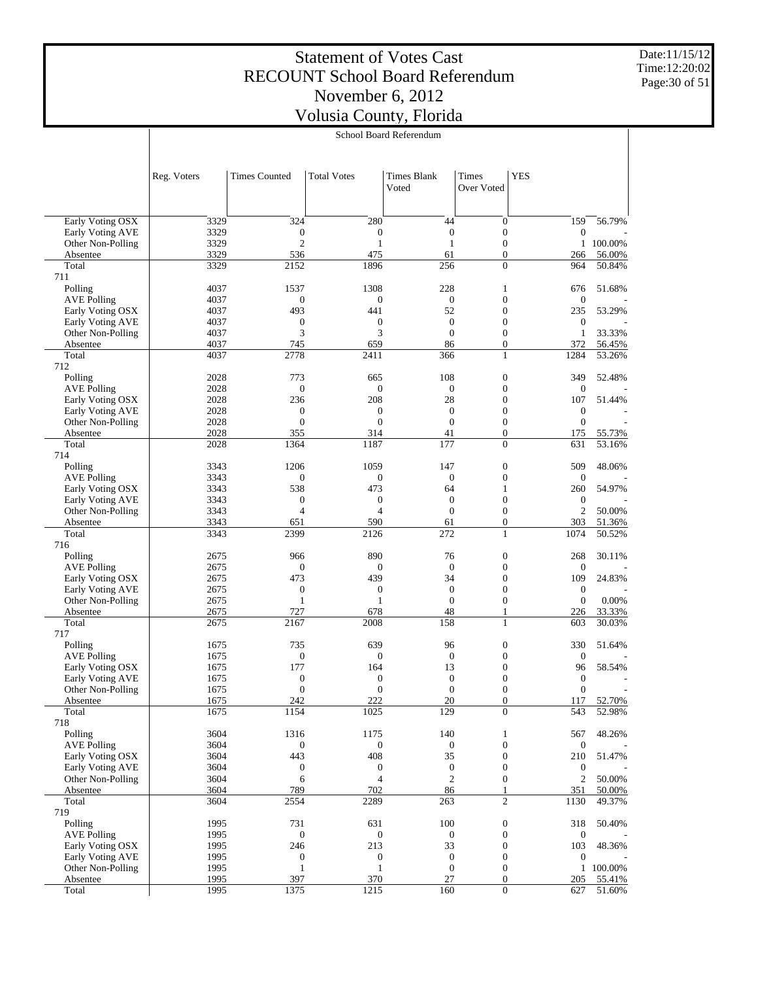Date:11/15/12 Time:12:20:02 Page:30 of 51

|                                        |              |                         |                         | School Board Referendum     |                                      |                         |                  |
|----------------------------------------|--------------|-------------------------|-------------------------|-----------------------------|--------------------------------------|-------------------------|------------------|
|                                        |              |                         |                         |                             |                                      |                         |                  |
|                                        | Reg. Voters  | <b>Times Counted</b>    | <b>Total Votes</b>      | <b>Times Blank</b><br>Voted | Times<br>Over Voted                  | <b>YES</b>              |                  |
|                                        |              |                         |                         |                             |                                      |                         |                  |
| Early Voting OSX<br>Early Voting AVE   | 3329<br>3329 | 324<br>$\boldsymbol{0}$ | 280<br>$\boldsymbol{0}$ | 44<br>$\boldsymbol{0}$      | $\boldsymbol{0}$<br>$\boldsymbol{0}$ | 159<br>$\boldsymbol{0}$ | 56.79%           |
| Other Non-Polling                      | 3329         | $\overline{2}$          | $\mathbf{1}$            | $\mathbf{1}$                | $\boldsymbol{0}$                     | $\mathbf{1}$            | 100.00%          |
| Absentee                               | 3329         | 536                     | 475                     | 61                          | $\overline{0}$                       | 266                     | 56.00%           |
| Total                                  | 3329         | 2152                    | 1896                    | 256                         | $\boldsymbol{0}$                     | 964                     | 50.84%           |
| 711<br>Polling                         | 4037         | 1537                    | 1308                    | 228                         | 1                                    | 676                     | 51.68%           |
| <b>AVE Polling</b>                     | 4037         | $\boldsymbol{0}$        | $\boldsymbol{0}$        | $\boldsymbol{0}$            | $\boldsymbol{0}$                     | $\mathbf{0}$            |                  |
| Early Voting OSX                       | 4037         | 493                     | 441                     | 52                          | $\boldsymbol{0}$                     | 235                     | 53.29%           |
| Early Voting AVE                       | 4037         | $\boldsymbol{0}$        | $\boldsymbol{0}$        | $\mathbf{0}$                | $\boldsymbol{0}$                     | $\boldsymbol{0}$        |                  |
| Other Non-Polling                      | 4037<br>4037 | 3<br>745                | 3<br>659                | $\overline{0}$<br>86        | $\boldsymbol{0}$<br>$\boldsymbol{0}$ | $\mathbf{1}$<br>372     | 33.33%           |
| Absentee<br>Total                      | 4037         | 2778                    | 2411                    | 366                         | 1                                    | 1284                    | 56.45%<br>53.26% |
| 712                                    |              |                         |                         |                             |                                      |                         |                  |
| Polling                                | 2028         | 773                     | 665                     | 108                         | $\mathbf{0}$                         | 349                     | 52.48%           |
| <b>AVE Polling</b>                     | 2028         | $\mathbf{0}$            | $\boldsymbol{0}$        | $\boldsymbol{0}$            | $\boldsymbol{0}$                     | $\boldsymbol{0}$        |                  |
| Early Voting OSX                       | 2028         | 236<br>$\boldsymbol{0}$ | 208<br>$\boldsymbol{0}$ | 28<br>$\overline{0}$        | $\boldsymbol{0}$<br>$\boldsymbol{0}$ | 107<br>$\boldsymbol{0}$ | 51.44%           |
| Early Voting AVE<br>Other Non-Polling  | 2028<br>2028 | $\mathbf{0}$            | $\boldsymbol{0}$        | $\overline{0}$              | $\boldsymbol{0}$                     | $\mathbf{0}$            |                  |
| Absentee                               | 2028         | 355                     | 314                     | 41                          | $\overline{0}$                       | 175                     | 55.73%           |
| Total                                  | 2028         | 1364                    | 1187                    | 177                         | $\boldsymbol{0}$                     | 631                     | 53.16%           |
| 714                                    |              |                         |                         |                             |                                      |                         |                  |
| Polling                                | 3343         | 1206                    | 1059                    | 147                         | $\mathbf{0}$<br>$\boldsymbol{0}$     | 509                     | 48.06%           |
| <b>AVE Polling</b><br>Early Voting OSX | 3343<br>3343 | $\boldsymbol{0}$<br>538 | $\boldsymbol{0}$<br>473 | $\boldsymbol{0}$<br>64      | 1                                    | $\mathbf{0}$<br>260     | 54.97%           |
| Early Voting AVE                       | 3343         | $\boldsymbol{0}$        | $\boldsymbol{0}$        | $\overline{0}$              | $\boldsymbol{0}$                     | $\boldsymbol{0}$        |                  |
| Other Non-Polling                      | 3343         | $\overline{4}$          | $\overline{4}$          | $\overline{0}$              | $\boldsymbol{0}$                     | $\overline{2}$          | 50.00%           |
| Absentee                               | 3343         | 651                     | 590                     | 61                          | $\boldsymbol{0}$                     | 303                     | 51.36%           |
| Total                                  | 3343         | 2399                    | 2126                    | 272                         | $\mathbf{1}$                         | 1074                    | 50.52%           |
| 716<br>Polling                         | 2675         | 966                     | 890                     | 76                          | $\mathbf{0}$                         | 268                     | 30.11%           |
| <b>AVE Polling</b>                     | 2675         | $\boldsymbol{0}$        | $\boldsymbol{0}$        | $\overline{0}$              | $\boldsymbol{0}$                     | $\boldsymbol{0}$        |                  |
| Early Voting OSX                       | 2675         | 473                     | 439                     | 34                          | $\boldsymbol{0}$                     | 109                     | 24.83%           |
| Early Voting AVE                       | 2675         | $\boldsymbol{0}$        | $\boldsymbol{0}$        | $\mathbf{0}$                | $\boldsymbol{0}$                     | $\boldsymbol{0}$        |                  |
| Other Non-Polling                      | 2675         | $\mathbf{1}$            | $\mathbf{1}$            | $\overline{0}$              | $\boldsymbol{0}$                     | $\boldsymbol{0}$        | 0.00%            |
| Absentee<br>Total                      | 2675<br>2675 | 727<br>2167             | 678<br>2008             | 48<br>158                   | 1<br>1                               | 226<br>603              | 33.33%<br>30.03% |
| 717                                    |              |                         |                         |                             |                                      |                         |                  |
| Polling                                | 1675         | 735                     | 639                     | 96                          | $\mathbf{0}$                         | 330                     | 51.64%           |
| <b>AVE Polling</b>                     | 1675         | $\boldsymbol{0}$        | $\boldsymbol{0}$        | $\mathbf{0}$                | $\boldsymbol{0}$                     | $\mathbf{0}$            |                  |
| Early Voting OSX<br>Early Voting AVE   | 1675<br>1675 | 177<br>$\boldsymbol{0}$ | 164<br>$\boldsymbol{0}$ | 13<br>$\overline{0}$        | $\boldsymbol{0}$<br>$\boldsymbol{0}$ | 96<br>$\boldsymbol{0}$  | 58.54%           |
| Other Non-Polling                      | 1675         | $\boldsymbol{0}$        | 0                       | $\boldsymbol{0}$            | $\bf{0}$                             | $\boldsymbol{0}$        |                  |
| Absentee                               | 1675         | 242                     | 222                     | 20                          | $\boldsymbol{0}$                     | 117                     | 52.70%           |
| Total                                  | 1675         | 1154                    | 1025                    | 129                         | $\mathbf{0}$                         | 543                     | 52.98%           |
| 718                                    |              |                         |                         |                             |                                      |                         |                  |
| Polling                                | 3604         | 1316                    | 1175                    | 140                         | 1                                    | 567                     | 48.26%           |
| <b>AVE Polling</b><br>Early Voting OSX | 3604<br>3604 | $\boldsymbol{0}$<br>443 | $\boldsymbol{0}$<br>408 | $\boldsymbol{0}$<br>35      | $\boldsymbol{0}$<br>$\boldsymbol{0}$ | $\boldsymbol{0}$<br>210 | 51.47%           |
| Early Voting AVE                       | 3604         | $\boldsymbol{0}$        | $\boldsymbol{0}$        | $\boldsymbol{0}$            | $\boldsymbol{0}$                     | $\boldsymbol{0}$        |                  |
| Other Non-Polling                      | 3604         | 6                       | 4                       | $\overline{2}$              | $\boldsymbol{0}$                     | $\overline{c}$          | 50.00%           |
| Absentee                               | 3604         | 789                     | 702                     | 86                          | 1                                    | 351                     | 50.00%           |
| Total                                  | 3604         | 2554                    | 2289                    | 263                         | $\overline{c}$                       | 1130                    | 49.37%           |
| 719<br>Polling                         | 1995         | 731                     | 631                     | 100                         | $\boldsymbol{0}$                     | 318                     | 50.40%           |
| <b>AVE Polling</b>                     | 1995         | $\boldsymbol{0}$        | $\boldsymbol{0}$        | $\boldsymbol{0}$            | $\boldsymbol{0}$                     | $\boldsymbol{0}$        |                  |
| Early Voting OSX                       | 1995         | 246                     | 213                     | 33                          | $\boldsymbol{0}$                     | 103                     | 48.36%           |
| Early Voting AVE                       | 1995         | $\boldsymbol{0}$        | $\boldsymbol{0}$        | $\boldsymbol{0}$            | $\boldsymbol{0}$                     | $\boldsymbol{0}$        |                  |
| Other Non-Polling                      | 1995         | $\mathbf{1}$            | $\mathbf{1}$            | $\boldsymbol{0}$            | $\boldsymbol{0}$                     | $\mathbf{1}$            | 100.00%          |
| Absentee<br>Total                      | 1995<br>1995 | 397<br>1375             | 370<br>1215             | 27<br>160                   | $\boldsymbol{0}$<br>$\boldsymbol{0}$ | 205<br>627              | 55.41%<br>51.60% |
|                                        |              |                         |                         |                             |                                      |                         |                  |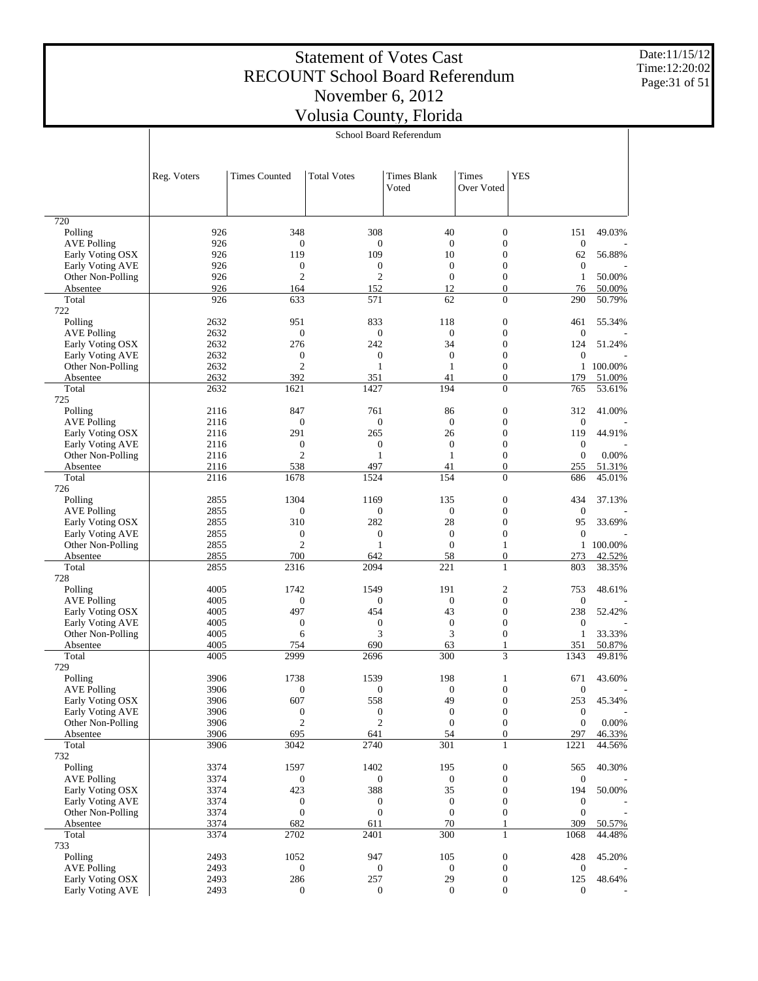Date:11/15/12 Time:12:20:02 Page:31 of 51

|                                       |              |                       |                          |                             | School Board Referendum              |                         |                  |  |  |  |  |
|---------------------------------------|--------------|-----------------------|--------------------------|-----------------------------|--------------------------------------|-------------------------|------------------|--|--|--|--|
|                                       | Reg. Voters  | <b>Times Counted</b>  | <b>Total Votes</b>       | <b>Times Blank</b><br>Voted | Times<br>Over Voted                  | <b>YES</b>              |                  |  |  |  |  |
|                                       |              |                       |                          |                             |                                      |                         |                  |  |  |  |  |
| 720<br>Polling                        | 926          | 348                   | 308                      | 40                          | $\boldsymbol{0}$                     | 151                     | 49.03%           |  |  |  |  |
| <b>AVE Polling</b>                    | 926          | $\boldsymbol{0}$      | $\boldsymbol{0}$         | $\mathbf{0}$                | $\boldsymbol{0}$                     | $\boldsymbol{0}$        |                  |  |  |  |  |
| Early Voting OSX                      | 926          | 119                   | 109                      | 10                          | $\boldsymbol{0}$                     | 62                      | 56.88%           |  |  |  |  |
| Early Voting AVE                      | 926          | $\boldsymbol{0}$      | $\boldsymbol{0}$         | $\mathbf{0}$                | $\boldsymbol{0}$                     | $\boldsymbol{0}$        |                  |  |  |  |  |
| Other Non-Polling                     | 926          | $\overline{2}$        | $\mathfrak{2}$           | $\mathbf{0}$                | $\boldsymbol{0}$                     | $\mathbf{1}$            | 50.00%           |  |  |  |  |
| Absentee                              | 926          | 164                   | 152                      | 12                          | $\boldsymbol{0}$                     | 76                      | 50.00%           |  |  |  |  |
| Total                                 | 926          | 633                   | 571                      | 62                          | $\overline{0}$                       | 290                     | 50.79%           |  |  |  |  |
| 722<br>Polling                        | 2632         | 951                   |                          |                             | $\boldsymbol{0}$                     |                         |                  |  |  |  |  |
| <b>AVE Polling</b>                    | 2632         | $\boldsymbol{0}$      | 833<br>$\boldsymbol{0}$  | 118<br>$\mathbf{0}$         | $\boldsymbol{0}$                     | 461<br>$\boldsymbol{0}$ | 55.34%           |  |  |  |  |
| Early Voting OSX                      | 2632         | 276                   | 242                      | 34                          | $\boldsymbol{0}$                     | 124                     | 51.24%           |  |  |  |  |
| Early Voting AVE                      | 2632         | $\boldsymbol{0}$      | $\boldsymbol{0}$         | $\mathbf{0}$                | $\boldsymbol{0}$                     | $\boldsymbol{0}$        |                  |  |  |  |  |
| Other Non-Polling                     | 2632         | $\overline{2}$        | 1                        | $\mathbf{1}$                | $\boldsymbol{0}$                     | $\mathbf{1}$            | 100.00%          |  |  |  |  |
| Absentee                              | 2632         | 392                   | 351                      | 41                          | $\boldsymbol{0}$                     | 179                     | 51.00%           |  |  |  |  |
| Total                                 | 2632         | 1621                  | 1427                     | 194                         | $\overline{0}$                       | 765                     | 53.61%           |  |  |  |  |
| 725                                   |              |                       |                          |                             |                                      |                         |                  |  |  |  |  |
| Polling                               | 2116         | 847                   | 761                      | 86                          | $\boldsymbol{0}$                     | 312                     | 41.00%           |  |  |  |  |
| <b>AVE Polling</b>                    | 2116         | $\boldsymbol{0}$      | $\boldsymbol{0}$         | $\mathbf{0}$                | $\boldsymbol{0}$                     | $\boldsymbol{0}$        |                  |  |  |  |  |
| Early Voting OSX                      | 2116         | 291                   | 265                      | 26                          | $\boldsymbol{0}$                     | 119                     | 44.91%           |  |  |  |  |
| Early Voting AVE                      | 2116         | $\mathbf{0}$          | $\boldsymbol{0}$         | $\mathbf{0}$                | $\boldsymbol{0}$                     | $\boldsymbol{0}$        |                  |  |  |  |  |
| Other Non-Polling                     | 2116         | $\overline{c}$        | $\mathbf{1}$             | 1                           | $\boldsymbol{0}$                     | $\boldsymbol{0}$        | 0.00%            |  |  |  |  |
| Absentee<br>Total                     | 2116<br>2116 | 538<br>1678           | 497<br>1524              | 41<br>154                   | $\boldsymbol{0}$<br>$\overline{0}$   | 255<br>686              | 51.31%<br>45.01% |  |  |  |  |
| 726                                   |              |                       |                          |                             |                                      |                         |                  |  |  |  |  |
| Polling                               | 2855         | 1304                  | 1169                     | 135                         | $\boldsymbol{0}$                     | 434                     | 37.13%           |  |  |  |  |
| <b>AVE Polling</b>                    | 2855         | $\boldsymbol{0}$      | $\boldsymbol{0}$         | $\mathbf{0}$                | $\boldsymbol{0}$                     | $\boldsymbol{0}$        |                  |  |  |  |  |
| Early Voting OSX                      | 2855         | 310                   | 282                      | 28                          | $\boldsymbol{0}$                     | 95                      | 33.69%           |  |  |  |  |
| Early Voting AVE                      | 2855         | $\boldsymbol{0}$      | $\boldsymbol{0}$         | $\mathbf{0}$                | $\boldsymbol{0}$                     | $\boldsymbol{0}$        |                  |  |  |  |  |
| Other Non-Polling                     | 2855         | $\overline{c}$        | $\mathbf{1}$             | $\mathbf{0}$                | $\mathbf{1}$                         | $\mathbf{1}$            | 100.00%          |  |  |  |  |
| Absentee                              | 2855         | 700                   | 642                      | 58                          | $\boldsymbol{0}$                     | 273                     | 42.52%           |  |  |  |  |
| Total                                 | 2855         | 2316                  | 2094                     | 221                         | $\mathbf{1}$                         | 803                     | 38.35%           |  |  |  |  |
| 728                                   |              |                       |                          |                             |                                      |                         |                  |  |  |  |  |
| Polling                               | 4005         | 1742                  | 1549                     | 191                         | $\boldsymbol{2}$                     | 753                     | 48.61%           |  |  |  |  |
| <b>AVE Polling</b>                    | 4005         | $\boldsymbol{0}$      | $\boldsymbol{0}$         | $\mathbf{0}$                | $\boldsymbol{0}$                     | $\boldsymbol{0}$        |                  |  |  |  |  |
| Early Voting OSX                      | 4005         | 497                   | 454                      | 43                          | $\boldsymbol{0}$                     | 238                     | 52.42%           |  |  |  |  |
| Early Voting AVE<br>Other Non-Polling | 4005<br>4005 | $\boldsymbol{0}$<br>6 | $\boldsymbol{0}$<br>3    | $\mathbf{0}$<br>3           | $\boldsymbol{0}$<br>$\boldsymbol{0}$ | $\boldsymbol{0}$<br>1   | 33.33%           |  |  |  |  |
| Absentee                              | 4005         | 754                   | 690                      | 63                          | 1                                    | 351                     | 50.87%           |  |  |  |  |
| Total                                 | 4005         | 2999                  | 2696                     | 300                         | 3                                    | 1343                    | 49.81%           |  |  |  |  |
| 729                                   |              |                       |                          |                             |                                      |                         |                  |  |  |  |  |
| Polling                               | 3906         | 1738                  | 1539                     | 198                         | 1                                    | 671                     | 43.60%           |  |  |  |  |
| AVE Polling                           | 3906         | $\boldsymbol{0}$      | $\boldsymbol{0}$         | $\bf{0}$                    | 0                                    | $\boldsymbol{0}$        |                  |  |  |  |  |
| Early Voting OSX                      | 3906         | 607                   | 558                      | 49                          | $\boldsymbol{0}$                     | 253                     | 45.34%           |  |  |  |  |
| Early Voting AVE                      | 3906         | $\boldsymbol{0}$      | $\boldsymbol{0}$         | $\mathbf{0}$                | $\boldsymbol{0}$                     | $\boldsymbol{0}$        |                  |  |  |  |  |
| Other Non-Polling                     | 3906         | $\overline{c}$        | $\mathfrak{2}$           | $\mathbf{0}$                | $\boldsymbol{0}$                     | $\boldsymbol{0}$        | 0.00%            |  |  |  |  |
| Absentee                              | 3906         | 695                   | 641                      | 54                          | $\boldsymbol{0}$                     | 297                     | 46.33%           |  |  |  |  |
| Total                                 | 3906         | 3042                  | 2740                     | 301                         | $\mathbf{1}$                         | 1221                    | 44.56%           |  |  |  |  |
| 732                                   |              |                       |                          |                             |                                      |                         |                  |  |  |  |  |
| Polling<br><b>AVE Polling</b>         | 3374<br>3374 | 1597<br>$\mathbf{0}$  | 1402<br>$\boldsymbol{0}$ | 195<br>$\boldsymbol{0}$     | $\boldsymbol{0}$<br>$\boldsymbol{0}$ | 565<br>$\boldsymbol{0}$ | 40.30%           |  |  |  |  |
| Early Voting OSX                      | 3374         | 423                   | 388                      | 35                          | $\boldsymbol{0}$                     | 194                     | 50.00%           |  |  |  |  |
| Early Voting AVE                      | 3374         | $\mathbf{0}$          | $\boldsymbol{0}$         | $\mathbf{0}$                | $\boldsymbol{0}$                     | $\boldsymbol{0}$        |                  |  |  |  |  |
| Other Non-Polling                     | 3374         | $\boldsymbol{0}$      | $\boldsymbol{0}$         | $\mathbf{0}$                | $\boldsymbol{0}$                     | $\boldsymbol{0}$        |                  |  |  |  |  |
| Absentee                              | 3374         | 682                   | 611                      | 70                          | 1                                    | 309                     | 50.57%           |  |  |  |  |
| Total                                 | 3374         | 2702                  | 2401                     | 300                         | $\mathbf{1}$                         | 1068                    | 44.48%           |  |  |  |  |
| 733                                   |              |                       |                          |                             |                                      |                         |                  |  |  |  |  |
| Polling                               | 2493         | 1052                  | 947                      | 105                         | $\boldsymbol{0}$                     | 428                     | 45.20%           |  |  |  |  |
| <b>AVE Polling</b>                    | 2493         | 0                     | $\boldsymbol{0}$         | $\mathbf{0}$                | $\boldsymbol{0}$                     | $\boldsymbol{0}$        |                  |  |  |  |  |
| Early Voting OSX                      | 2493         | 286                   | 257                      | 29                          | $\boldsymbol{0}$                     | 125                     | 48.64%           |  |  |  |  |
| Early Voting AVE                      | 2493         | $\theta$              | $\mathbf{0}$             | $\mathbf{0}$                | $\overline{0}$                       | $\boldsymbol{0}$        |                  |  |  |  |  |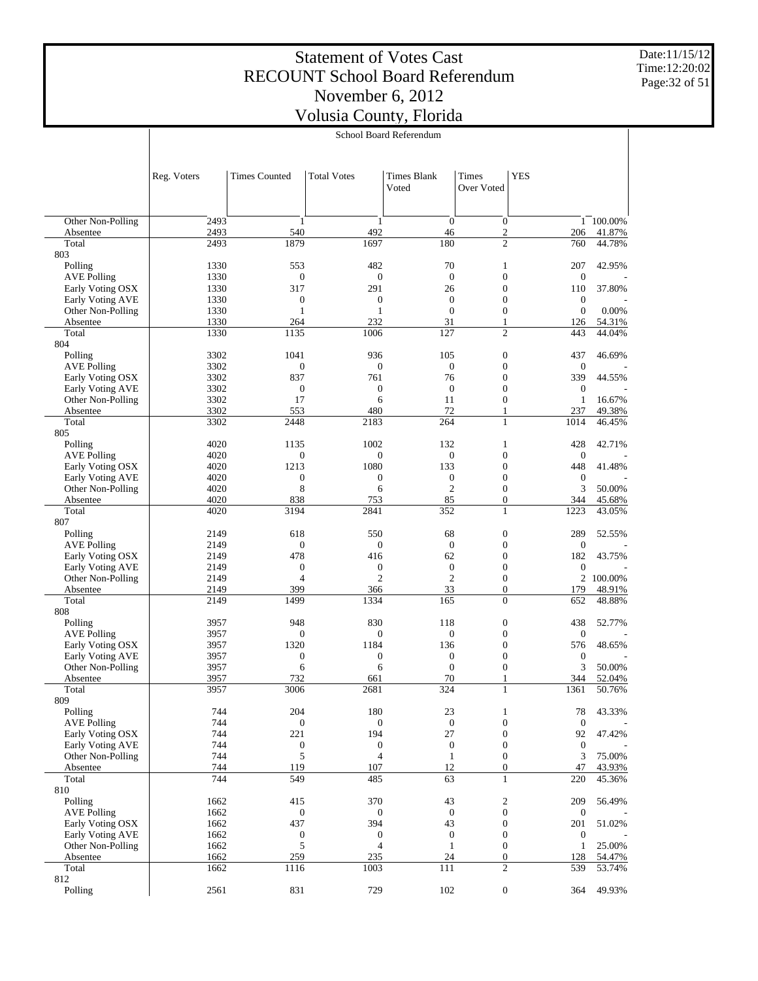Date:11/15/12 Time:12:20:02 Page:32 of 51

|                                       |              |                          |                                    | School Board Referendum          |                                      |                         |                  |
|---------------------------------------|--------------|--------------------------|------------------------------------|----------------------------------|--------------------------------------|-------------------------|------------------|
|                                       |              |                          |                                    |                                  |                                      |                         |                  |
|                                       | Reg. Voters  | <b>Times Counted</b>     | <b>Total Votes</b>                 | <b>Times Blank</b><br>Voted      | <b>Times</b><br>Over Voted           | <b>YES</b>              |                  |
| Other Non-Polling                     | 2493         | $\mathbf{1}$             | 1                                  | $\theta$                         | $\mathbf{0}$                         |                         | 1 100.00%        |
| Absentee                              | 2493         | 540                      | 492                                | 46                               | $\mathfrak{2}$                       | 206                     | 41.87%           |
| Total                                 | 2493         | 1879                     | 1697                               | 180                              | $\overline{c}$                       | 760                     | 44.78%           |
| 803                                   |              |                          |                                    |                                  |                                      |                         |                  |
| Polling<br><b>AVE Polling</b>         | 1330<br>1330 | 553<br>$\boldsymbol{0}$  | 482<br>$\boldsymbol{0}$            | 70<br>$\mathbf{0}$               | 1<br>$\boldsymbol{0}$                | 207<br>$\mathbf{0}$     | 42.95%           |
| Early Voting OSX                      | 1330         | 317                      | 291                                | 26                               | $\boldsymbol{0}$                     | 110                     | 37.80%           |
| Early Voting AVE                      | 1330         | $\boldsymbol{0}$         | $\boldsymbol{0}$                   | $\boldsymbol{0}$                 | $\boldsymbol{0}$                     | $\mathbf{0}$            |                  |
| Other Non-Polling                     | 1330         | $\mathbf{1}$             | $\mathbf{1}$                       | $\theta$                         | $\boldsymbol{0}$                     | $\boldsymbol{0}$        | 0.00%            |
| Absentee                              | 1330         | 264                      | 232                                | 31                               | 1<br>$\mathfrak{2}$                  | 126                     | 54.31%           |
| Total<br>804                          | 1330         | 1135                     | 1006                               | 127                              |                                      | 443                     | 44.04%           |
| Polling                               | 3302         | 1041                     | 936                                | 105                              | $\boldsymbol{0}$                     | 437                     | 46.69%           |
| <b>AVE Polling</b>                    | 3302         | $\boldsymbol{0}$         | $\boldsymbol{0}$                   | $\boldsymbol{0}$                 | $\boldsymbol{0}$                     | $\mathbf{0}$            |                  |
| Early Voting OSX                      | 3302         | 837                      | 761                                | 76                               | $\boldsymbol{0}$                     | 339                     | 44.55%           |
| Early Voting AVE                      | 3302         | $\boldsymbol{0}$         | $\boldsymbol{0}$                   | $\boldsymbol{0}$                 | $\boldsymbol{0}$<br>$\boldsymbol{0}$ | $\mathbf{0}$            |                  |
| Other Non-Polling<br>Absentee         | 3302<br>3302 | 17<br>553                | 6<br>480                           | 11<br>72                         | 1                                    | $\mathbf{1}$<br>237     | 16.67%<br>49.38% |
| Total                                 | 3302         | 2448                     | 2183                               | 264                              | 1                                    | 1014                    | 46.45%           |
| 805                                   |              |                          |                                    |                                  |                                      |                         |                  |
| Polling                               | 4020         | 1135                     | 1002                               | 132                              | 1                                    | 428                     | 42.71%           |
| <b>AVE Polling</b>                    | 4020         | $\mathbf{0}$             | $\mathbf{0}$                       | $\mathbf{0}$                     | $\boldsymbol{0}$                     | $\mathbf{0}$            |                  |
| Early Voting OSX<br>Early Voting AVE  | 4020<br>4020 | 1213<br>$\boldsymbol{0}$ | 1080<br>$\boldsymbol{0}$           | 133<br>$\boldsymbol{0}$          | $\boldsymbol{0}$<br>$\boldsymbol{0}$ | 448<br>$\mathbf{0}$     | 41.48%           |
| Other Non-Polling                     | 4020         | 8                        | 6                                  | $\mathfrak{2}$                   | $\boldsymbol{0}$                     | 3                       | 50.00%           |
| Absentee                              | 4020         | 838                      | 753                                | 85                               | $\boldsymbol{0}$                     | 344                     | 45.68%           |
| Total                                 | 4020         | 3194                     | 2841                               | 352                              | 1                                    | 1223                    | 43.05%           |
| 807                                   |              |                          |                                    |                                  |                                      |                         |                  |
| Polling<br><b>AVE Polling</b>         | 2149<br>2149 | 618<br>$\mathbf{0}$      | 550<br>$\boldsymbol{0}$            | 68<br>$\mathbf{0}$               | $\boldsymbol{0}$<br>$\boldsymbol{0}$ | 289<br>$\mathbf{0}$     | 52.55%           |
| Early Voting OSX                      | 2149         | 478                      | 416                                | 62                               | $\boldsymbol{0}$                     | 182                     | 43.75%           |
| Early Voting AVE                      | 2149         | $\boldsymbol{0}$         | $\boldsymbol{0}$                   | $\boldsymbol{0}$                 | $\boldsymbol{0}$                     | $\mathbf{0}$            |                  |
| Other Non-Polling                     | 2149         | $\overline{4}$           | $\mathfrak{2}$                     | $\mathfrak{2}$                   | $\boldsymbol{0}$                     | $\overline{c}$          | 100.00%          |
| Absentee                              | 2149         | 399                      | 366                                | 33                               | $\boldsymbol{0}$                     | 179                     | 48.91%           |
| Total<br>808                          | 2149         | 1499                     | 1334                               | 165                              | $\overline{0}$                       | 652                     | 48.88%           |
| Polling                               | 3957         | 948                      | 830                                | 118                              | $\boldsymbol{0}$                     | 438                     | 52.77%           |
| <b>AVE Polling</b>                    | 3957         | $\mathbf{0}$             | $\boldsymbol{0}$                   | $\boldsymbol{0}$                 | $\boldsymbol{0}$                     | $\mathbf{0}$            |                  |
| Early Voting OSX                      | 3957         | 1320                     | 1184                               | 136                              | $\boldsymbol{0}$                     | 576                     | 48.65%           |
| Early Voting AVE                      | 3957         | $\boldsymbol{0}$         | $\boldsymbol{0}$                   | $\mathbf{0}$                     | $\boldsymbol{0}$                     | $\boldsymbol{0}$        |                  |
| Other Non-Polling                     | 3957         | 6                        | 6                                  | $\theta$                         | $\boldsymbol{0}$<br>$\mathbf{1}$     | 3                       | 50.00%           |
| Absentee<br>Total                     | 3957<br>3957 | 732<br>3006              | 661<br>2681                        | 70<br>324                        | 1                                    | 344<br>1361             | 52.04%<br>50.76% |
| 809                                   |              |                          |                                    |                                  |                                      |                         |                  |
| Polling                               | 744          | 204                      | 180                                | 23                               | 1                                    | 78                      | 43.33%           |
| <b>AVE Polling</b>                    | 744          | $\mathbf{0}$             | $\boldsymbol{0}$                   | $\mathbf{0}$                     | $\boldsymbol{0}$                     | $\boldsymbol{0}$        |                  |
| Early Voting OSX                      | 744          | 221                      | 194                                | 27                               | $\boldsymbol{0}$                     | 92                      | 47.42%           |
| Early Voting AVE<br>Other Non-Polling | 744<br>744   | $\boldsymbol{0}$<br>5    | $\boldsymbol{0}$<br>$\overline{4}$ | $\boldsymbol{0}$<br>$\mathbf{1}$ | $\boldsymbol{0}$<br>$\boldsymbol{0}$ | $\boldsymbol{0}$<br>3   | 75.00%           |
| Absentee                              | 744          | 119                      | 107                                | 12                               | $\boldsymbol{0}$                     | 47                      | 43.93%           |
| Total                                 | 744          | 549                      | 485                                | 63                               | $\mathbf{1}$                         | 220                     | 45.36%           |
| 810                                   |              |                          |                                    |                                  |                                      |                         |                  |
| Polling                               | 1662         | 415                      | 370                                | 43                               | $\boldsymbol{2}$                     | 209                     | 56.49%           |
| <b>AVE Polling</b>                    | 1662         | $\mathbf{0}$             | $\boldsymbol{0}$                   | $\mathbf{0}$                     | $\boldsymbol{0}$                     | $\boldsymbol{0}$        |                  |
| Early Voting OSX<br>Early Voting AVE  | 1662<br>1662 | 437<br>$\boldsymbol{0}$  | 394<br>$\boldsymbol{0}$            | 43<br>$\boldsymbol{0}$           | $\boldsymbol{0}$<br>$\boldsymbol{0}$ | 201<br>$\boldsymbol{0}$ | 51.02%           |
| Other Non-Polling                     | 1662         | 5                        | $\overline{4}$                     | $\mathbf{1}$                     | $\boldsymbol{0}$                     | $\mathbf{1}$            | 25.00%           |
| Absentee                              | 1662         | 259                      | 235                                | 24                               | $\boldsymbol{0}$                     | 128                     | 54.47%           |
| Total                                 | 1662         | 1116                     | 1003                               | 111                              | $\mathfrak{2}$                       | 539                     | 53.74%           |
| 812                                   | 2561         | 831                      | 729                                | 102                              | $\boldsymbol{0}$                     | 364                     | 49.93%           |
| Polling                               |              |                          |                                    |                                  |                                      |                         |                  |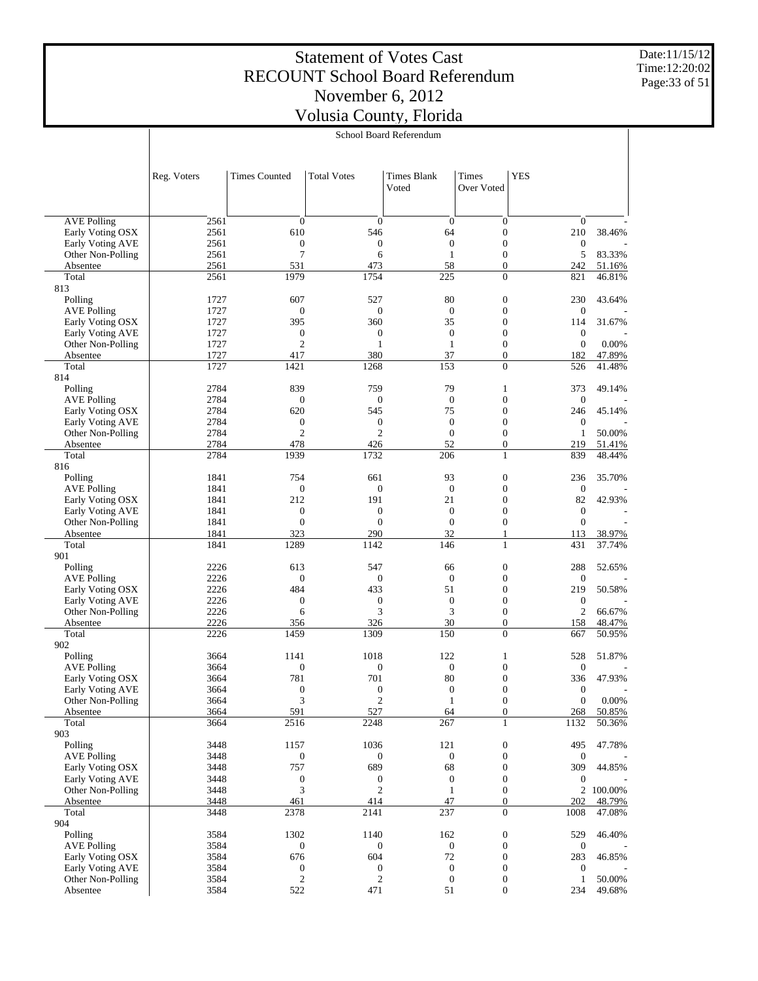Date:11/15/12 Time:12:20:02 Page:33 of 51

|                                       |              |                              |                              | School Board Referendum            |                                      |                                  |                  |
|---------------------------------------|--------------|------------------------------|------------------------------|------------------------------------|--------------------------------------|----------------------------------|------------------|
|                                       | Reg. Voters  | <b>Times Counted</b>         | <b>Total Votes</b>           | Times Blank<br>Voted               | Times<br>Over Voted                  | <b>YES</b>                       |                  |
| <b>AVE Polling</b>                    | 2561         | $\boldsymbol{0}$             |                              | $\mathbf{0}$                       | $\boldsymbol{0}$                     | $\boldsymbol{0}$                 |                  |
| Early Voting OSX                      | 2561         | 610                          | $\boldsymbol{0}$<br>546      | 64                                 | $\boldsymbol{0}$                     | 210                              | 38.46%           |
| Early Voting AVE                      | 2561         | $\mathbf{0}$                 | $\boldsymbol{0}$             | $\boldsymbol{0}$                   | $\boldsymbol{0}$                     | $\boldsymbol{0}$                 |                  |
| Other Non-Polling                     | 2561         | $\overline{7}$               | 6                            | $\mathbf{1}$                       | $\boldsymbol{0}$                     | 5                                | 83.33%           |
| Absentee                              | 2561         | 531                          | 473                          | 58                                 | $\boldsymbol{0}$                     | 242                              | 51.16%           |
| Total<br>813                          | 2561         | 1979                         | 1754                         | 225                                | $\overline{0}$                       | 821                              | 46.81%           |
| Polling                               | 1727         | 607                          | 527                          | 80                                 | $\boldsymbol{0}$                     | 230                              | 43.64%           |
| <b>AVE Polling</b>                    | 1727         | $\mathbf{0}$                 | $\boldsymbol{0}$             | $\overline{0}$                     | $\boldsymbol{0}$                     | $\boldsymbol{0}$                 |                  |
| Early Voting OSX                      | 1727         | 395                          | 360                          | 35                                 | $\boldsymbol{0}$                     | 114                              | 31.67%           |
| Early Voting AVE                      | 1727         | $\mathbf{0}$                 | $\mathbf{0}$                 | $\mathbf{0}$                       | $\boldsymbol{0}$                     | $\boldsymbol{0}$                 |                  |
| Other Non-Polling                     | 1727         | $\overline{2}$               | $\mathbf{1}$                 | $\mathbf{1}$                       | $\boldsymbol{0}$                     | $\mathbf{0}$                     | 0.00%            |
| Absentee                              | 1727         | 417                          | 380                          | 37                                 | $\boldsymbol{0}$                     | 182                              | 47.89%           |
| Total                                 | 1727         | 1421                         | 1268                         | 153                                | $\overline{0}$                       | 526                              | 41.48%           |
| 814<br>Polling                        | 2784         | 839                          | 759                          | 79                                 | 1                                    | 373                              | 49.14%           |
| <b>AVE Polling</b>                    | 2784         | $\boldsymbol{0}$             | $\boldsymbol{0}$             | $\mathbf{0}$                       | $\boldsymbol{0}$                     | $\boldsymbol{0}$                 |                  |
| Early Voting OSX                      | 2784         | 620                          | 545                          | 75                                 | $\boldsymbol{0}$                     | 246                              | 45.14%           |
| <b>Early Voting AVE</b>               | 2784         | $\boldsymbol{0}$             | $\boldsymbol{0}$             | $\mathbf{0}$                       | $\boldsymbol{0}$                     | $\boldsymbol{0}$                 |                  |
| Other Non-Polling                     | 2784         | $\overline{2}$               | $\overline{2}$               | $\mathbf{0}$                       | $\boldsymbol{0}$                     | $\mathbf{1}$                     | 50.00%           |
| Absentee                              | 2784         | 478                          | 426                          | 52                                 | $\boldsymbol{0}$                     | 219                              | 51.41%           |
| Total                                 | 2784         | 1939                         | 1732                         | 206                                | 1                                    | 839                              | 48.44%           |
| 816                                   |              |                              |                              |                                    |                                      |                                  |                  |
| Polling                               | 1841         | 754                          | 661                          | 93                                 | $\boldsymbol{0}$                     | 236                              | 35.70%           |
| <b>AVE Polling</b>                    | 1841         | $\boldsymbol{0}$             | $\mathbf{0}$                 | $\boldsymbol{0}$                   | $\boldsymbol{0}$                     | $\boldsymbol{0}$                 |                  |
| Early Voting OSX                      | 1841         | 212                          | 191                          | 21                                 | $\boldsymbol{0}$                     | 82                               | 42.93%           |
| Early Voting AVE<br>Other Non-Polling | 1841<br>1841 | $\mathbf{0}$<br>$\mathbf{0}$ | $\mathbf{0}$<br>$\mathbf{0}$ | $\overline{0}$<br>$\boldsymbol{0}$ | $\boldsymbol{0}$<br>$\boldsymbol{0}$ | $\boldsymbol{0}$<br>$\mathbf{0}$ |                  |
| Absentee                              | 1841         | 323                          | 290                          | 32                                 | 1                                    | 113                              | 38.97%           |
| Total                                 | 1841         | 1289                         | 1142                         | 146                                | $\mathbf{1}$                         | 431                              | 37.74%           |
| 901                                   |              |                              |                              |                                    |                                      |                                  |                  |
| Polling                               | 2226         | 613                          | 547                          | 66                                 | $\boldsymbol{0}$                     | 288                              | 52.65%           |
| <b>AVE Polling</b>                    | 2226         | $\boldsymbol{0}$             | $\boldsymbol{0}$             | $\mathbf{0}$                       | $\boldsymbol{0}$                     | $\boldsymbol{0}$                 |                  |
| Early Voting OSX                      | 2226         | 484                          | 433                          | 51                                 | $\boldsymbol{0}$                     | 219                              | 50.58%           |
| Early Voting AVE                      | 2226         | $\mathbf{0}$                 | $\boldsymbol{0}$             | $\mathbf{0}$                       | $\boldsymbol{0}$                     | $\boldsymbol{0}$                 |                  |
| Other Non-Polling                     | 2226         | 6                            | 3<br>326                     | 3<br>30                            | $\boldsymbol{0}$<br>$\boldsymbol{0}$ | $\mathbf{2}$<br>158              | 66.67%<br>48.47% |
| Absentee<br>Total                     | 2226<br>2226 | 356<br>1459                  | 1309                         | 150                                | $\overline{0}$                       | 667                              | 50.95%           |
| 902                                   |              |                              |                              |                                    |                                      |                                  |                  |
| Polling                               | 3664         | 1141                         | 1018                         | 122                                | 1                                    | 528                              | 51.87%           |
| <b>AVE Polling</b>                    | 3664         | $\mathbf{0}$                 | $\mathbf{0}$                 | $\boldsymbol{0}$                   | $\boldsymbol{0}$                     | $\mathbf{0}$                     |                  |
| Early Voting OSX                      | 3664         | 781                          | 701                          | 80                                 | $\boldsymbol{0}$                     | 336                              | 47.93%           |
| Early Voting AVE                      | 3664         | $\boldsymbol{0}$             | $\boldsymbol{0}$             | 0                                  | $\boldsymbol{0}$                     | $\boldsymbol{0}$                 |                  |
| Other Non-Polling                     | 3664         | 3                            | $\sqrt{2}$                   | $\mathbf{1}$                       | $\boldsymbol{0}$                     | $\boldsymbol{0}$                 | 0.00%            |
| Absentee<br>Total                     | 3664<br>3664 | 591<br>2516                  | 527<br>2248                  | 64<br>267                          | $\boldsymbol{0}$<br>$\mathbf{1}$     | 268<br>1132                      | 50.85%<br>50.36% |
| 903                                   |              |                              |                              |                                    |                                      |                                  |                  |
| Polling                               | 3448         | 1157                         | 1036                         | 121                                | $\boldsymbol{0}$                     | 495                              | 47.78%           |
| <b>AVE Polling</b>                    | 3448         | $\mathbf{0}$                 | $\boldsymbol{0}$             | $\mathbf{0}$                       | $\boldsymbol{0}$                     | $\boldsymbol{0}$                 |                  |
| Early Voting OSX                      | 3448         | 757                          | 689                          | 68                                 | $\boldsymbol{0}$                     | 309                              | 44.85%           |
| Early Voting AVE                      | 3448         | $\boldsymbol{0}$             | $\boldsymbol{0}$             | $\boldsymbol{0}$                   | $\boldsymbol{0}$                     | $\boldsymbol{0}$                 |                  |
| Other Non-Polling                     | 3448         | 3                            | $\mathfrak{2}$               | $\mathbf{1}$                       | $\boldsymbol{0}$                     |                                  | 2 100.00%        |
| Absentee                              | 3448         | 461                          | 414                          | 47                                 | $\boldsymbol{0}$                     | 202                              | 48.79%           |
| Total                                 | 3448         | 2378                         | 2141                         | 237                                | $\overline{0}$                       | 1008                             | 47.08%           |
| 904<br>Polling                        | 3584         | 1302                         | 1140                         | 162                                | $\boldsymbol{0}$                     | 529                              | 46.40%           |
| <b>AVE Polling</b>                    | 3584         | $\mathbf{0}$                 | $\boldsymbol{0}$             | $\mathbf{0}$                       | $\boldsymbol{0}$                     | $\boldsymbol{0}$                 |                  |
| Early Voting OSX                      | 3584         | 676                          | 604                          | 72                                 | $\boldsymbol{0}$                     | 283                              | 46.85%           |
| Early Voting AVE                      | 3584         | $\boldsymbol{0}$             | $\boldsymbol{0}$             | $\boldsymbol{0}$                   | $\boldsymbol{0}$                     | $\boldsymbol{0}$                 |                  |
| Other Non-Polling                     | 3584         | $\mathfrak{2}$               | $\mathfrak{2}$               | $\boldsymbol{0}$                   | $\boldsymbol{0}$                     | $\mathbf{1}$                     | 50.00%           |
| Absentee                              | 3584         | 522                          | 471                          | 51                                 | $\overline{0}$                       | 234                              | 49.68%           |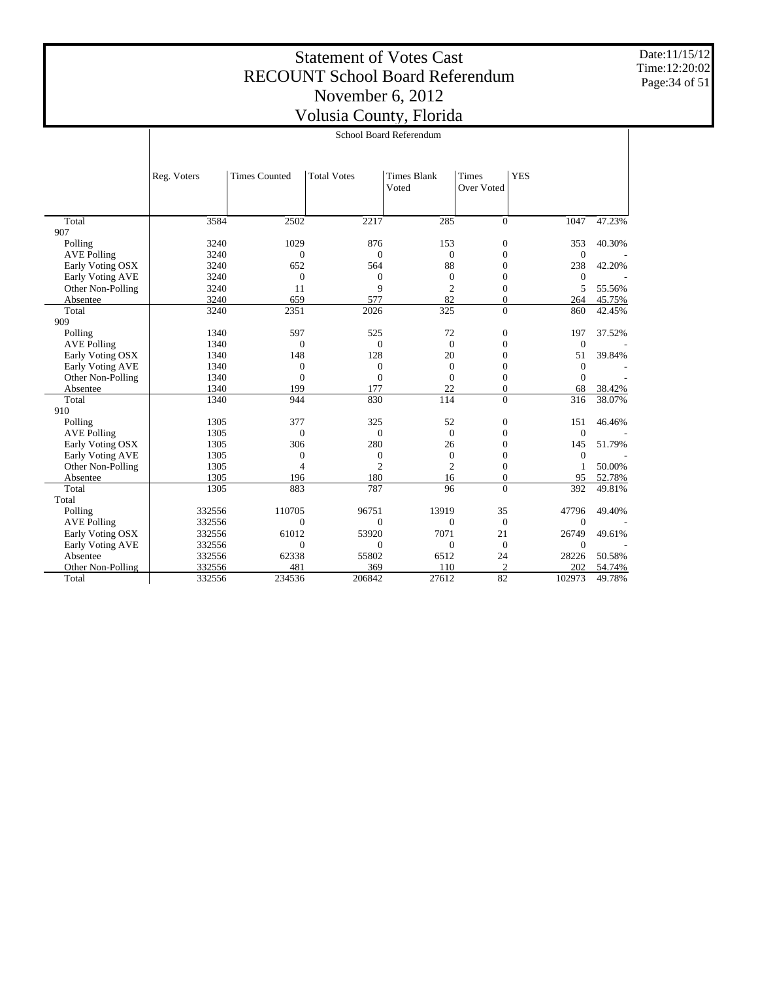Date:11/15/12 Time:12:20:02 Page:34 of 51

|                    | School Board Referendum |                                                                                                |                |                  |                  |                  |        |  |
|--------------------|-------------------------|------------------------------------------------------------------------------------------------|----------------|------------------|------------------|------------------|--------|--|
|                    | Reg. Voters             | <b>YES</b><br><b>Times Counted</b><br><b>Total Votes</b><br><b>Times Blank</b><br><b>Times</b> |                |                  |                  |                  |        |  |
|                    |                         |                                                                                                |                | Voted            | Over Voted       |                  |        |  |
|                    |                         |                                                                                                |                |                  |                  |                  |        |  |
| Total              | 3584                    | 2502                                                                                           | 2217           | 285              | $\Omega$         | 1047             | 47.23% |  |
| 907                |                         |                                                                                                |                |                  |                  |                  |        |  |
| Polling            | 3240                    | 1029                                                                                           | 876            | 153              | $\overline{0}$   | 353              | 40.30% |  |
| <b>AVE Polling</b> | 3240                    | $\mathbf{0}$                                                                                   | $\mathbf{0}$   | $\boldsymbol{0}$ | $\overline{0}$   | $\boldsymbol{0}$ |        |  |
| Early Voting OSX   | 3240                    | 652                                                                                            | 564            | 88               | $\Omega$         | 238              | 42.20% |  |
| Early Voting AVE   | 3240                    | $\mathbf{0}$                                                                                   | $\mathbf{0}$   | $\overline{0}$   | $\overline{0}$   | $\theta$         |        |  |
| Other Non-Polling  | 3240                    | 11                                                                                             | 9              | $\overline{c}$   | $\overline{0}$   | 5                | 55.56% |  |
| Absentee           | 3240                    | 659                                                                                            | 577            | 82               | $\overline{0}$   | 264              | 45.75% |  |
| Total              | 3240                    | 2351                                                                                           | 2026           | 325              | $\theta$         | 860              | 42.45% |  |
| 909                |                         |                                                                                                |                |                  |                  |                  |        |  |
| Polling            | 1340                    | 597                                                                                            | 525            | 72               | $\mathbf{0}$     | 197              | 37.52% |  |
| <b>AVE Polling</b> | 1340                    | $\mathbf{0}$                                                                                   | $\mathbf{0}$   | $\overline{0}$   | $\overline{0}$   | $\boldsymbol{0}$ |        |  |
| Early Voting OSX   | 1340                    | 148                                                                                            | 128            | 20               | $\overline{0}$   | 51               | 39.84% |  |
| Early Voting AVE   | 1340                    | $\mathbf{0}$                                                                                   | $\mathbf{0}$   | $\overline{0}$   | $\overline{0}$   | $\mathbf{0}$     |        |  |
| Other Non-Polling  | 1340                    | $\mathbf{0}$                                                                                   | $\mathbf{0}$   | $\overline{0}$   | $\overline{0}$   | $\Omega$         |        |  |
| Absentee           | 1340                    | 199                                                                                            | 177            | 22               | $\theta$         | 68               | 38.42% |  |
| Total              | 1340                    | 944                                                                                            | 830            | 114              | $\Omega$         | 316              | 38.07% |  |
| 910                |                         |                                                                                                |                |                  |                  |                  |        |  |
| Polling            | 1305                    | 377                                                                                            | 325            | 52               | $\boldsymbol{0}$ | 151              | 46.46% |  |
| <b>AVE Polling</b> | 1305                    | $\mathbf{0}$                                                                                   | $\Omega$       | $\overline{0}$   | $\overline{0}$   | $\overline{0}$   |        |  |
| Early Voting OSX   | 1305                    | 306                                                                                            | 280            | 26               | $\overline{0}$   | 145              | 51.79% |  |
| Early Voting AVE   | 1305                    | $\mathbf{0}$                                                                                   | $\mathbf{0}$   | $\mathbf{0}$     | $\overline{0}$   | $\overline{0}$   |        |  |
| Other Non-Polling  | 1305                    | $\overline{4}$                                                                                 | $\overline{c}$ | $\overline{2}$   | $\Omega$         | $\mathbf{1}$     | 50.00% |  |
| Absentee           | 1305                    | 196                                                                                            | 180            | 16               | $\mathbf{0}$     | 95               | 52.78% |  |
| Total              | 1305                    | 883                                                                                            | 787            | 96               | $\Omega$         | 392              | 49.81% |  |
| Total              |                         |                                                                                                |                |                  |                  |                  |        |  |
| Polling            | 332556                  | 110705                                                                                         | 96751          | 13919            | 35               | 47796            | 49.40% |  |
| <b>AVE Polling</b> | 332556                  | $\mathbf{0}$                                                                                   | $\mathbf{0}$   | $\mathbf{0}$     | $\overline{0}$   | $\theta$         |        |  |
| Early Voting OSX   | 332556                  | 61012                                                                                          | 53920          | 7071             | 21               | 26749            | 49.61% |  |
| Early Voting AVE   | 332556                  | $\mathbf{0}$                                                                                   | $\mathbf{0}$   | $\mathbf{0}$     | $\overline{0}$   | $\mathbf{0}$     |        |  |
| Absentee           | 332556                  | 62338                                                                                          | 55802          | 6512             | 24               | 28226            | 50.58% |  |
| Other Non-Polling  | 332556                  | 481                                                                                            | 369            | 110              | $\overline{c}$   | 202              | 54.74% |  |
| Total              | 332556                  | 234536                                                                                         | 206842         | 27612            | 82               | 102973           | 49.78% |  |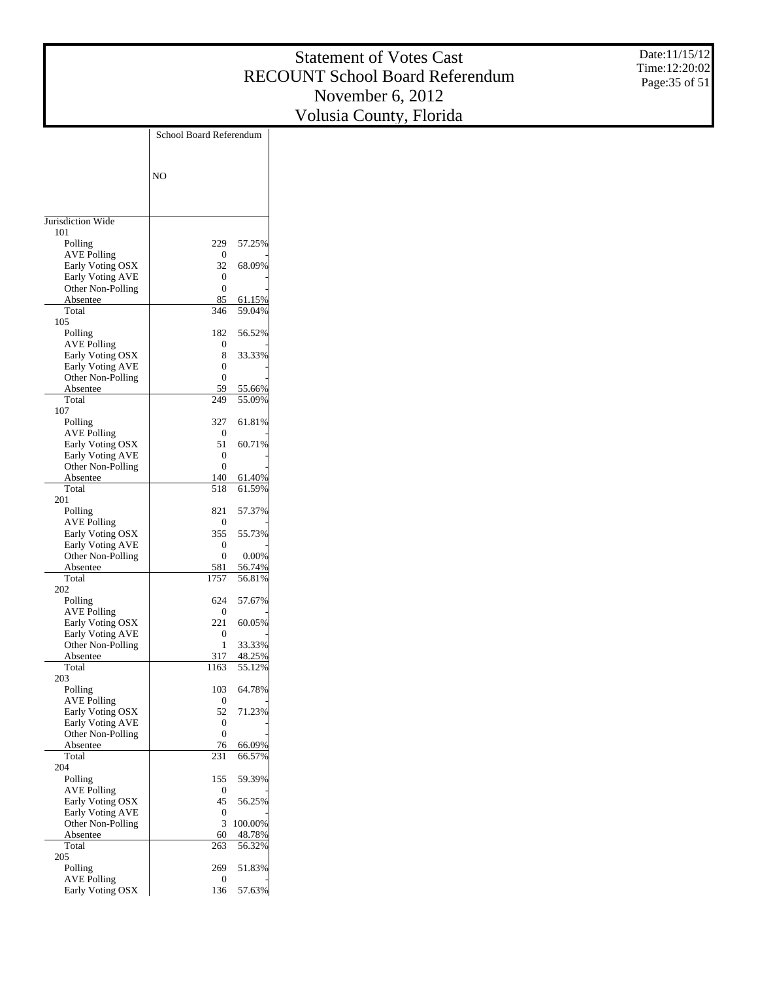Date:11/15/12 Time:12:20:02 Page:35 of 51

|                                             | School Board Referendum |                  |  |
|---------------------------------------------|-------------------------|------------------|--|
|                                             |                         |                  |  |
|                                             |                         |                  |  |
|                                             | N <sub>O</sub>          |                  |  |
|                                             |                         |                  |  |
|                                             |                         |                  |  |
| Jurisdiction Wide                           |                         |                  |  |
| 101                                         |                         |                  |  |
| Polling<br><b>AVE Polling</b>               | 229<br>0                | 57.25%           |  |
| Early Voting OSX                            | 32                      | 68.09%           |  |
| Early Voting AVE                            | 0                       |                  |  |
| Other Non-Polling                           | 0                       |                  |  |
| Absentee                                    | 85                      | 61.15%           |  |
| Total                                       | 346                     | 59.04%           |  |
| 105                                         |                         |                  |  |
| Polling                                     | 182                     | 56.52%           |  |
| <b>AVE Polling</b>                          | 0                       | 33.33%           |  |
| Early Voting OSX<br>Early Voting AVE        | 8<br>0                  |                  |  |
| Other Non-Polling                           | 0                       |                  |  |
| Absentee                                    | 59                      | 55.66%           |  |
| Total                                       | 249                     | 55.09%           |  |
| 107                                         |                         |                  |  |
| Polling                                     | 327                     | 61.81%           |  |
| <b>AVE Polling</b>                          | 0                       |                  |  |
| Early Voting OSX                            | 51                      | 60.71%           |  |
| Early Voting AVE                            | 0                       |                  |  |
| Other Non-Polling                           | 0                       |                  |  |
| Absentee<br>Total                           | 140<br>518              | 61.40%<br>61.59% |  |
| 201                                         |                         |                  |  |
| Polling                                     | 821                     | 57.37%           |  |
| <b>AVE Polling</b>                          | 0                       |                  |  |
| Early Voting OSX                            | 355                     | 55.73%           |  |
| Early Voting AVE                            | 0                       |                  |  |
| Other Non-Polling                           | $\theta$                | 0.00%            |  |
| Absentee                                    | 581                     | 56.74%           |  |
| Total<br>202                                | 1757                    | 56.81%           |  |
| Polling                                     | 624                     | 57.67%           |  |
| AVE Polling                                 | 0                       |                  |  |
| Early Voting OSX                            | 221                     | 60.05%           |  |
| <b>Early Voting AVE</b>                     | 0                       |                  |  |
| Other Non-Polling                           | 1                       | 33.33%           |  |
| Absentee                                    | 317                     | 48.25%           |  |
| Total                                       | 1163                    | 55.12%           |  |
| 203                                         |                         |                  |  |
| Polling                                     | 103                     | 64.78%           |  |
| <b>AVE Polling</b><br>Early Voting OSX      | 0<br>52                 | 71.23%           |  |
| Early Voting AVE                            | 0                       |                  |  |
| Other Non-Polling                           | 0                       |                  |  |
| Absentee                                    | 76                      | 66.09%           |  |
| Total                                       | 231                     | 66.57%           |  |
| 204                                         |                         |                  |  |
| Polling                                     | 155                     | 59.39%           |  |
| <b>AVE Polling</b>                          | 0                       |                  |  |
| Early Voting OSX<br><b>Early Voting AVE</b> | 45<br>0                 | 56.25%           |  |
| Other Non-Polling                           | 3                       | 100.00%          |  |
| Absentee                                    | 60                      | 48.78%           |  |
| Total                                       | 263                     | 56.32%           |  |
| 205                                         |                         |                  |  |
| Polling                                     | 269                     | 51.83%           |  |
| AVE Polling                                 | 0                       |                  |  |
| Early Voting OSX                            | 136                     | 57.63%           |  |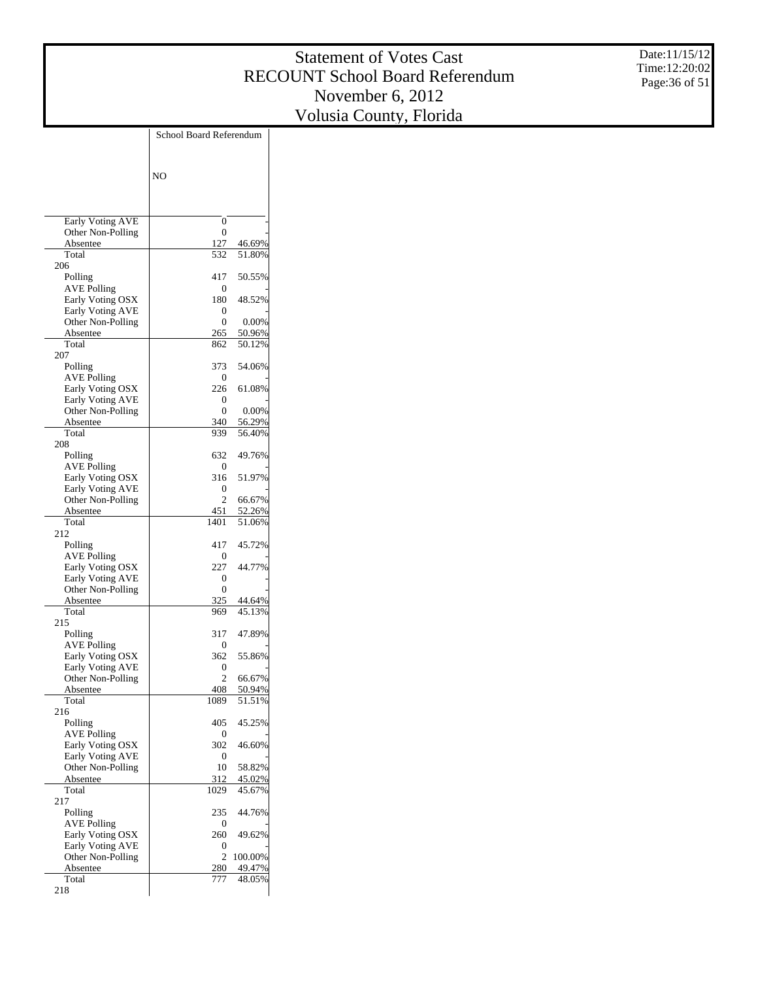Date:11/15/12 Time:12:20:02 Page:36 of 51

|                                              | School Board Referendum |                  |  |
|----------------------------------------------|-------------------------|------------------|--|
|                                              |                         |                  |  |
|                                              |                         |                  |  |
|                                              | N <sub>O</sub>          |                  |  |
|                                              |                         |                  |  |
|                                              |                         |                  |  |
| Early Voting AVE                             | 0                       |                  |  |
| Other Non-Polling                            | 0<br>127                |                  |  |
| Absentee<br>Total                            | 532                     | 46.69%<br>51.80% |  |
| 206                                          |                         |                  |  |
| Polling                                      | 417                     | 50.55%           |  |
| AVE Polling                                  | 0                       |                  |  |
| Early Voting OSX                             | 180                     | 48.52%           |  |
| <b>Early Voting AVE</b><br>Other Non-Polling | 0<br>0                  | 0.00%            |  |
| Absentee                                     | 265                     | 50.96%           |  |
| Total                                        | 862                     | 50.12%           |  |
| 207                                          |                         |                  |  |
| Polling                                      | 373                     | 54.06%           |  |
| <b>AVE Polling</b>                           | 0                       |                  |  |
| Early Voting OSX<br><b>Early Voting AVE</b>  | 226<br>0                | 61.08%           |  |
| Other Non-Polling                            | 0                       | 0.00%            |  |
| Absentee                                     | 340                     | 56.29%           |  |
| Total                                        | 939                     | 56.40%           |  |
| 208                                          |                         |                  |  |
| Polling                                      | 632                     | 49.76%           |  |
| AVE Polling                                  | 0                       |                  |  |
| Early Voting OSX<br><b>Early Voting AVE</b>  | 316<br>0                | 51.97%           |  |
| Other Non-Polling                            | $\overline{c}$          | 66.67%           |  |
| Absentee                                     | 451                     | 52.26%           |  |
| Total                                        | 1401                    | 51.06%           |  |
| 212                                          |                         |                  |  |
| Polling                                      | 417                     | 45.72%           |  |
| AVE Polling<br>Early Voting OSX              | 0<br>227                | 44.77%           |  |
| <b>Early Voting AVE</b>                      | 0                       |                  |  |
| Other Non-Polling                            | 0                       |                  |  |
| Absentee                                     | 325                     | 44.64%           |  |
| Total                                        | 969                     | 45.13%           |  |
| 215                                          |                         |                  |  |
| Polling                                      | 317<br>0                | 47.89%           |  |
| <b>AVE Polling</b><br>Early Voting OSX       | 362                     | 55.86%           |  |
| <b>Early Voting AVE</b>                      | 0                       |                  |  |
| Other Non-Polling                            | $\overline{c}$          | 66.67%           |  |
| <u>Absentee</u>                              | 408                     | <u>50.94%</u>    |  |
| Total                                        | 1089                    | 51.51%           |  |
| 216                                          | 405                     |                  |  |
| Polling<br><b>AVE Polling</b>                | 0                       | 45.25%           |  |
| Early Voting OSX                             | 302                     | 46.60%           |  |
| Early Voting AVE                             | 0                       |                  |  |
| Other Non-Polling                            | 10                      | 58.82%           |  |
| Absentee                                     | 312                     | 45.02%           |  |
| Total                                        | 1029                    | 45.67%           |  |
| 217<br>Polling                               | 235                     | 44.76%           |  |
| <b>AVE Polling</b>                           | 0                       |                  |  |
| Early Voting OSX                             | 260                     | 49.62%           |  |
| Early Voting AVE                             | 0                       |                  |  |
| Other Non-Polling                            | $\overline{c}$          | 100.00%          |  |
| Absentee                                     | 280                     | 49.47%           |  |
| Total                                        | 777                     | 48.05%           |  |
| 218                                          |                         |                  |  |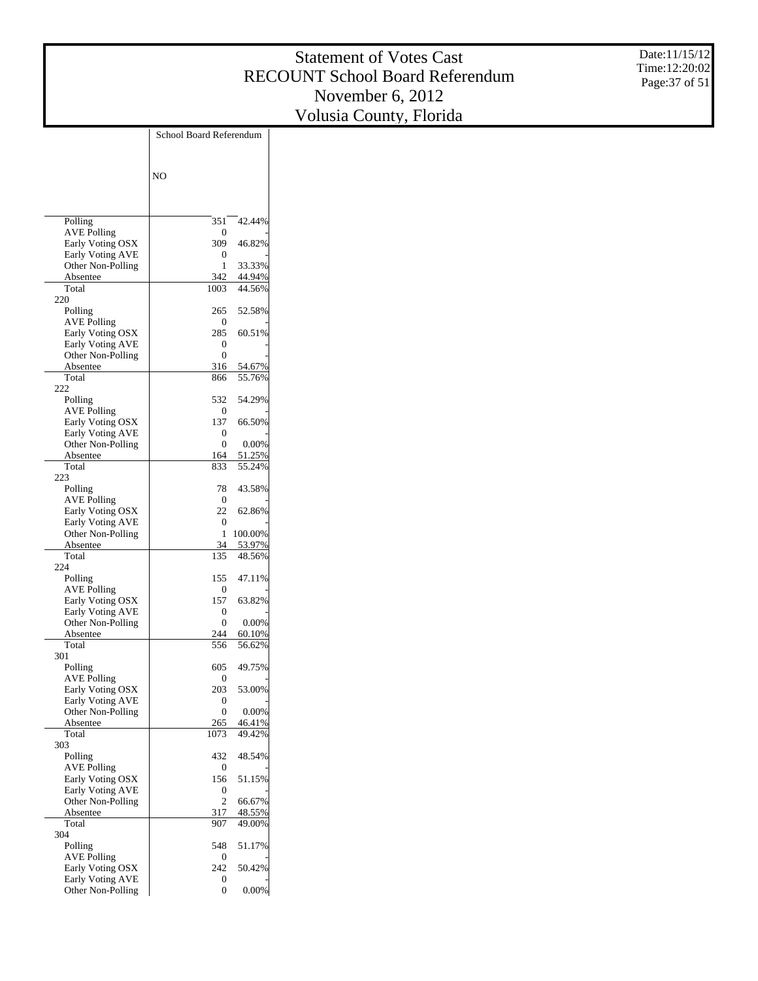Date:11/15/12 Time:12:20:02 Page:37 of 51

|                                              | School Board Referendum         |  |
|----------------------------------------------|---------------------------------|--|
|                                              |                                 |  |
|                                              | N <sub>O</sub>                  |  |
|                                              |                                 |  |
| Polling                                      | 351<br>42.44%                   |  |
| <b>AVE Polling</b>                           | 0                               |  |
| Early Voting OSX<br><b>Early Voting AVE</b>  | 309<br>46.82%<br>0              |  |
| Other Non-Polling                            | 33.33%<br>1                     |  |
| Absentee                                     | 44.94%<br>342                   |  |
| Total                                        | 44.56%<br>1003                  |  |
| 220                                          | 52.58%                          |  |
| Polling<br><b>AVE Polling</b>                | 265<br>0                        |  |
| Early Voting OSX                             | 285<br>60.51%                   |  |
| <b>Early Voting AVE</b>                      | 0                               |  |
| Other Non-Polling                            | 0                               |  |
| Absentee<br>Total                            | 316<br>54.67%<br>55.76%<br>866  |  |
| 222                                          |                                 |  |
| Polling                                      | 54.29%<br>532                   |  |
| AVE Polling                                  | 0                               |  |
| Early Voting OSX                             | 137<br>66.50%                   |  |
| <b>Early Voting AVE</b>                      | 0                               |  |
| Other Non-Polling<br>Absentee                | 0.00%<br>0<br>51.25%<br>164     |  |
| Total                                        | 55.24%<br>833                   |  |
| 223                                          |                                 |  |
| Polling                                      | 43.58%<br>78                    |  |
| AVE Polling                                  | 0                               |  |
| Early Voting OSX                             | 22<br>62.86%<br>0               |  |
| <b>Early Voting AVE</b><br>Other Non-Polling | 100.00%<br>1                    |  |
| Absentee                                     | 53.97%<br>34                    |  |
| Total                                        | 48.56%<br>135                   |  |
| 224                                          |                                 |  |
| Polling                                      | 155<br>47.11%<br>0              |  |
| AVE Polling<br>Early Voting OSX              | 157<br>63.82%                   |  |
| <b>Early Voting AVE</b>                      | 0                               |  |
| Other Non-Polling                            | 0.00%<br>0                      |  |
| Absentee                                     | 244<br>60.10%                   |  |
| Total                                        | 556<br>56.62%                   |  |
| 301<br>Polling                               | 605<br>49.75%                   |  |
| <b>AVE Polling</b>                           | 0                               |  |
| Early Voting OSX                             | 203<br>53.00%                   |  |
| Early Voting AVE                             | 0                               |  |
| Other Non-Polling                            | 0<br>0.00%                      |  |
| Absentee<br>Total                            | 265<br>46.41%<br>1073<br>49.42% |  |
| 303                                          |                                 |  |
| Polling                                      | 432<br>48.54%                   |  |
| <b>AVE Polling</b>                           | 0                               |  |
| Early Voting OSX                             | 156<br>51.15%                   |  |
| <b>Early Voting AVE</b>                      | 0                               |  |
| Other Non-Polling<br>Absentee                | 2<br>66.67%<br>48.55%<br>317    |  |
| Total                                        | 49.00%<br>907                   |  |
| 304                                          |                                 |  |
| Polling                                      | 548<br>51.17%                   |  |
| <b>AVE Polling</b>                           | 0                               |  |
| Early Voting OSX<br><b>Early Voting AVE</b>  | 242<br>50.42%<br>0              |  |
| Other Non-Polling                            | 0<br>0.00%                      |  |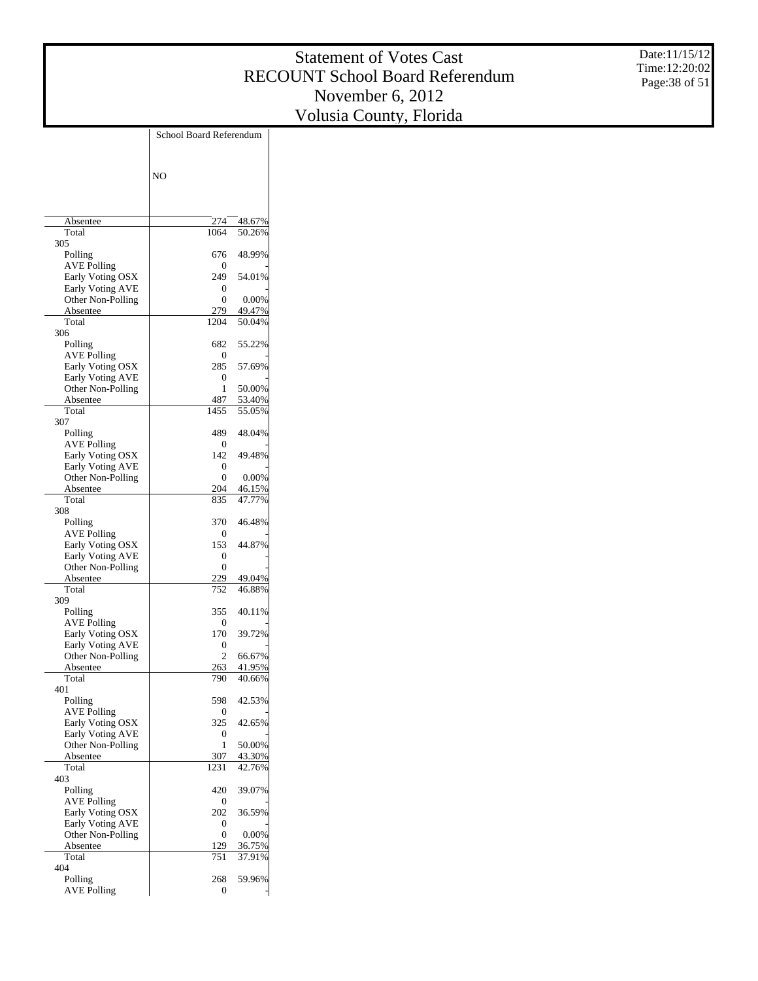Date:11/15/12 Time:12:20:02 Page:38 of 51

|                                              | School Board Referendum |                  |
|----------------------------------------------|-------------------------|------------------|
|                                              |                         |                  |
|                                              |                         |                  |
|                                              | N <sub>O</sub>          |                  |
|                                              |                         |                  |
|                                              |                         |                  |
| Absentee<br>Total                            | 274<br>1064             | 48.67%<br>50.26% |
| 305                                          |                         |                  |
| Polling                                      | 676                     | 48.99%           |
| <b>AVE Polling</b>                           | 0                       |                  |
| Early Voting OSX<br>Early Voting AVE         | 249<br>0                | 54.01%           |
| Other Non-Polling                            | $\theta$                | 0.00%            |
| Absentee                                     | 279                     | 49.47%           |
| Total                                        | 1204                    | 50.04%           |
| 306<br>Polling                               | 682                     | 55.22%           |
| <b>AVE Polling</b>                           | 0                       |                  |
| Early Voting OSX                             | 285                     | 57.69%           |
| <b>Early Voting AVE</b>                      | 0                       |                  |
| Other Non-Polling                            | 1                       | 50.00%           |
| Absentee<br>Total                            | 487<br>1455             | 53.40%<br>55.05% |
| 307                                          |                         |                  |
| Polling                                      | 489                     | 48.04%           |
| <b>AVE Polling</b>                           | 0                       |                  |
| Early Voting OSX<br><b>Early Voting AVE</b>  | 142<br>0                | 49.48%           |
| Other Non-Polling                            | $\theta$                | 0.00%            |
| Absentee                                     | 204                     | 46.15%           |
| Total                                        | 835                     | 47.77%           |
| 308<br>Polling                               | 370                     | 46.48%           |
| <b>AVE Polling</b>                           | 0                       |                  |
| Early Voting OSX                             | 153                     | 44.87%           |
| <b>Early Voting AVE</b>                      | 0                       |                  |
| Other Non-Polling<br>Absentee                | $\theta$<br>229         | 49.04%           |
| Total                                        | 752                     | 46.88%           |
| 309                                          |                         |                  |
| Polling                                      | 355                     | 40.11%           |
| AVE Polling<br>Early Voting OSX              | 0<br>170                | 39.72%           |
| <b>Early Voting AVE</b>                      | 0                       |                  |
| Other Non-Polling                            | $\overline{c}$          | 66.67%           |
| Absentee                                     | 263                     | 41.95%           |
| Total<br>401                                 | 790                     | 40.66%           |
| Polling                                      | 598                     | 42.53%           |
| <b>AVE Polling</b>                           | 0                       |                  |
| Early Voting OSX                             | 325                     | 42.65%           |
| <b>Early Voting AVE</b><br>Other Non-Polling | 0<br>1                  | 50.00%           |
| Absentee                                     | 307                     | 43.30%           |
| Total                                        | 1231                    | 42.76%           |
| 403                                          |                         |                  |
| Polling                                      | 420                     | 39.07%           |
| <b>AVE Polling</b><br>Early Voting OSX       | 0<br>202                | 36.59%           |
| <b>Early Voting AVE</b>                      | 0                       |                  |
| Other Non-Polling                            | 0                       | 0.00%            |
| Absentee<br>Total                            | 129<br>751              | 36.75%           |
| 404                                          |                         | 37.91%           |
| Polling                                      | 268                     | 59.96%           |
| <b>AVE Polling</b>                           | 0                       |                  |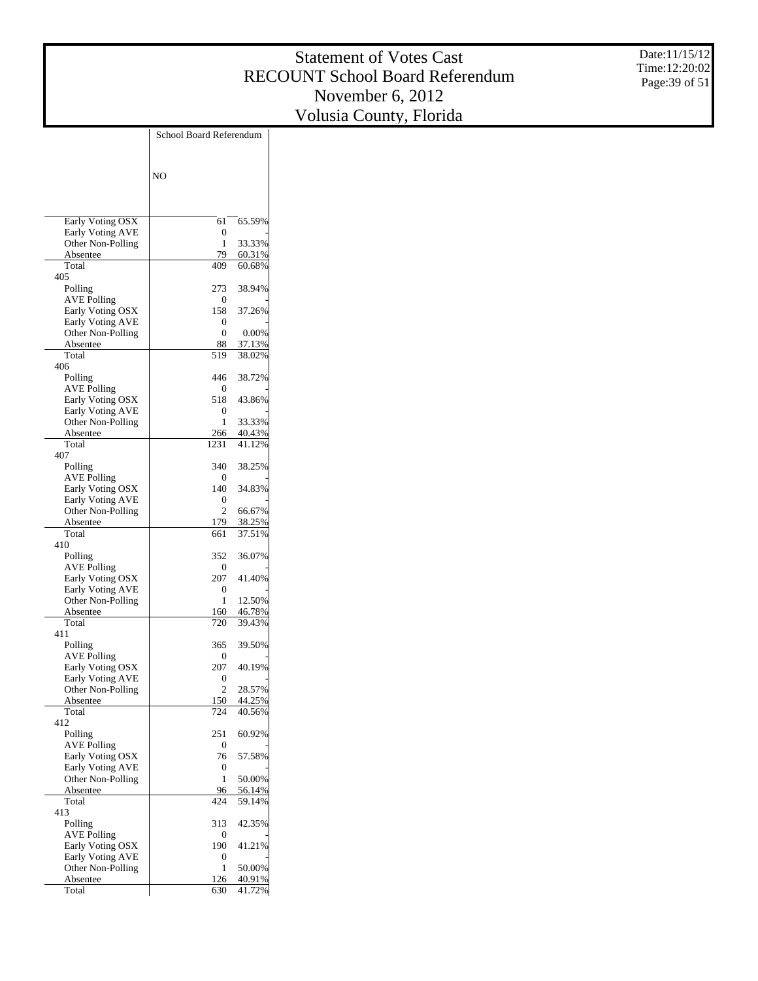Date:11/15/12 Time:12:20:02 Page:39 of 51

|                                        | School Board Referendum |                  |
|----------------------------------------|-------------------------|------------------|
|                                        |                         |                  |
|                                        | N <sub>O</sub>          |                  |
|                                        |                         |                  |
|                                        |                         |                  |
| Early Voting OSX                       | 61                      | 65.59%           |
| Early Voting AVE                       | 0                       |                  |
| Other Non-Polling                      | 1                       | 33.33%           |
| Absentee<br>Total                      | 79<br>409               | 60.31%<br>60.68% |
| 405                                    |                         |                  |
| Polling                                | 273                     | 38.94%           |
| <b>AVE Polling</b>                     | 0<br>158                | 37.26%           |
| Early Voting OSX<br>Early Voting AVE   | 0                       |                  |
| Other Non-Polling                      | 0                       | 0.00%            |
| Absentee                               | 88                      | 37.13%           |
| Total                                  | 519                     | 38.02%           |
| 406<br>Polling                         | 446                     | 38.72%           |
| <b>AVE Polling</b>                     | 0                       |                  |
| Early Voting OSX                       | 518                     | 43.86%           |
| Early Voting AVE                       | 0                       |                  |
| Other Non-Polling<br>Absentee          | 1<br>266                | 33.33%<br>40.43% |
| Total                                  | 1231                    | 41.12%           |
| 407                                    |                         |                  |
| Polling                                | 340                     | 38.25%           |
| <b>AVE Polling</b><br>Early Voting OSX | 0<br>140                | 34.83%           |
| Early Voting AVE                       | 0                       |                  |
| Other Non-Polling                      | 2                       | 66.67%           |
| Absentee                               | 179                     | 38.25%           |
| Total<br>410                           | 661                     | 37.51%           |
| Polling                                | 352                     | 36.07%           |
| <b>AVE Polling</b>                     | 0                       |                  |
| Early Voting OSX                       | 207                     | 41.40%           |
| Early Voting AVE                       | 0<br>1                  | 12.50%           |
| Other Non-Polling<br>Absentee          | 160                     | 46.78%           |
| Total                                  | 720                     | 39.43%           |
| 411                                    |                         |                  |
| Polling                                | 365                     | 39.50%           |
| <b>AVE Polling</b><br>Early Voting OSX | 0<br>207                | 40.19%           |
| Early Voting AVE                       | 0                       |                  |
| Other Non-Polling                      | 2                       | 28.57%           |
| Absentee                               | 150                     | 44.25%           |
| Total<br>412                           | 724                     | 40.56%           |
| Polling                                | 251                     | 60.92%           |
| <b>AVE Polling</b>                     | 0                       |                  |
| Early Voting OSX                       | 76                      | 57.58%           |
| Early Voting AVE<br>Other Non-Polling  | 0<br>1                  | 50.00%           |
| Absentee                               | 96                      | 56.14%           |
| Total                                  | 424                     | 59.14%           |
| 413                                    |                         |                  |
| Polling<br><b>AVE Polling</b>          | 313<br>0                | 42.35%           |
| Early Voting OSX                       | 190                     | 41.21%           |
| Early Voting AVE                       | 0                       |                  |
| Other Non-Polling                      | 1                       | 50.00%           |
| Absentee                               | 126                     | 40.91%           |
| Total                                  | 630                     | 41.72%           |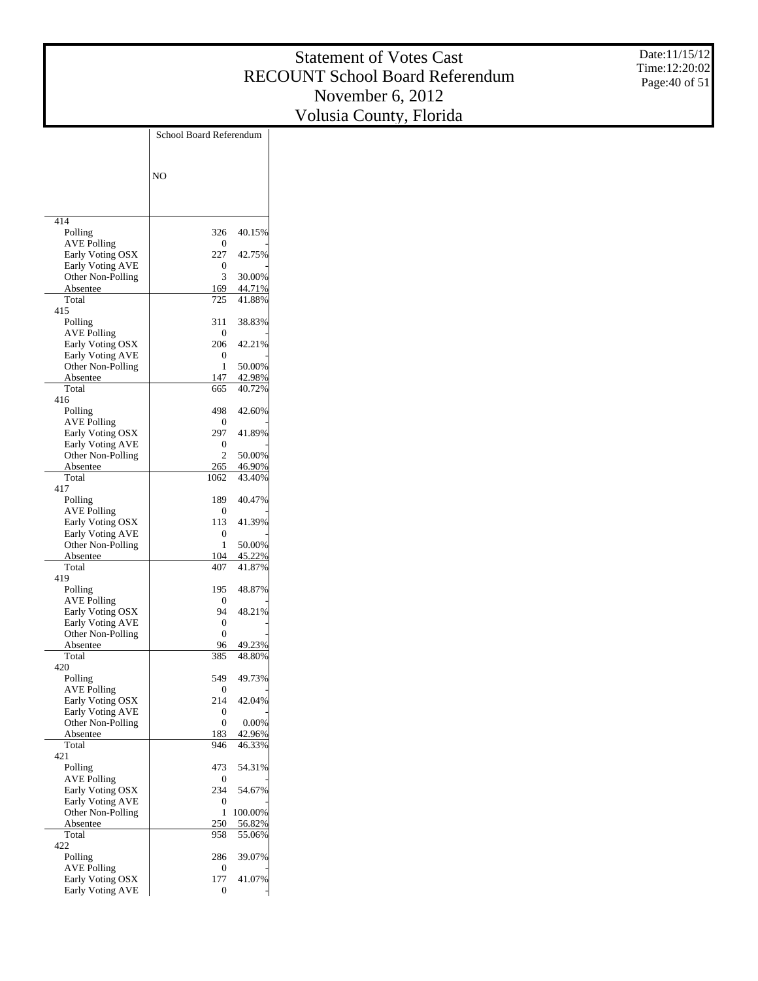Date:11/15/12 Time:12:20:02 Page:40 of 51

|                                        | School Board Referendum |                  |
|----------------------------------------|-------------------------|------------------|
|                                        |                         |                  |
|                                        | N <sub>O</sub>          |                  |
|                                        |                         |                  |
|                                        |                         |                  |
| 414                                    |                         |                  |
| Polling                                | 326<br>0                | 40.15%           |
| <b>AVE Polling</b><br>Early Voting OSX | 227                     | 42.75%           |
| Early Voting AVE                       | 0                       |                  |
| Other Non-Polling                      | 3                       | 30.00%           |
| Absentee<br>Total                      | 169<br>725              | 44.71%<br>41.88% |
| 415                                    |                         |                  |
| Polling                                | 311                     | 38.83%           |
| <b>AVE Polling</b>                     | 0                       |                  |
| Early Voting OSX<br>Early Voting AVE   | 206<br>0                | 42.21%           |
| Other Non-Polling                      | 1                       | 50.00%           |
| Absentee                               | 147                     | 42.98%           |
| Total<br>416                           | 665                     | 40.72%           |
| Polling                                | 498                     | 42.60%           |
| <b>AVE Polling</b>                     | 0                       |                  |
| Early Voting OSX                       | 297                     | 41.89%           |
| Early Voting AVE<br>Other Non-Polling  | 0<br>2                  | 50.00%           |
| Absentee                               | 265                     | 46.90%           |
| Total                                  | 1062                    | 43.40%           |
| 417                                    |                         |                  |
| Polling<br><b>AVE Polling</b>          | 189<br>0                | 40.47%           |
| Early Voting OSX                       | 113                     | 41.39%           |
| Early Voting AVE                       | 0                       |                  |
| Other Non-Polling<br>Absentee          | 1<br>104                | 50.00%<br>45.22% |
| Total                                  | 407                     | 41.87%           |
| 419                                    |                         |                  |
| Polling                                | 195                     | 48.87%           |
| AVE Polling<br>Early Voting OSX        | 0<br>94                 | 48.21%           |
| <b>Early Voting AVE</b>                | 0                       |                  |
| Other Non-Polling                      | 0                       |                  |
| Absentee<br>Total                      | 96<br>385               | 49.23%<br>48.80% |
| 420                                    |                         |                  |
| Polling                                | 549                     | 49.73%           |
| AVE Polling                            | 0<br>214                | 42.04%           |
| Early Voting OSX<br>Early Voting AVE   | 0                       |                  |
| Other Non-Polling                      | 0                       | 0.00%            |
| Absentee                               | 183                     | 42.96%           |
| Total<br>421                           | 946                     | 46.33%           |
| Polling                                | 473                     | 54.31%           |
| <b>AVE Polling</b>                     | 0                       |                  |
| Early Voting OSX<br>Early Voting AVE   | 234<br>0                | 54.67%           |
| Other Non-Polling                      | 1                       | 100.00%          |
| Absentee                               | 250                     | 56.82%           |
| Total                                  | 958                     | 55.06%           |
| 422<br>Polling                         | 286                     | 39.07%           |
| <b>AVE Polling</b>                     | 0                       |                  |
| Early Voting OSX                       | 177                     | 41.07%           |
| <b>Early Voting AVE</b>                | 0                       |                  |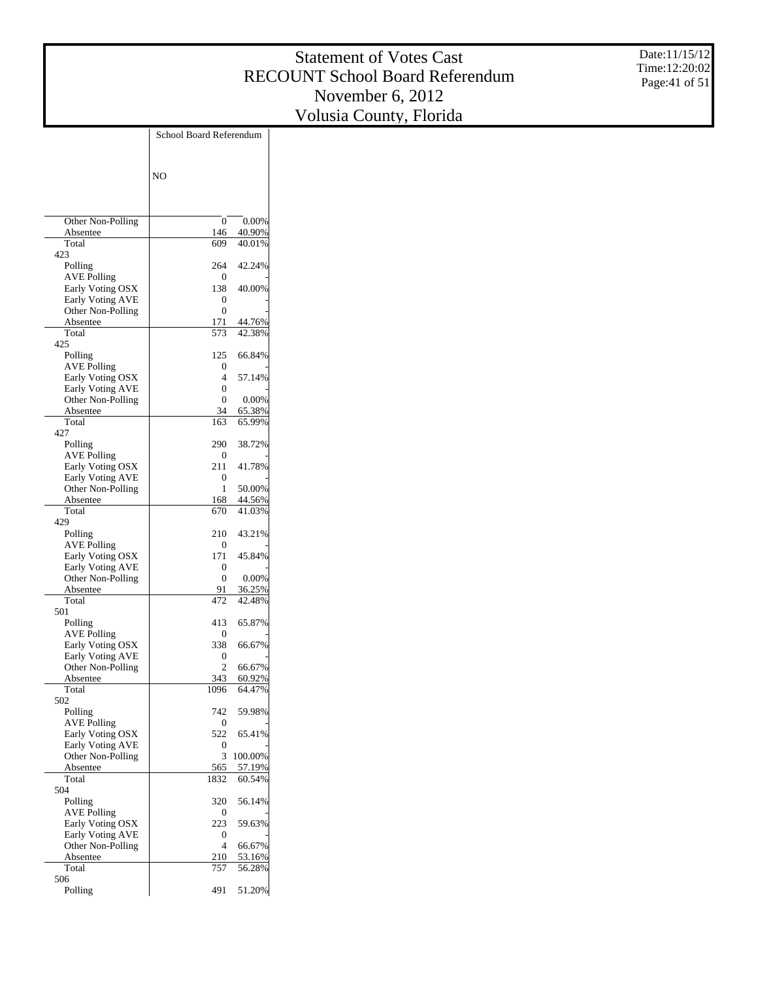Date:11/15/12 Time:12:20:02 Page:41 of 51

|                                             | School Board Referendum |                 |
|---------------------------------------------|-------------------------|-----------------|
|                                             |                         |                 |
|                                             |                         |                 |
|                                             | N <sub>O</sub>          |                 |
|                                             |                         |                 |
|                                             |                         |                 |
| Other Non-Polling<br>Absentee               | 0<br>146                | 0.00%<br>40.90% |
| Total                                       | 609                     | 40.01%          |
| 423                                         |                         |                 |
| Polling                                     | 264                     | 42.24%          |
| <b>AVE Polling</b>                          | 0                       |                 |
| Early Voting OSX<br><b>Early Voting AVE</b> | 138<br>0                | 40.00%          |
| Other Non-Polling                           | 0                       |                 |
| Absentee                                    | 171                     | 44.76%          |
| Total                                       | 573                     | 42.38%          |
| 425                                         |                         |                 |
| Polling                                     | 125                     | 66.84%          |
| <b>AVE Polling</b><br>Early Voting OSX      | 0<br>4                  | 57.14%          |
| <b>Early Voting AVE</b>                     | 0                       |                 |
| Other Non-Polling                           | 0                       | 0.00%           |
| Absentee                                    | 34                      | 65.38%          |
| Total                                       | 163                     | 65.99%          |
| 427                                         |                         |                 |
| Polling                                     | 290                     | 38.72%          |
| <b>AVE Polling</b><br>Early Voting OSX      | 0<br>211                | 41.78%          |
| <b>Early Voting AVE</b>                     | 0                       |                 |
| Other Non-Polling                           | 1                       | 50.00%          |
| Absentee                                    | 168                     | 44.56%          |
| Total                                       | 670                     | 41.03%          |
| 429                                         |                         |                 |
| Polling<br>AVE Polling                      | 210<br>0                | 43.21%          |
| Early Voting OSX                            | 171                     | 45.84%          |
| <b>Early Voting AVE</b>                     | 0                       |                 |
| Other Non-Polling                           | 0                       | 0.00%           |
| Absentee                                    | 91                      | 36.25%          |
| Total                                       | 472                     | 42.48%          |
| 501<br>Polling                              | 413                     | 65.87%          |
| AVE Polling                                 | 0                       |                 |
| Early Voting OSX                            | 338                     | 66.67%          |
| Early Voting AVE                            | 0                       |                 |
| Other Non-Polling                           | 2                       | 66.67%          |
| Absentee                                    | 343                     | 60.92%          |
| Total<br>502                                | 1096                    | 64.47%          |
| Polling                                     | 742                     | 59.98%          |
| <b>AVE Polling</b>                          | 0                       |                 |
| Early Voting OSX                            | 522                     | 65.41%          |
| Early Voting AVE                            | 0                       |                 |
| Other Non-Polling                           | 3                       | 100.00%         |
| Absentee                                    | 565                     | 57.19%          |
| Total<br>504                                | 1832                    | 60.54%          |
| Polling                                     | 320                     | 56.14%          |
| <b>AVE Polling</b>                          | 0                       |                 |
| Early Voting OSX                            | 223                     | 59.63%          |
| Early Voting AVE                            | 0                       |                 |
| Other Non-Polling                           | 4                       | 66.67%          |
| Absentee<br>Total                           | 210                     | 53.16%          |
| 506                                         | 757                     | 56.28%          |
| Polling                                     | 491                     | 51.20%          |
|                                             |                         |                 |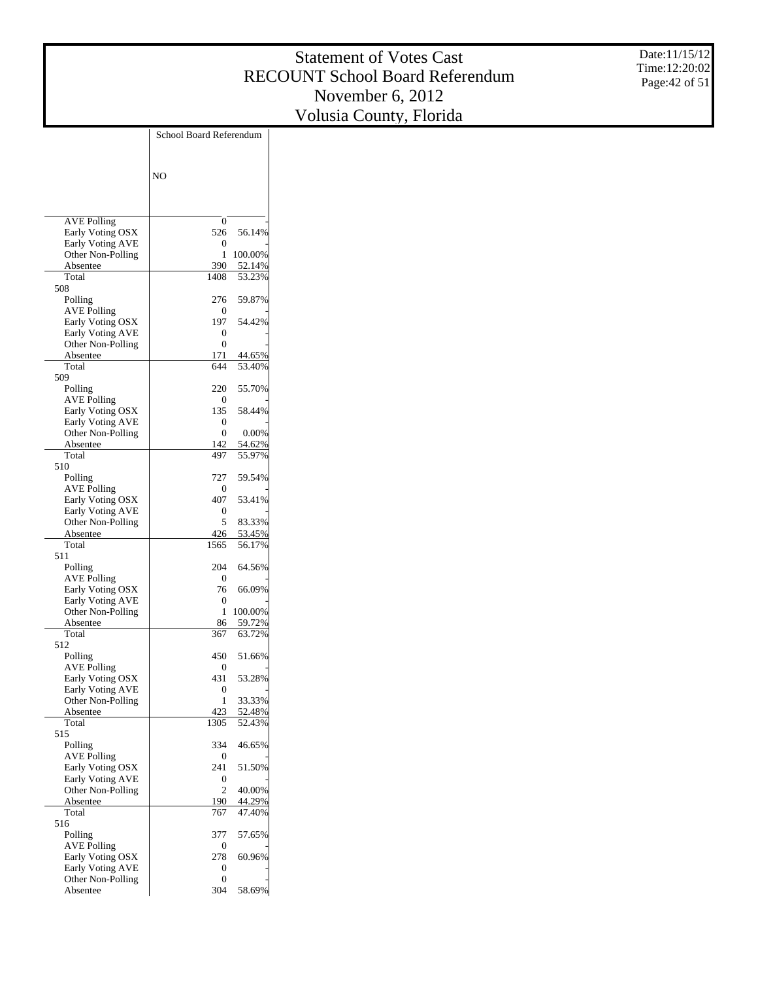Date:11/15/12 Time:12:20:02 Page:42 of 51

|                                              | School Board Referendum |                  |
|----------------------------------------------|-------------------------|------------------|
|                                              |                         |                  |
|                                              | NO                      |                  |
|                                              |                         |                  |
|                                              |                         |                  |
| <b>AVE Polling</b><br>Early Voting OSX       | 0<br>526                | 56.14%           |
| <b>Early Voting AVE</b>                      | 0                       |                  |
| Other Non-Polling                            | 1                       | 100.00%          |
| Absentee                                     | 390                     | 52.14%<br>53.23% |
| Total<br>508                                 | 1408                    |                  |
| Polling                                      | 276                     | 59.87%           |
| <b>AVE Polling</b>                           | 0                       |                  |
| Early Voting OSX<br><b>Early Voting AVE</b>  | 197<br>0                | 54.42%           |
| Other Non-Polling                            | 0                       |                  |
| Absentee                                     | 171                     | 44.65%           |
| Total                                        | 644                     | 53.40%           |
| 509<br>Polling                               | 220                     | 55.70%           |
| <b>AVE Polling</b>                           | 0                       |                  |
| Early Voting OSX                             | 135                     | 58.44%           |
| <b>Early Voting AVE</b><br>Other Non-Polling | 0<br>0                  | 0.00%            |
| Absentee                                     | 142                     | 54.62%           |
| Total                                        | 497                     | 55.97%           |
| 510                                          |                         |                  |
| Polling<br><b>AVE Polling</b>                | 727<br>0                | 59.54%           |
| Early Voting OSX                             | 407                     | 53.41%           |
| <b>Early Voting AVE</b>                      | 0                       |                  |
| Other Non-Polling                            | 5<br>426                | 83.33%<br>53.45% |
| Absentee<br>Total                            | 1565                    | 56.17%           |
| 511                                          |                         |                  |
| Polling                                      | 204                     | 64.56%           |
| <b>AVE Polling</b><br>Early Voting OSX       | 0<br>76                 | 66.09%           |
| <b>Early Voting AVE</b>                      | 0                       |                  |
| Other Non-Polling                            | 1                       | 100.00%          |
| Absentee<br>Total                            | 86<br>367               | 59.72%<br>63.72% |
| 512                                          |                         |                  |
| Polling                                      | 450                     | 51.66%           |
| <b>AVE Polling</b>                           | 0                       |                  |
| Early Voting OSX<br>Early Voting AVE         | 431<br>0                | 53.28%           |
| Other Non-Polling                            | 1                       | 33.33%           |
| Absentee                                     | 423                     | 52.48%           |
| Total<br>515                                 | 1305                    | 52.43%           |
| Polling                                      | 334                     | 46.65%           |
| <b>AVE Polling</b>                           | 0                       |                  |
| Early Voting OSX                             | 241                     | 51.50%           |
| <b>Early Voting AVE</b><br>Other Non-Polling | 0<br>$\overline{c}$     | 40.00%           |
| Absentee                                     | 190                     | 44.29%           |
| Total                                        | 767                     | 47.40%           |
| 516<br>Polling                               | 377                     | 57.65%           |
| <b>AVE Polling</b>                           | 0                       |                  |
| Early Voting OSX                             | 278                     | 60.96%           |
| <b>Early Voting AVE</b>                      | 0                       |                  |
| Other Non-Polling<br>Absentee                | 0<br>304                | 58.69%           |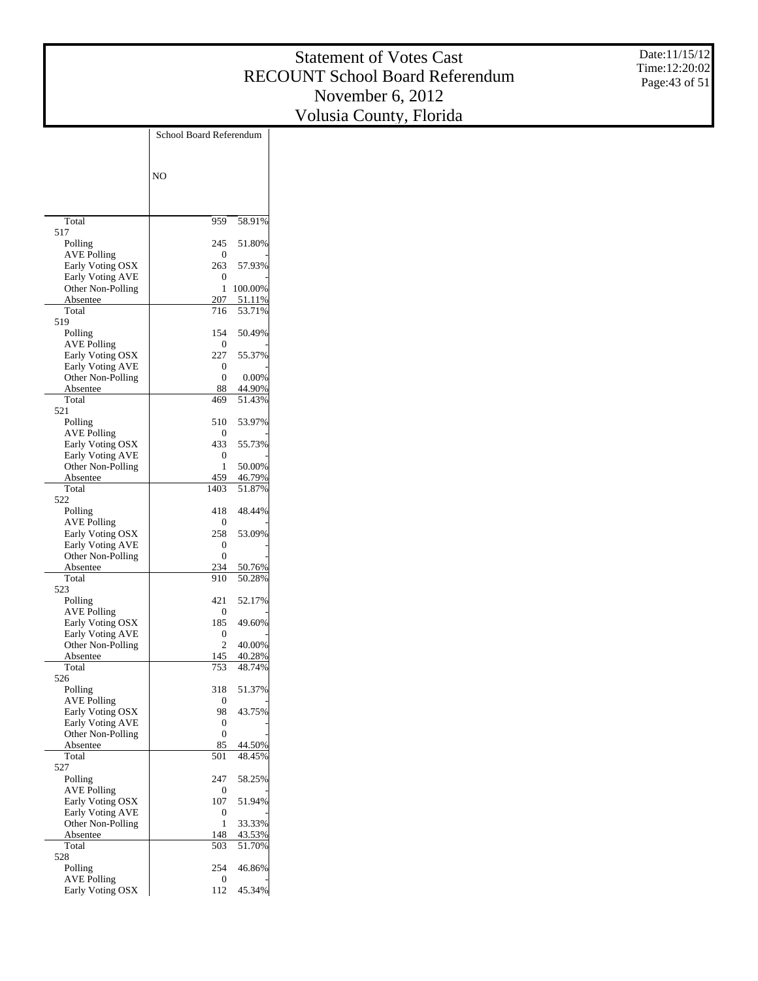Date:11/15/12 Time:12:20:02 Page:43 of 51

|                                              | School Board Referendum |                  |
|----------------------------------------------|-------------------------|------------------|
|                                              |                         |                  |
|                                              |                         |                  |
|                                              | N <sub>O</sub>          |                  |
|                                              |                         |                  |
|                                              |                         |                  |
| Total                                        | 959                     | 58.91%           |
| 517                                          |                         |                  |
| Polling                                      | 245                     | 51.80%           |
| <b>AVE Polling</b>                           | $\mathbf{0}$<br>263     | 57.93%           |
| Early Voting OSX<br><b>Early Voting AVE</b>  | 0                       |                  |
| Other Non-Polling                            | 1                       | 100.00%          |
| Absentee                                     | 207                     | 51.11%           |
| Total                                        | 716                     | 53.71%           |
| 519                                          |                         |                  |
| Polling<br><b>AVE Polling</b>                | 154<br>$\mathbf{0}$     | 50.49%           |
| Early Voting OSX                             | 227                     | 55.37%           |
| <b>Early Voting AVE</b>                      | 0                       |                  |
| Other Non-Polling                            | 0                       | 0.00%            |
| Absentee                                     | 88                      | 44.90%           |
| Total<br>521                                 | 469                     | 51.43%           |
| Polling                                      | 510                     | 53.97%           |
| <b>AVE Polling</b>                           | $\mathbf{0}$            |                  |
| Early Voting OSX                             | 433                     | 55.73%           |
| <b>Early Voting AVE</b>                      | 0                       |                  |
| Other Non-Polling                            | 1                       | 50.00%           |
| Absentee<br>Total                            | 459<br>1403             | 46.79%<br>51.87% |
| 522                                          |                         |                  |
| Polling                                      | 418                     | 48.44%           |
| <b>AVE Polling</b>                           | $\theta$                |                  |
| Early Voting OSX                             | 258                     | 53.09%           |
| <b>Early Voting AVE</b><br>Other Non-Polling | 0<br>0                  |                  |
| Absentee                                     | 234                     | 50.76%           |
| Total                                        | 910                     | 50.28%           |
| 523                                          |                         |                  |
| Polling                                      | 421                     | 52.17%           |
| <b>AVE Polling</b>                           | $\Omega$                |                  |
| Early Voting OSX<br><b>Early Voting AVE</b>  | 185<br>0                | 49.60%           |
| Other Non-Polling                            | 2                       | 40.00%           |
| Absentee                                     | 145                     | 40.28%           |
| Total                                        | 753                     | 48.74%           |
| 526                                          |                         |                  |
| Polling<br><b>AVE Polling</b>                | 318<br>0                | 51.37%           |
| Early Voting OSX                             | 98                      | 43.75%           |
| Early Voting AVE                             | 0                       |                  |
| Other Non-Polling                            | 0                       |                  |
| Absentee                                     | 85                      | 44.50%           |
| Total<br>527                                 | 501                     | 48.45%           |
| Polling                                      | 247                     | 58.25%           |
| <b>AVE Polling</b>                           | 0                       |                  |
| Early Voting OSX                             | 107                     | 51.94%           |
| Early Voting AVE                             | 0                       |                  |
| Other Non-Polling                            | 1                       | 33.33%           |
| Absentee<br>Total                            | 148<br>503              | 43.53%           |
| 528                                          |                         | 51.70%           |
| Polling                                      | 254                     | 46.86%           |
| <b>AVE Polling</b>                           | 0                       |                  |
| Early Voting OSX                             | 112                     | 45.34%           |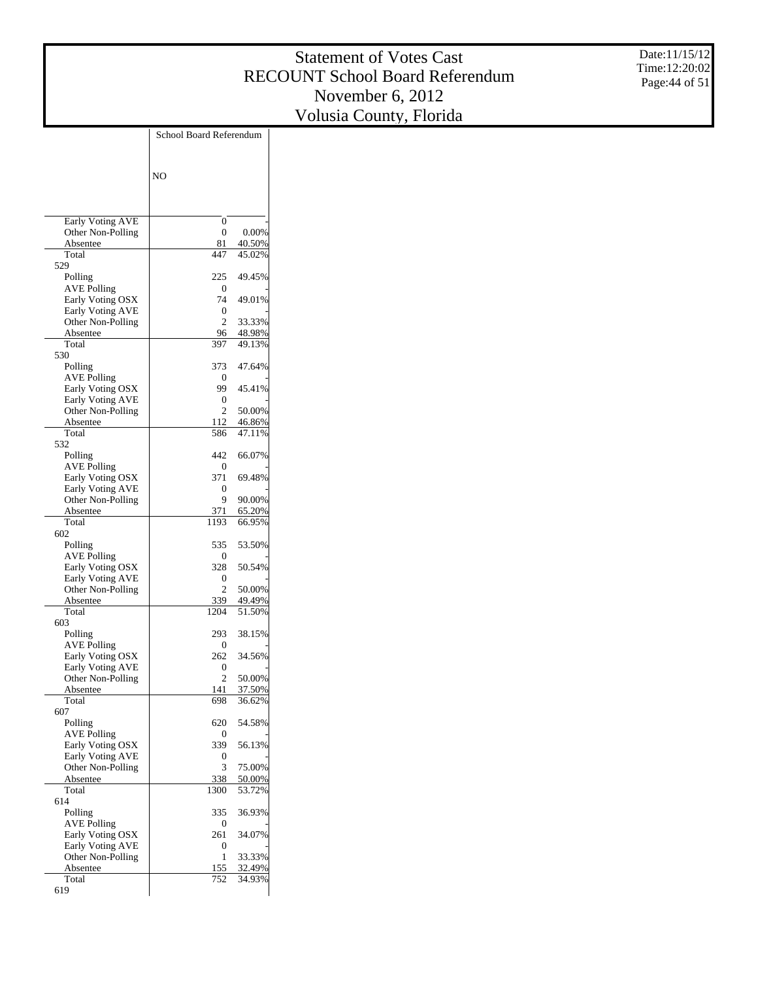Date:11/15/12 Time:12:20:02 Page:44 of 51

|                                             | School Board Referendum |                  |
|---------------------------------------------|-------------------------|------------------|
|                                             |                         |                  |
|                                             |                         |                  |
|                                             | N <sub>O</sub>          |                  |
|                                             |                         |                  |
|                                             |                         |                  |
| <b>Early Voting AVE</b>                     | 0                       |                  |
| Other Non-Polling                           | 0                       | 0.00%            |
| Absentee                                    | 81                      | 40.50%           |
| Total<br>529                                | 447                     | 45.02%           |
| Polling                                     | 225                     | 49.45%           |
| <b>AVE Polling</b>                          | $\mathbf{0}$            |                  |
| Early Voting OSX                            | 74                      | 49.01%           |
| <b>Early Voting AVE</b>                     | 0                       |                  |
| Other Non-Polling                           | 2                       | 33.33%           |
| Absentee<br>Total                           | 96<br>397               | 48.98%<br>49.13% |
| 530                                         |                         |                  |
| Polling                                     | 373                     | 47.64%           |
| <b>AVE Polling</b>                          | 0                       |                  |
| Early Voting OSX                            | 99                      | 45.41%           |
| <b>Early Voting AVE</b>                     | 0<br>$\overline{c}$     | 50.00%           |
| Other Non-Polling<br>Absentee               | 112                     | 46.86%           |
| Total                                       | 586                     | 47.11%           |
| 532                                         |                         |                  |
| Polling                                     | 442                     | 66.07%           |
| <b>AVE Polling</b>                          | 0                       |                  |
| Early Voting OSX<br><b>Early Voting AVE</b> | 371<br>0                | 69.48%           |
| Other Non-Polling                           | 9                       | 90.00%           |
| Absentee                                    | 371                     | 65.20%           |
| Total                                       | 1193                    | 66.95%           |
| 602                                         |                         |                  |
| Polling                                     | 535                     | 53.50%           |
| AVE Polling<br>Early Voting OSX             | 0<br>328                | 50.54%           |
| <b>Early Voting AVE</b>                     | 0                       |                  |
| Other Non-Polling                           | $\overline{c}$          | 50.00%           |
| Absentee                                    | 339                     | 49.49%           |
| Total                                       | 1204                    | 51.50%           |
| 603                                         |                         |                  |
| Polling<br><b>AVE Polling</b>               | 293<br>0                | 38.15%           |
| Early Voting OSX                            | 262                     | 34.56%           |
| Early Voting AVE                            | 0                       |                  |
| Other Non-Polling                           | $\overline{c}$          | 50.00%           |
| <u>Absentee</u>                             | 141                     | <u>37.50%</u>    |
| Total<br>607                                | 698                     | 36.62%           |
| Polling                                     | 620                     | 54.58%           |
| <b>AVE Polling</b>                          | 0                       |                  |
| Early Voting OSX                            | 339                     | 56.13%           |
| Early Voting AVE                            | 0                       |                  |
| Other Non-Polling                           | 3                       | 75.00%           |
| Absentee<br>Total                           | 338<br>1300             | 50.00%<br>53.72% |
| 614                                         |                         |                  |
| Polling                                     | 335                     | 36.93%           |
| <b>AVE Polling</b>                          | 0                       |                  |
| Early Voting OSX                            | 261                     | 34.07%           |
| Early Voting AVE                            | 0                       |                  |
| Other Non-Polling<br>Absentee               | 1<br>155                | 33.33%<br>32.49% |
| Total                                       | 752                     | 34.93%           |
| 619                                         |                         |                  |
|                                             |                         |                  |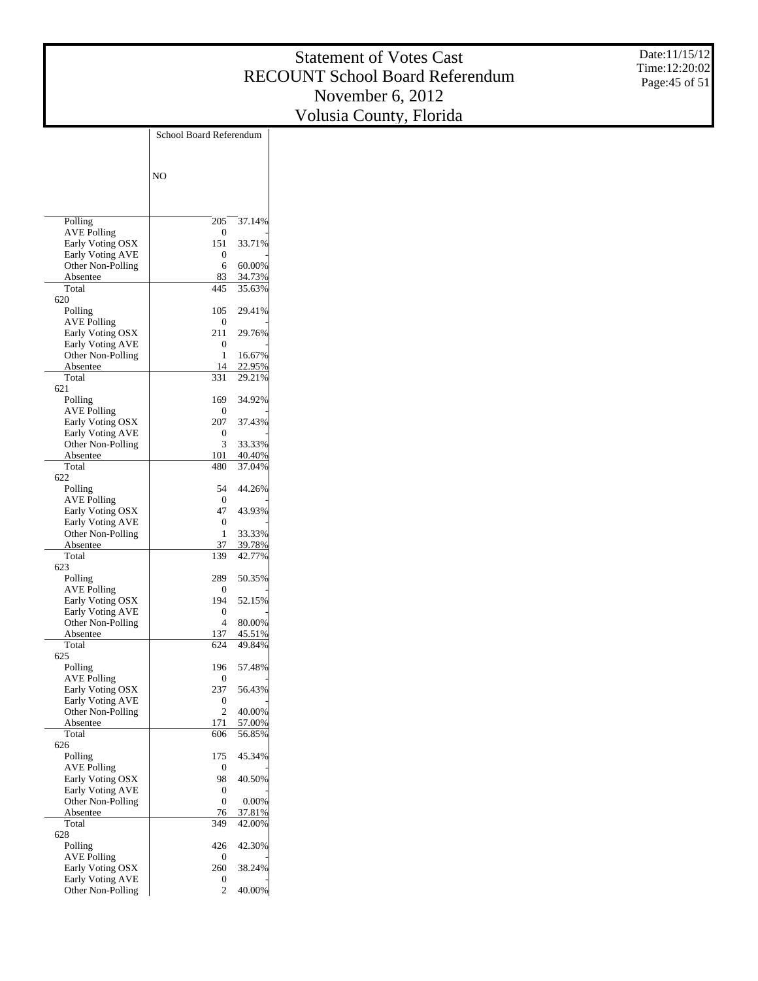Date:11/15/12 Time:12:20:02 Page:45 of 51

|                                              | School Board Referendum |                  |
|----------------------------------------------|-------------------------|------------------|
|                                              | N <sub>O</sub>          |                  |
|                                              |                         |                  |
| Polling                                      | 205                     | 37.14%           |
| <b>AVE Polling</b>                           | 0                       |                  |
| Early Voting OSX                             | 151                     | 33.71%           |
| <b>Early Voting AVE</b><br>Other Non-Polling | 0<br>6                  | 60.00%           |
| Absentee                                     | 83                      | 34.73%           |
| Total                                        | 445                     | 35.63%           |
| 620                                          |                         |                  |
| Polling<br>AVE Polling                       | 105<br>0                | 29.41%           |
| Early Voting OSX                             | 211                     | 29.76%           |
| <b>Early Voting AVE</b>                      | 0                       |                  |
| Other Non-Polling                            | 1                       | 16.67%           |
| Absentee                                     | 14                      | 22.95%           |
| Total<br>621                                 | 331                     | 29.21%           |
| Polling                                      | 169                     | 34.92%           |
| AVE Polling                                  | 0                       |                  |
| Early Voting OSX                             | 207                     | 37.43%           |
| <b>Early Voting AVE</b>                      | 0                       |                  |
| Other Non-Polling<br>Absentee                | 3<br>101                | 33.33%<br>40.40% |
| Total                                        | 480                     | 37.04%           |
| 622                                          |                         |                  |
| Polling                                      | 54                      | 44.26%           |
| AVE Polling                                  | 0<br>47                 | 43.93%           |
| Early Voting OSX<br><b>Early Voting AVE</b>  | 0                       |                  |
| Other Non-Polling                            | 1                       | 33.33%           |
| Absentee                                     | 37                      | 39.78%           |
| Total<br>623                                 | 139                     | 42.77%           |
| Polling                                      | 289                     | 50.35%           |
| AVE Polling                                  | 0                       |                  |
| Early Voting OSX                             | 194                     | 52.15%           |
| <b>Early Voting AVE</b>                      | 0                       |                  |
| Other Non-Polling<br>Absentee                | 4                       | 80.00%<br>45.51% |
| Total                                        | 137<br>624              | 49.84%           |
| 625                                          |                         |                  |
| Polling                                      | 196                     | 57.48%           |
| AVE Polling                                  | 0                       |                  |
| Early Voting OSX<br>Early Voting AVE         | 237<br>0                | 56.43%           |
| Other Non-Polling                            | $\mathfrak{2}$          | 40.00%           |
| Absentee                                     | 171                     | 57.00%           |
| Total                                        | 606                     | 56.85%           |
| 626<br>Polling                               | 175                     | 45.34%           |
| <b>AVE Polling</b>                           | 0                       |                  |
| Early Voting OSX                             | 98                      | 40.50%           |
| Early Voting AVE                             | 0                       |                  |
| Other Non-Polling                            | 0                       | 0.00%            |
| Absentee<br>Total                            | 76<br>349               | 37.81%<br>42.00% |
| 628                                          |                         |                  |
| Polling                                      | 426                     | 42.30%           |
| <b>AVE Polling</b>                           | 0                       |                  |
| Early Voting OSX                             | 260                     | 38.24%           |
| <b>Early Voting AVE</b><br>Other Non-Polling | 0<br>2                  | 40.00%           |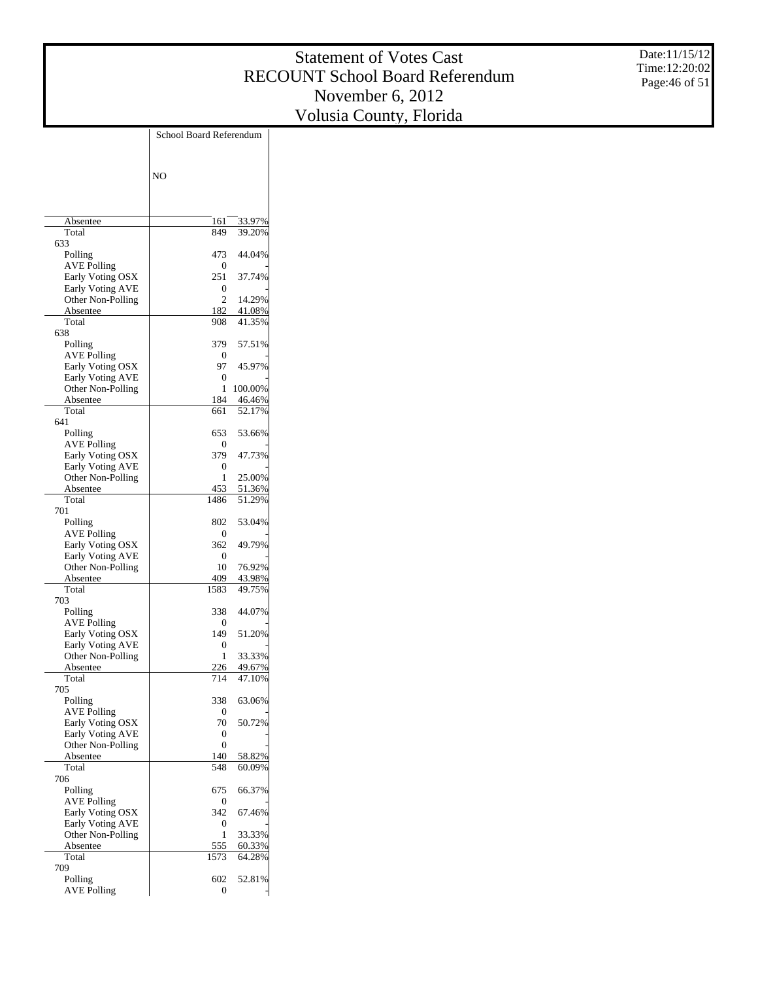Date:11/15/12 Time:12:20:02 Page:46 of 51

|                                             | School Board Referendum |         |
|---------------------------------------------|-------------------------|---------|
|                                             |                         |         |
|                                             |                         |         |
|                                             | N <sub>O</sub>          |         |
|                                             |                         |         |
|                                             |                         |         |
| Absentee                                    | 161                     | 33.97%  |
| Total                                       | 849                     | 39.20%  |
| 633                                         |                         |         |
| Polling                                     | 473                     | 44.04%  |
| <b>AVE Polling</b>                          | 0                       |         |
| Early Voting OSX                            | 251                     | 37.74%  |
| Early Voting AVE<br>Other Non-Polling       | 0<br>$\overline{c}$     | 14.29%  |
| Absentee                                    | 182                     | 41.08%  |
| Total                                       | 908                     | 41.35%  |
| 638                                         |                         |         |
| Polling                                     | 379                     | 57.51%  |
| <b>AVE Polling</b>                          | 0                       |         |
| Early Voting OSX<br><b>Early Voting AVE</b> | 97<br>0                 | 45.97%  |
| Other Non-Polling                           | 1                       | 100.00% |
| Absentee                                    | 184                     | 46.46%  |
| Total                                       | 661                     | 52.17%  |
| 641                                         |                         |         |
| Polling                                     | 653                     | 53.66%  |
| <b>AVE Polling</b>                          | 0                       |         |
| Early Voting OSX<br><b>Early Voting AVE</b> | 379<br>0                | 47.73%  |
| Other Non-Polling                           | 1                       | 25.00%  |
| Absentee                                    | 453                     | 51.36%  |
| Total                                       | 1486                    | 51.29%  |
| 701                                         |                         |         |
| Polling                                     | 802                     | 53.04%  |
| AVE Polling                                 | 0                       | 49.79%  |
| Early Voting OSX<br><b>Early Voting AVE</b> | 362<br>0                |         |
| Other Non-Polling                           | 10                      | 76.92%  |
| Absentee                                    | 409                     | 43.98%  |
| Total                                       | 1583                    | 49.75%  |
| 703                                         |                         |         |
| Polling                                     | 338                     | 44.07%  |
| AVE Polling<br>Early Voting OSX             | 0<br>149                | 51.20%  |
| <b>Early Voting AVE</b>                     | 0                       |         |
| Other Non-Polling                           | 1                       | 33.33%  |
| Absentee                                    | 226                     | 49.67%  |
| Total                                       | 714                     | 47.10%  |
| 705                                         |                         |         |
| Polling<br><b>AVE Polling</b>               | 338<br>0                | 63.06%  |
| Early Voting OSX                            | 70                      | 50.72%  |
| <b>Early Voting AVE</b>                     | 0                       |         |
| Other Non-Polling                           | 0                       |         |
| Absentee                                    | 140                     | 58.82%  |
| Total                                       | 548                     | 60.09%  |
| 706                                         |                         |         |
| Polling<br><b>AVE Polling</b>               | 675<br>0                | 66.37%  |
| Early Voting OSX                            | 342                     | 67.46%  |
| <b>Early Voting AVE</b>                     | 0                       |         |
| Other Non-Polling                           | 1                       | 33.33%  |
| Absentee                                    | 555                     | 60.33%  |
| Total                                       | 1573                    | 64.28%  |
| 709                                         |                         |         |
| Polling<br><b>AVE Polling</b>               | 602<br>0                | 52.81%  |
|                                             |                         |         |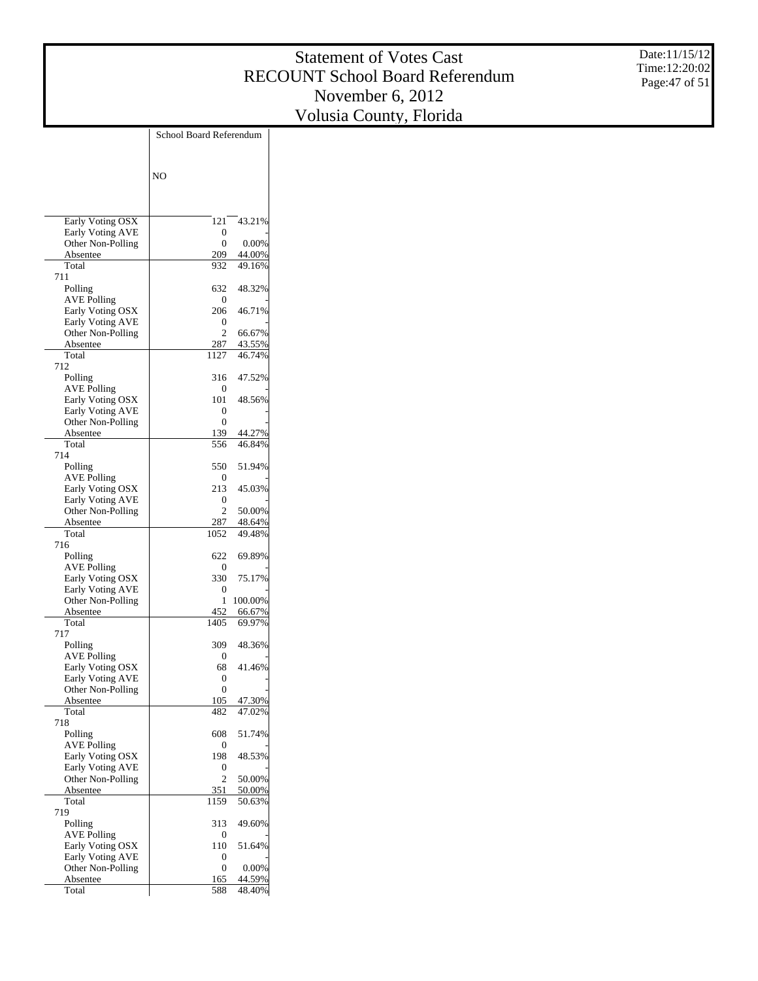Date:11/15/12 Time:12:20:02 Page:47 of 51

|                                        | School Board Referendum |                  |
|----------------------------------------|-------------------------|------------------|
|                                        |                         |                  |
|                                        |                         |                  |
|                                        | NO                      |                  |
|                                        |                         |                  |
|                                        |                         |                  |
| Early Voting OSX                       | 121                     | 43.21%           |
| Early Voting AVE                       | 0<br>$\theta$           | 0.00%            |
| Other Non-Polling<br>Absentee          | 209                     | 44.00%           |
| Total                                  | 932                     | 49.16%           |
| 711                                    |                         |                  |
| Polling<br><b>AVE Polling</b>          | 632<br>0                | 48.32%           |
| Early Voting OSX                       | 206                     | 46.71%           |
| Early Voting AVE                       | 0                       |                  |
| Other Non-Polling                      | $\overline{c}$          | 66.67%           |
| Absentee<br>Total                      | 287<br>1127             | 43.55%<br>46.74% |
| 712                                    |                         |                  |
| Polling                                | 316                     | 47.52%           |
| <b>AVE Polling</b>                     | 0                       |                  |
| Early Voting OSX<br>Early Voting AVE   | 101                     | 48.56%           |
| Other Non-Polling                      | 0<br>$\theta$           |                  |
| Absentee                               | 139                     | 44.27%           |
| Total                                  | 556                     | 46.84%           |
| 714                                    |                         |                  |
| Polling<br><b>AVE Polling</b>          | 550<br>0                | 51.94%           |
| Early Voting OSX                       | 213                     | 45.03%           |
| Early Voting AVE                       | 0                       |                  |
| Other Non-Polling                      | $\overline{c}$          | 50.00%           |
| Absentee<br>Total                      | 287<br>1052             | 48.64%<br>49.48% |
| 716                                    |                         |                  |
| Polling                                | 622                     | 69.89%           |
| <b>AVE Polling</b>                     | 0                       |                  |
| Early Voting OSX<br>Early Voting AVE   | 330<br>0                | 75.17%           |
| Other Non-Polling                      | 1                       | 100.00%          |
| Absentee                               | 452                     | 66.67%           |
| Total                                  | 1405                    | 69.97%           |
| 717<br>Polling                         | 309                     | 48.36%           |
| <b>AVE Polling</b>                     | 0                       |                  |
| Early Voting OSX                       | 68                      | 41.46%           |
| Early Voting AVE                       | 0                       |                  |
| Other Non-Polling<br>Absentee          | $\boldsymbol{0}$<br>105 | 47.30%           |
| Total                                  | 482                     | 47.02%           |
| 718                                    |                         |                  |
| Polling                                | 608                     | 51.74%           |
| <b>AVE Polling</b><br>Early Voting OSX | 0<br>198                | 48.53%           |
| Early Voting AVE                       | 0                       |                  |
| Other Non-Polling                      | $\overline{c}$          | 50.00%           |
| Absentee                               | 351                     | 50.00%           |
| Total<br>719                           | 1159                    | 50.63%           |
| Polling                                | 313                     | 49.60%           |
| <b>AVE Polling</b>                     | 0                       |                  |
| Early Voting OSX                       | 110                     | 51.64%           |
| Early Voting AVE<br>Other Non-Polling  | 0<br>0                  | 0.00%            |
| Absentee                               | 165                     | 44.59%           |
| Total                                  | 588                     | 48.40%           |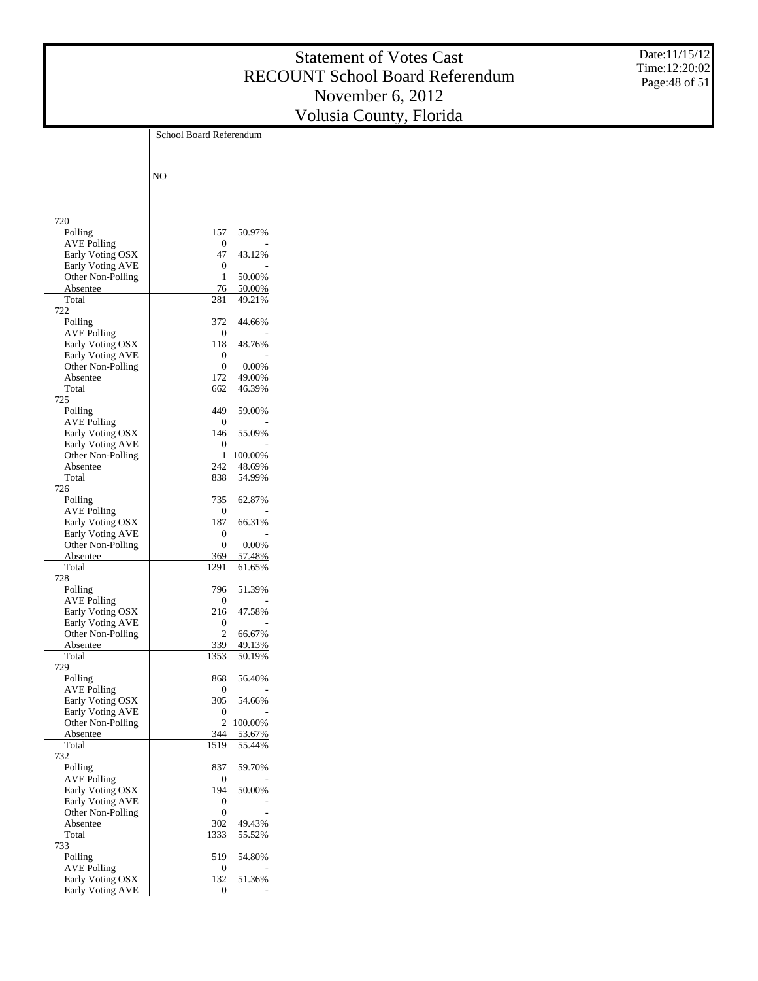Date:11/15/12 Time:12:20:02 Page:48 of 51

|                                             | School Board Referendum |                  |
|---------------------------------------------|-------------------------|------------------|
|                                             | N <sub>O</sub>          |                  |
|                                             |                         |                  |
| 720                                         |                         |                  |
| Polling                                     | 157                     | 50.97%           |
| <b>AVE Polling</b><br>Early Voting OSX      | 0<br>47                 | 43.12%           |
| Early Voting AVE                            | 0                       |                  |
| Other Non-Polling                           | 1                       | 50.00%           |
| Absentee                                    | 76                      | 50.00%           |
| Total<br>722                                | 281                     | 49.21%           |
| Polling                                     | 372                     | 44.66%           |
| <b>AVE Polling</b>                          | 0                       |                  |
| Early Voting OSX                            | 118                     | 48.76%           |
| Early Voting AVE<br>Other Non-Polling       | 0<br>$\Omega$           | 0.00%            |
| Absentee                                    | 172                     | 49.00%           |
| Total                                       | 662                     | 46.39%           |
| 725                                         |                         |                  |
| Polling<br><b>AVE Polling</b>               | 449<br>0                | 59.00%           |
| Early Voting OSX                            | 146                     | 55.09%           |
| Early Voting AVE                            | 0                       |                  |
| Other Non-Polling                           | 1                       | 100.00%          |
| Absentee<br>Total                           | 242                     | 48.69%           |
| 726                                         | 838                     | 54.99%           |
| Polling                                     | 735                     | 62.87%           |
| <b>AVE Polling</b>                          | 0                       |                  |
| Early Voting OSX                            | 187                     | 66.31%           |
| Early Voting AVE<br>Other Non-Polling       | 0<br>$\Omega$           | 0.00%            |
| Absentee                                    | 369                     | 57.48%           |
| Total                                       | 1291                    | 61.65%           |
| 728                                         |                         |                  |
| Polling<br>AVE Polling                      | 796<br>0                | 51.39%           |
| Early Voting OSX                            | 216                     | 47.58%           |
| <b>Early Voting AVE</b>                     | 0                       |                  |
| Other Non-Polling                           | 2                       | 66.67%           |
| Absentee<br>Total                           | 339<br>1353             | 49.13%<br>50.19% |
| 729                                         |                         |                  |
| Polling                                     | 868                     | 56.40%           |
| AVE Polling                                 | 0                       |                  |
| Early Voting OSX                            | 305                     | 54.66%           |
| Early Voting AVE<br>Other Non-Polling       | 0<br>2                  | 100.00%          |
| Absentee                                    | 344                     | 53.67%           |
| Total                                       | 1519                    | 55.44%           |
| 732                                         |                         |                  |
| Polling<br><b>AVE Polling</b>               | 837<br>0                | 59.70%           |
| Early Voting OSX                            | 194                     | 50.00%           |
| <b>Early Voting AVE</b>                     | 0                       |                  |
| Other Non-Polling                           | 0                       |                  |
| Absentee<br>Total                           | 302<br>1333             | 49.43%<br>55.52% |
| 733                                         |                         |                  |
| Polling                                     | 519                     | 54.80%           |
| <b>AVE Polling</b>                          | 0                       |                  |
| Early Voting OSX<br><b>Early Voting AVE</b> | 132<br>0                | 51.36%           |
|                                             |                         |                  |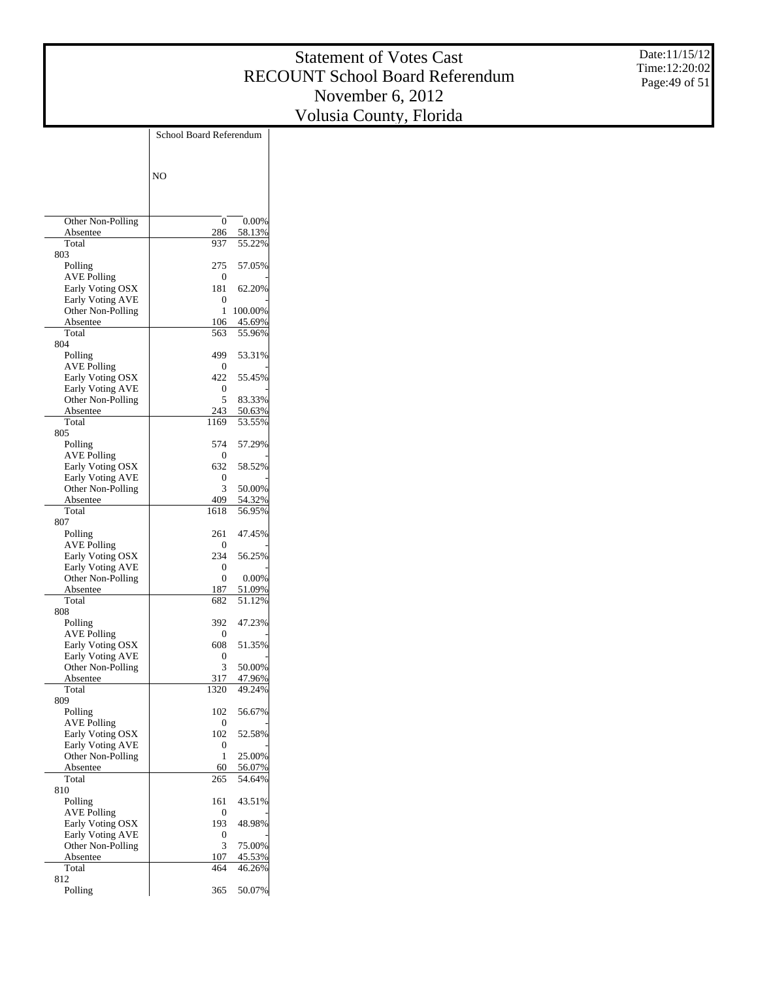Date:11/15/12 Time:12:20:02 Page:49 of 51

|                               | School Board Referendum |                  |
|-------------------------------|-------------------------|------------------|
|                               |                         |                  |
|                               |                         |                  |
|                               | N <sub>O</sub>          |                  |
|                               |                         |                  |
|                               |                         |                  |
| Other Non-Polling             | 0                       | 0.00%            |
| Absentee                      | 286                     | 58.13%           |
| Total                         | 937                     | 55.22%           |
| 803                           |                         |                  |
| Polling                       | 275                     | 57.05%           |
| AVE Polling                   | 0                       |                  |
| Early Voting OSX              | 181                     | 62.20%           |
| Early Voting AVE              | 0                       |                  |
| Other Non-Polling             | 1                       | 100.00%          |
| Absentee                      | 106                     | 45.69%           |
| Total                         | 563                     | 55.96%           |
| 804<br>Polling                | 499                     | 53.31%           |
| AVE Polling                   | 0                       |                  |
| Early Voting OSX              | 422                     | 55.45%           |
| <b>Early Voting AVE</b>       | 0                       |                  |
| Other Non-Polling             | 5                       | 83.33%           |
| Absentee                      | 243                     | 50.63%           |
| Total                         | 1169                    | 53.55%           |
| 805                           |                         |                  |
| Polling                       | 574                     | 57.29%           |
| AVE Polling                   | 0                       |                  |
| Early Voting OSX              | 632                     | 58.52%           |
| <b>Early Voting AVE</b>       | 0                       |                  |
| Other Non-Polling             | 3                       | 50.00%           |
| Absentee<br>Total             | 409<br>1618             | 54.32%<br>56.95% |
| 807                           |                         |                  |
| Polling                       | 261                     | 47.45%           |
| AVE Polling                   | 0                       |                  |
| Early Voting OSX              | 234                     | 56.25%           |
| <b>Early Voting AVE</b>       | 0                       |                  |
| Other Non-Polling             | 0                       | 0.00%            |
| Absentee                      | 187                     | 51.09%           |
| Total                         | 682                     | 51.12%           |
| 808                           |                         |                  |
| Polling<br><b>AVE Polling</b> | 392<br>0                | 47.23%           |
| Early Voting OSX              | 608                     | 51.35%           |
| Early Voting AVE              | 0                       |                  |
| Other Non-Polling             | 3                       | 50.00%           |
| Absentee                      | 317                     | 47.96%           |
| Total                         | 1320                    | 49.24%           |
| 809                           |                         |                  |
| Polling                       | 102                     | 56.67%           |
| <b>AVE Polling</b>            | 0                       |                  |
| Early Voting OSX              | 102                     | 52.58%           |
| Early Voting AVE              | 0                       |                  |
| Other Non-Polling             | 1                       | 25.00%           |
| Absentee                      | 60                      | 56.07%           |
| Total<br>810                  | 265                     | 54.64%           |
| Polling                       | 161                     | 43.51%           |
| <b>AVE Polling</b>            | 0                       |                  |
| Early Voting OSX              | 193                     | 48.98%           |
| Early Voting AVE              | 0                       |                  |
| Other Non-Polling             | 3                       | 75.00%           |
| Absentee                      | 107                     | 45.53%           |
| Total                         | 464                     | 46.26%           |
| 812                           |                         |                  |
| Polling                       | 365                     | 50.07%           |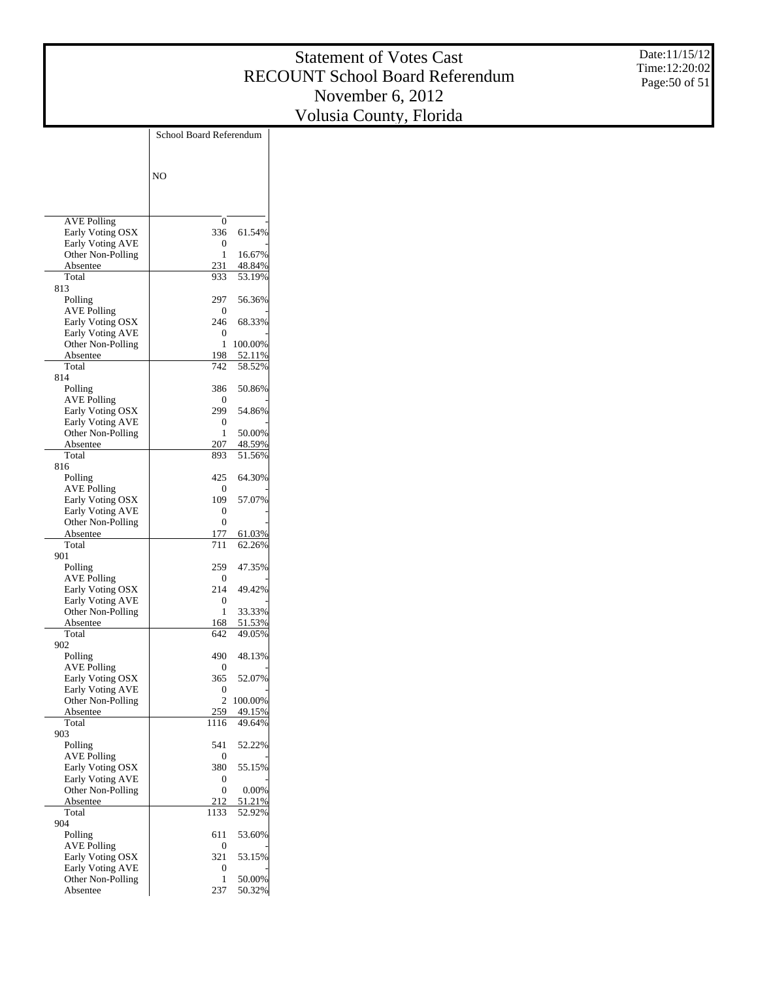Date:11/15/12 Time:12:20:02 Page:50 of 51

|                                             | School Board Referendum |                  |
|---------------------------------------------|-------------------------|------------------|
|                                             |                         |                  |
|                                             | N <sub>O</sub>          |                  |
|                                             |                         |                  |
|                                             |                         |                  |
| <b>AVE Polling</b>                          | 0                       |                  |
| Early Voting OSX                            | 336                     | 61.54%           |
| <b>Early Voting AVE</b>                     | 0                       |                  |
| Other Non-Polling<br>Absentee               | 1<br>231                | 16.67%<br>48.84% |
| Total                                       | 933                     | 53.19%           |
| 813                                         |                         |                  |
| Polling                                     | 297                     | 56.36%           |
| <b>AVE Polling</b><br>Early Voting OSX      | 0<br>246                | 68.33%           |
| <b>Early Voting AVE</b>                     | 0                       |                  |
| Other Non-Polling                           | 1                       | 100.00%          |
| Absentee                                    | 198                     | 52.11%           |
| Total<br>814                                | 742                     | 58.52%           |
| Polling                                     | 386                     | 50.86%           |
| <b>AVE Polling</b>                          | 0                       |                  |
| Early Voting OSX                            | 299                     | 54.86%           |
| <b>Early Voting AVE</b>                     | 0                       |                  |
| Other Non-Polling<br>Absentee               | 1<br>207                | 50.00%<br>48.59% |
| Total                                       | 893                     | 51.56%           |
| 816                                         |                         |                  |
| Polling                                     | 425                     | 64.30%           |
| <b>AVE Polling</b>                          | 0                       |                  |
| Early Voting OSX<br><b>Early Voting AVE</b> | 109<br>0                | 57.07%           |
| Other Non-Polling                           | 0                       |                  |
| Absentee                                    | 177                     | 61.03%           |
| Total                                       | 711                     | 62.26%           |
| 901<br>Polling                              | 259                     | 47.35%           |
| <b>AVE Polling</b>                          | 0                       |                  |
| Early Voting OSX                            | 214                     | 49.42%           |
| <b>Early Voting AVE</b>                     | 0                       |                  |
| Other Non-Polling<br>Absentee               | 1<br>168                | 33.33%<br>51.53% |
| Total                                       | 642                     | 49.05%           |
| 902                                         |                         |                  |
| Polling                                     | 490                     | 48.13%           |
| <b>AVE Polling</b>                          | 0<br>365                | 52.07%           |
| Early Voting OSX<br>Early Voting AVE        | 0                       |                  |
| Other Non-Polling                           | 2                       | 100.00%          |
| Absentee                                    | 259                     | 49.15%           |
| Total                                       | 1116                    | 49.64%           |
| 903<br>Polling                              | 541                     | 52.22%           |
| <b>AVE Polling</b>                          | 0                       |                  |
| Early Voting OSX                            | 380                     | 55.15%           |
| <b>Early Voting AVE</b>                     | 0                       |                  |
| Other Non-Polling<br>Absentee               | 0<br>212                | 0.00%<br>51.21%  |
| Total                                       | 1133                    | 52.92%           |
| 904                                         |                         |                  |
| Polling                                     | 611                     | 53.60%           |
| <b>AVE Polling</b>                          | 0<br>321                |                  |
| Early Voting OSX<br><b>Early Voting AVE</b> | 0                       | 53.15%           |
| Other Non-Polling                           | 1                       | 50.00%           |
| Absentee                                    | 237                     | 50.32%           |